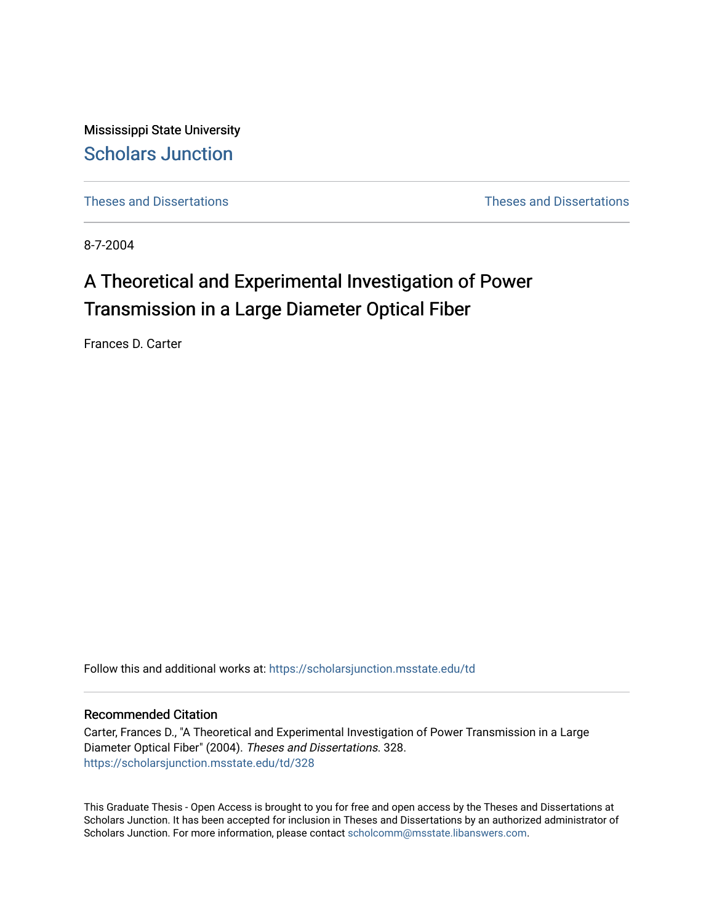Mississippi State University [Scholars Junction](https://scholarsjunction.msstate.edu/) 

[Theses and Dissertations](https://scholarsjunction.msstate.edu/td) [Theses and Dissertations](https://scholarsjunction.msstate.edu/theses-dissertations) 

8-7-2004

# A Theoretical and Experimental Investigation of Power Transmission in a Large Diameter Optical Fiber

Frances D. Carter

Follow this and additional works at: [https://scholarsjunction.msstate.edu/td](https://scholarsjunction.msstate.edu/td?utm_source=scholarsjunction.msstate.edu%2Ftd%2F328&utm_medium=PDF&utm_campaign=PDFCoverPages) 

#### Recommended Citation

Carter, Frances D., "A Theoretical and Experimental Investigation of Power Transmission in a Large Diameter Optical Fiber" (2004). Theses and Dissertations. 328. [https://scholarsjunction.msstate.edu/td/328](https://scholarsjunction.msstate.edu/td/328?utm_source=scholarsjunction.msstate.edu%2Ftd%2F328&utm_medium=PDF&utm_campaign=PDFCoverPages) 

This Graduate Thesis - Open Access is brought to you for free and open access by the Theses and Dissertations at Scholars Junction. It has been accepted for inclusion in Theses and Dissertations by an authorized administrator of Scholars Junction. For more information, please contact [scholcomm@msstate.libanswers.com.](mailto:scholcomm@msstate.libanswers.com)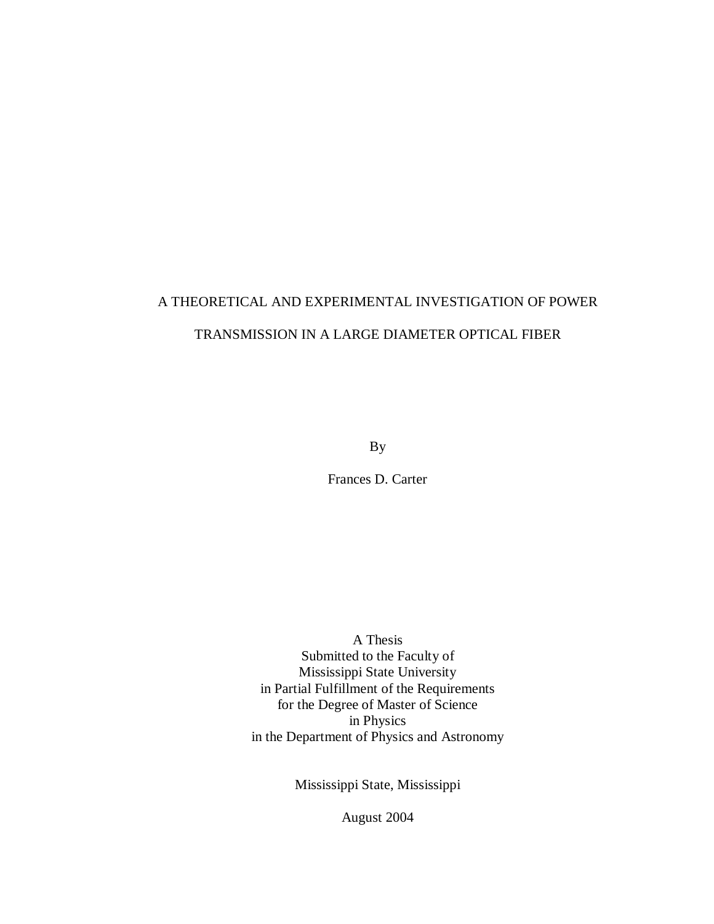# A THEORETICAL AND EXPERIMENTAL INVESTIGATION OF POWER TRANSMISSION IN A LARGE DIAMETER OPTICAL FIBER

By

Frances D. Carter

A Thesis Submitted to the Faculty of Mississippi State University in Partial Fulfillment of the Requirements for the Degree of Master of Science in Physics in the Department of Physics and Astronomy

Mississippi State, Mississippi

August 2004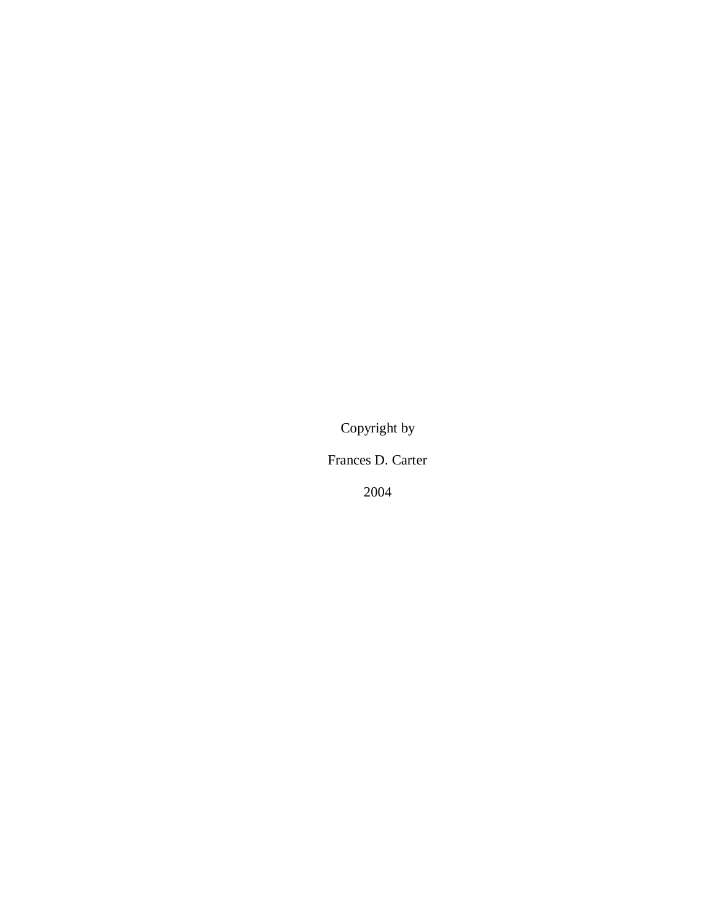Copyright by

Frances D. Carter

2004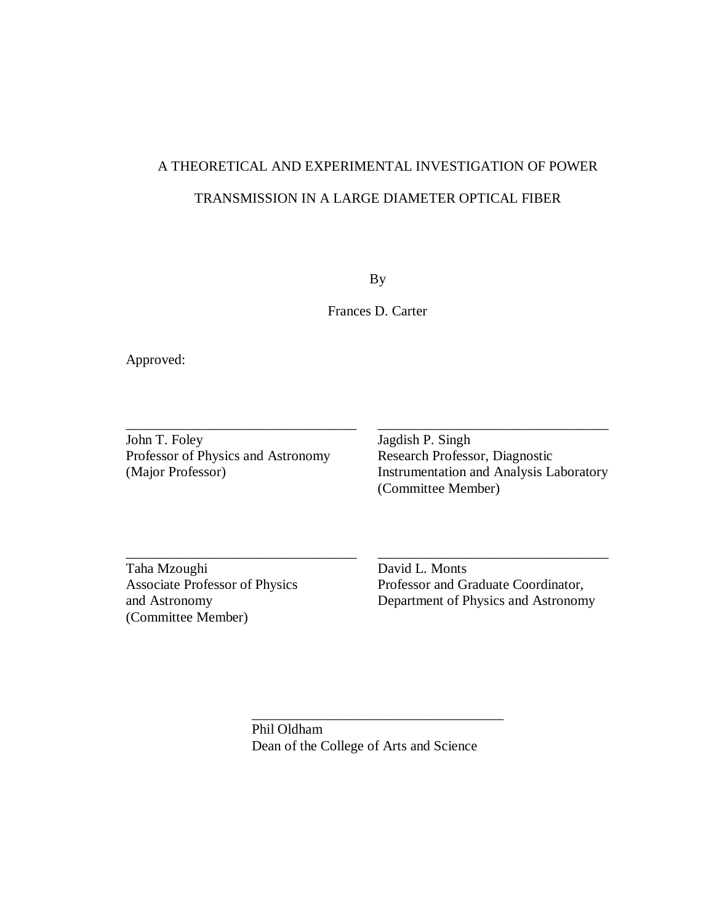# A THEORETICAL AND EXPERIMENTAL INVESTIGATION OF POWER TRANSMISSION IN A LARGE DIAMETER OPTICAL FIBER

By

Frances D. Carter

\_\_\_\_\_\_\_\_\_\_\_\_\_\_\_\_\_\_\_\_\_\_\_\_\_\_\_\_\_\_\_\_\_ \_\_\_\_\_\_\_\_\_\_\_\_\_\_\_\_\_\_\_\_\_\_\_\_\_\_\_\_\_\_\_\_\_

\_\_\_\_\_\_\_\_\_\_\_\_\_\_\_\_\_\_\_\_\_\_\_\_\_\_\_\_\_\_\_\_\_ \_\_\_\_\_\_\_\_\_\_\_\_\_\_\_\_\_\_\_\_\_\_\_\_\_\_\_\_\_\_\_\_\_

Approved:

John T. Foley Jagdish P. Singh Professor of Physics and Astronomy Research Professor, Diagnostic (Major Professor) Instrumentation and Analysis La

Instrumentation and Analysis Laboratory (Committee Member)

Taha Mzoughi David L. Monts (Committee Member)

Associate Professor of Physics Professor and Graduate Coordinator, and Astronomy Department of Physics and Astronomy

> Phil Oldham Dean of the College of Arts and Science

\_\_\_\_\_\_\_\_\_\_\_\_\_\_\_\_\_\_\_\_\_\_\_\_\_\_\_\_\_\_\_\_\_\_\_\_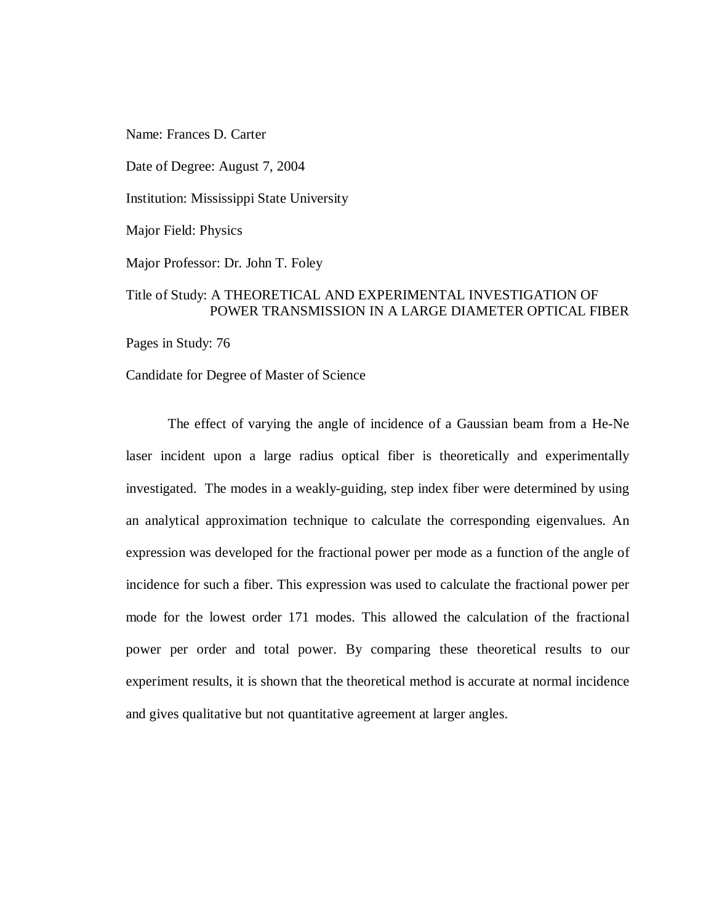Name: Frances D. Carter

Date of Degree: August 7, 2004

Institution: Mississippi State University

Major Field: Physics

Major Professor: Dr. John T. Foley

### Title of Study: A THEORETICAL AND EXPERIMENTAL INVESTIGATION OF POWER TRANSMISSION IN A LARGE DIAMETER OPTICAL FIBER

Pages in Study: 76

Candidate for Degree of Master of Science

The effect of varying the angle of incidence of a Gaussian beam from a He-Ne laser incident upon a large radius optical fiber is theoretically and experimentally investigated. The modes in a weakly-guiding, step index fiber were determined by using an analytical approximation technique to calculate the corresponding eigenvalues. An expression was developed for the fractional power per mode as a function of the angle of incidence for such a fiber. This expression was used to calculate the fractional power per mode for the lowest order 171 modes. This allowed the calculation of the fractional power per order and total power. By comparing these theoretical results to our experiment results, it is shown that the theoretical method is accurate at normal incidence and gives qualitative but not quantitative agreement at larger angles.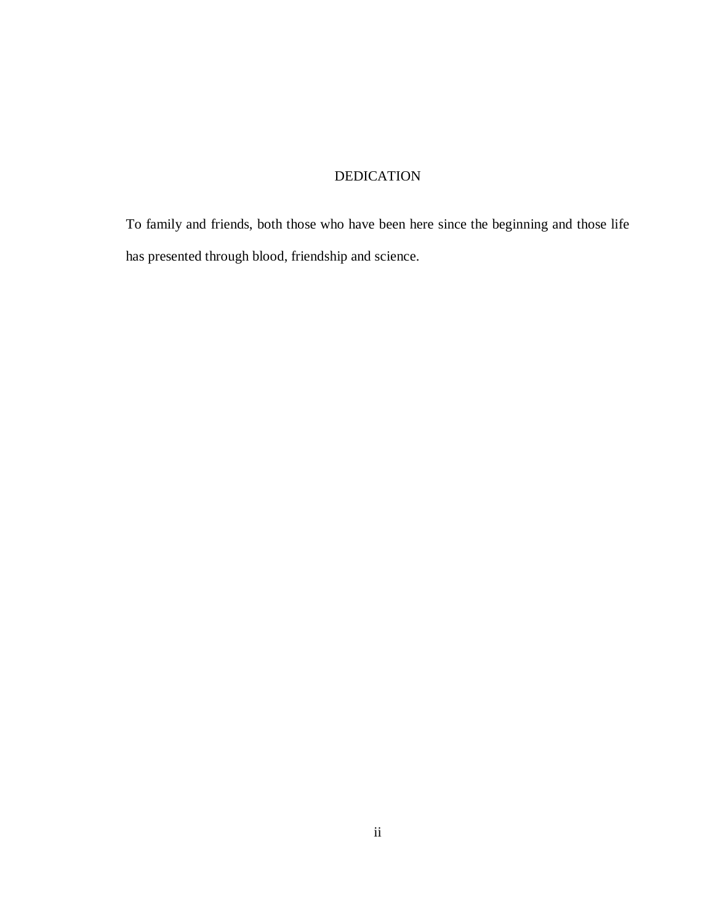### DEDICATION

To family and friends, both those who have been here since the beginning and those life has presented through blood, friendship and science.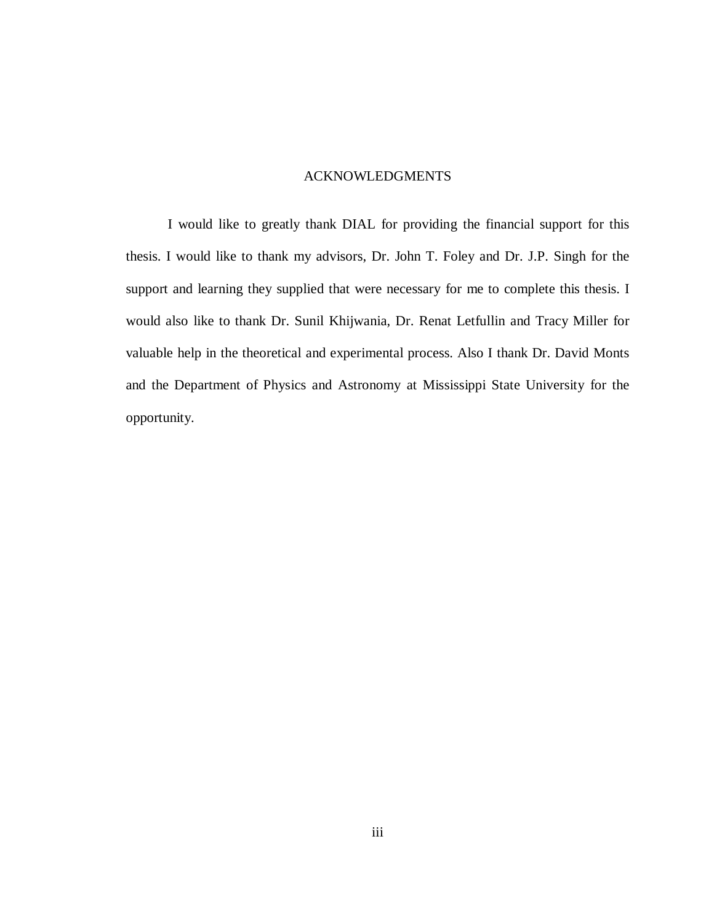#### ACKNOWLEDGMENTS

I would like to greatly thank DIAL for providing the financial support for this thesis. I would like to thank my advisors, Dr. John T. Foley and Dr. J.P. Singh for the support and learning they supplied that were necessary for me to complete this thesis. I would also like to thank Dr. Sunil Khijwania, Dr. Renat Letfullin and Tracy Miller for valuable help in the theoretical and experimental process. Also I thank Dr. David Monts and the Department of Physics and Astronomy at Mississippi State University for the opportunity.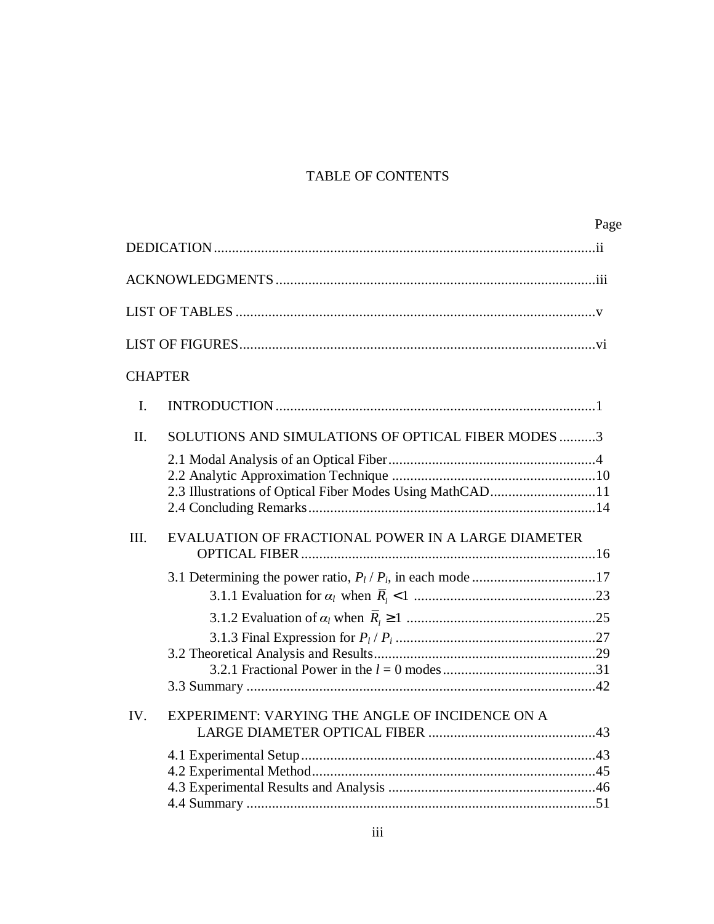## TABLE OF CONTENTS

|                                                            | Page |
|------------------------------------------------------------|------|
|                                                            |      |
|                                                            |      |
|                                                            |      |
|                                                            |      |
| <b>CHAPTER</b>                                             |      |
| $I_{\cdot}$                                                |      |
| SOLUTIONS AND SIMULATIONS OF OPTICAL FIBER MODES 3<br>II.  |      |
| 2.3 Illustrations of Optical Fiber Modes Using MathCAD11   |      |
| EVALUATION OF FRACTIONAL POWER IN A LARGE DIAMETER<br>III. |      |
|                                                            |      |
|                                                            |      |
|                                                            |      |
| IV.<br>EXPERIMENT: VARYING THE ANGLE OF INCIDENCE ON A     |      |
|                                                            |      |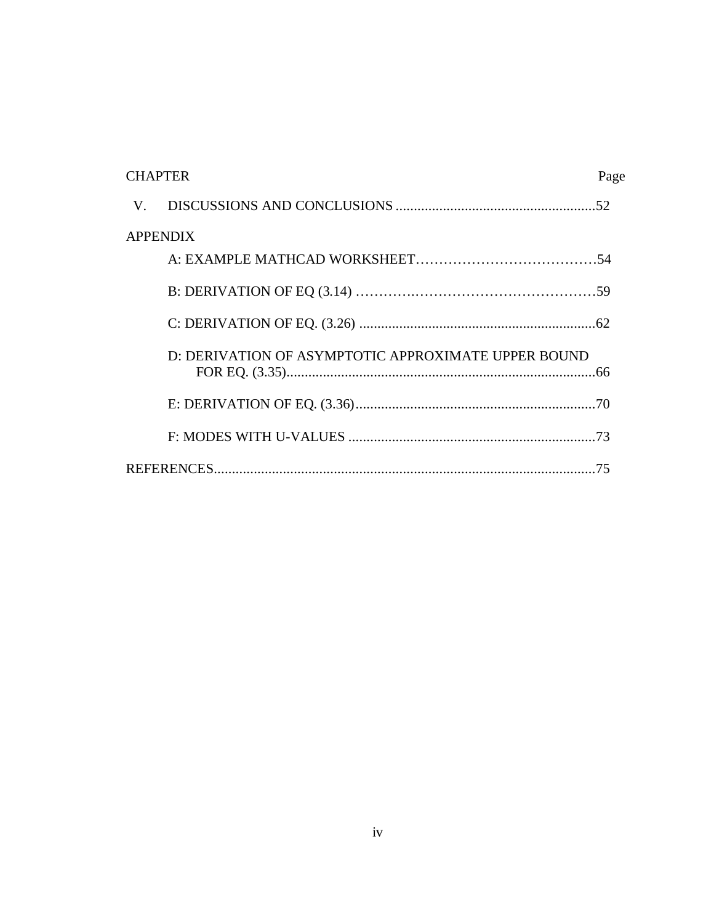| <b>CHAPTER</b><br>Page                              |  |
|-----------------------------------------------------|--|
| V.                                                  |  |
| <b>APPENDIX</b>                                     |  |
|                                                     |  |
|                                                     |  |
|                                                     |  |
| D: DERIVATION OF ASYMPTOTIC APPROXIMATE UPPER BOUND |  |
|                                                     |  |
|                                                     |  |
| -75                                                 |  |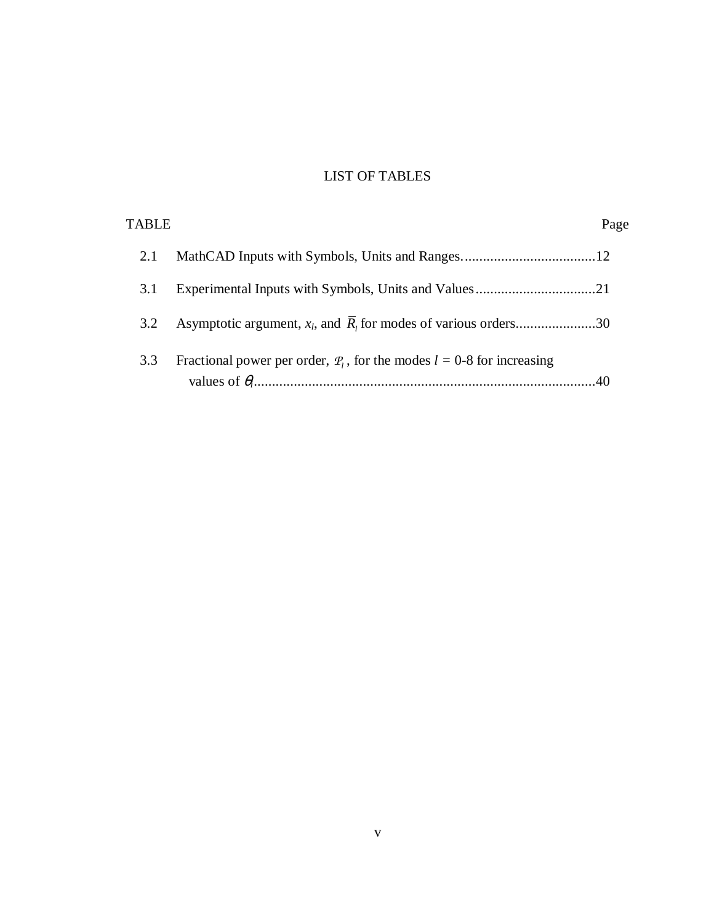## LIST OF TABLES

| TABLE |                                                                             | Page |
|-------|-----------------------------------------------------------------------------|------|
| 2.1   |                                                                             |      |
| 3.1   |                                                                             |      |
| 3.2   | Asymptotic argument, $x_l$ , and $R_l$ for modes of various orders30        |      |
| 3.3   | Fractional power per order, $P_l$ , for the modes $l = 0$ -8 for increasing |      |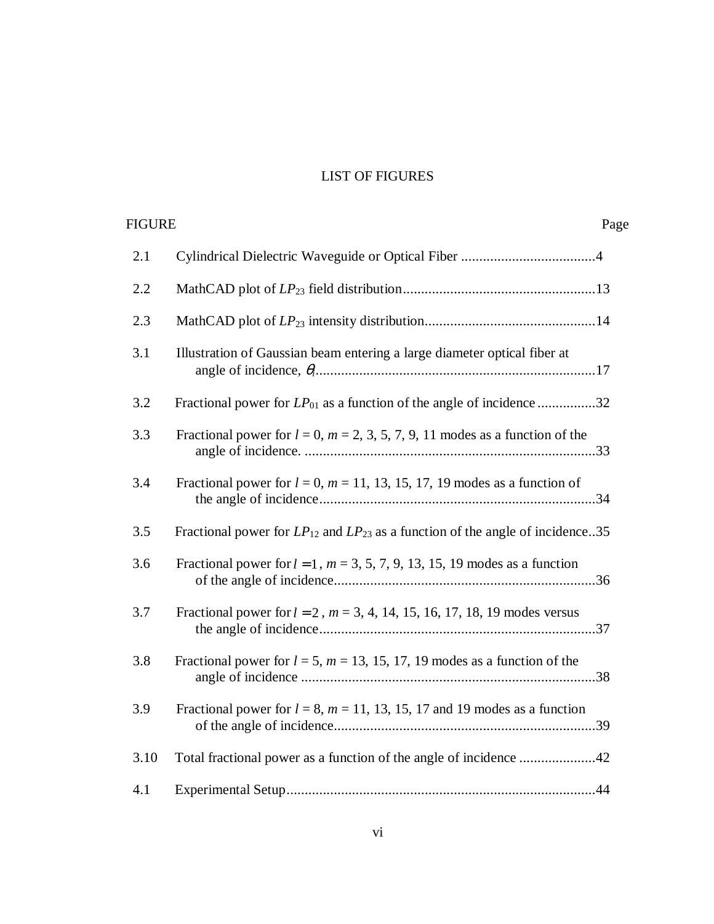## LIST OF FIGURES

| FIGURE |                                                                                        | Page |
|--------|----------------------------------------------------------------------------------------|------|
| 2.1    |                                                                                        |      |
| 2.2    |                                                                                        |      |
| 2.3    |                                                                                        |      |
| 3.1    | Illustration of Gaussian beam entering a large diameter optical fiber at               |      |
| 3.2    | Fractional power for $LP_{01}$ as a function of the angle of incidence 32              |      |
| 3.3    | Fractional power for $l = 0$ , $m = 2, 3, 5, 7, 9, 11$ modes as a function of the      |      |
| 3.4    | Fractional power for $l = 0$ , $m = 11$ , 13, 15, 17, 19 modes as a function of        |      |
| 3.5    | Fractional power for $LP_{12}$ and $LP_{23}$ as a function of the angle of incidence35 |      |
| 3.6    | Fractional power for $l = 1$ , $m = 3, 5, 7, 9, 13, 15, 19$ modes as a function        |      |
| 3.7    | Fractional power for $l = 2$ , $m = 3, 4, 14, 15, 16, 17, 18, 19$ modes versus         |      |
| 3.8    | Fractional power for $l = 5$ , $m = 13$ , 15, 17, 19 modes as a function of the        |      |
| 3.9    | Fractional power for $l = 8$ , $m = 11$ , 13, 15, 17 and 19 modes as a function        |      |
| 3.10   | Total fractional power as a function of the angle of incidence 42                      |      |
| 4.1    |                                                                                        |      |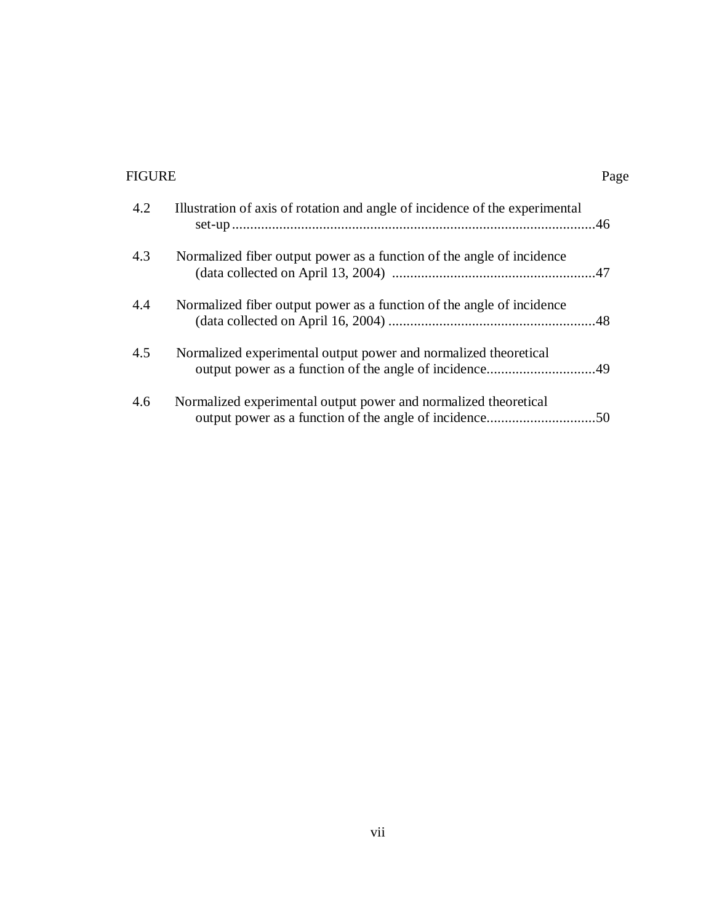## FIGURE Page

|--|

| 4.2 | Illustration of axis of rotation and angle of incidence of the experimental |
|-----|-----------------------------------------------------------------------------|
| 4.3 | Normalized fiber output power as a function of the angle of incidence       |
| 4.4 | Normalized fiber output power as a function of the angle of incidence       |
| 4.5 | Normalized experimental output power and normalized theoretical             |
| 4.6 | Normalized experimental output power and normalized theoretical             |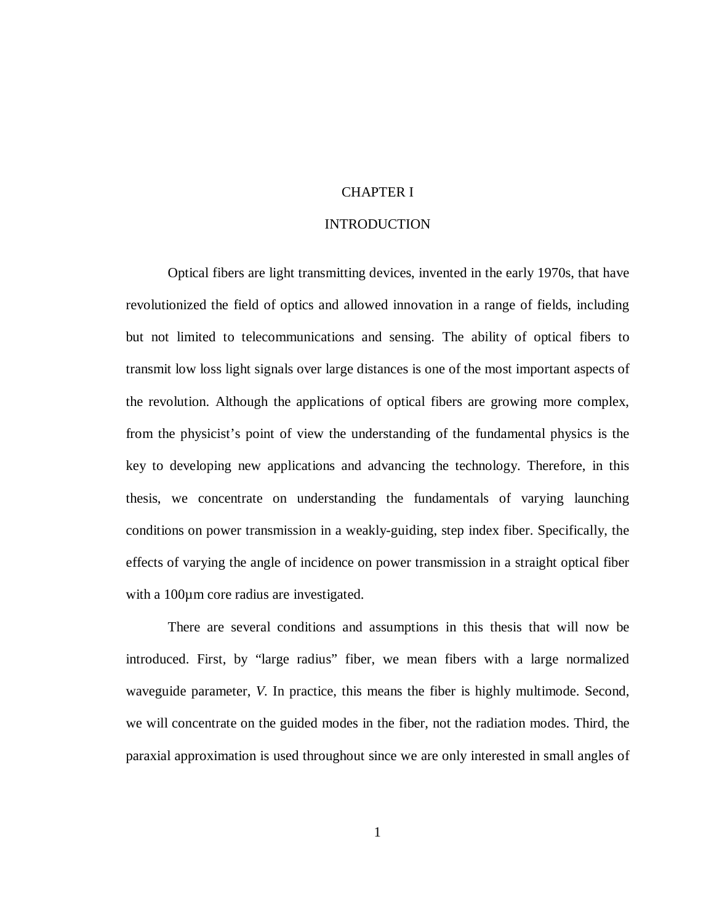### CHAPTER I

#### INTRODUCTION

Optical fibers are light transmitting devices, invented in the early 1970s, that have revolutionized the field of optics and allowed innovation in a range of fields, including but not limited to telecommunications and sensing. The ability of optical fibers to transmit low loss light signals over large distances is one of the most important aspects of the revolution. Although the applications of optical fibers are growing more complex, from the physicist's point of view the understanding of the fundamental physics is the key to developing new applications and advancing the technology. Therefore, in this thesis, we concentrate on understanding the fundamentals of varying launching conditions on power transmission in a weakly-guiding, step index fiber. Specifically, the effects of varying the angle of incidence on power transmission in a straight optical fiber with a 100 $\mu$ m core radius are investigated.

There are several conditions and assumptions in this thesis that will now be introduced. First, by "large radius" fiber, we mean fibers with a large normalized waveguide parameter, *V.* In practice, this means the fiber is highly multimode. Second, we will concentrate on the guided modes in the fiber, not the radiation modes. Third, the paraxial approximation is used throughout since we are only interested in small angles of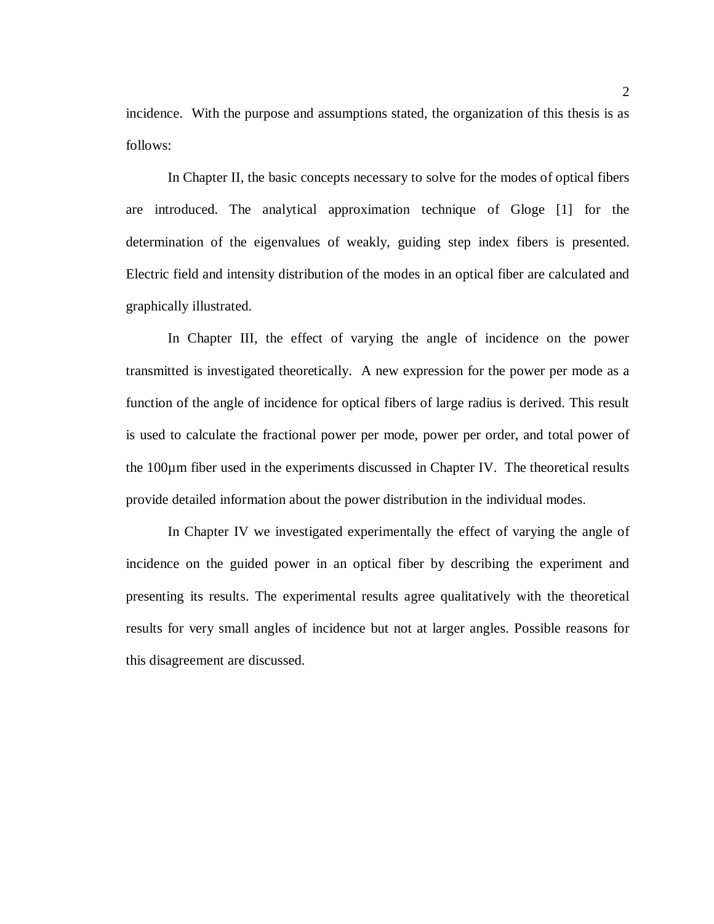incidence. With the purpose and assumptions stated, the organization of this thesis is as follows:

In Chapter II, the basic concepts necessary to solve for the modes of optical fibers are introduced. The analytical approximation technique of Gloge [1] for the determination of the eigenvalues of weakly, guiding step index fibers is presented. Electric field and intensity distribution of the modes in an optical fiber are calculated and graphically illustrated.

In Chapter III, the effect of varying the angle of incidence on the power transmitted is investigated theoretically. A new expression for the power per mode as a function of the angle of incidence for optical fibers of large radius is derived. This result is used to calculate the fractional power per mode, power per order, and total power of the 100µm fiber used in the experiments discussed in Chapter IV. The theoretical results provide detailed information about the power distribution in the individual modes.

In Chapter IV we investigated experimentally the effect of varying the angle of incidence on the guided power in an optical fiber by describing the experiment and presenting its results. The experimental results agree qualitatively with the theoretical results for very small angles of incidence but not at larger angles. Possible reasons for this disagreement are discussed.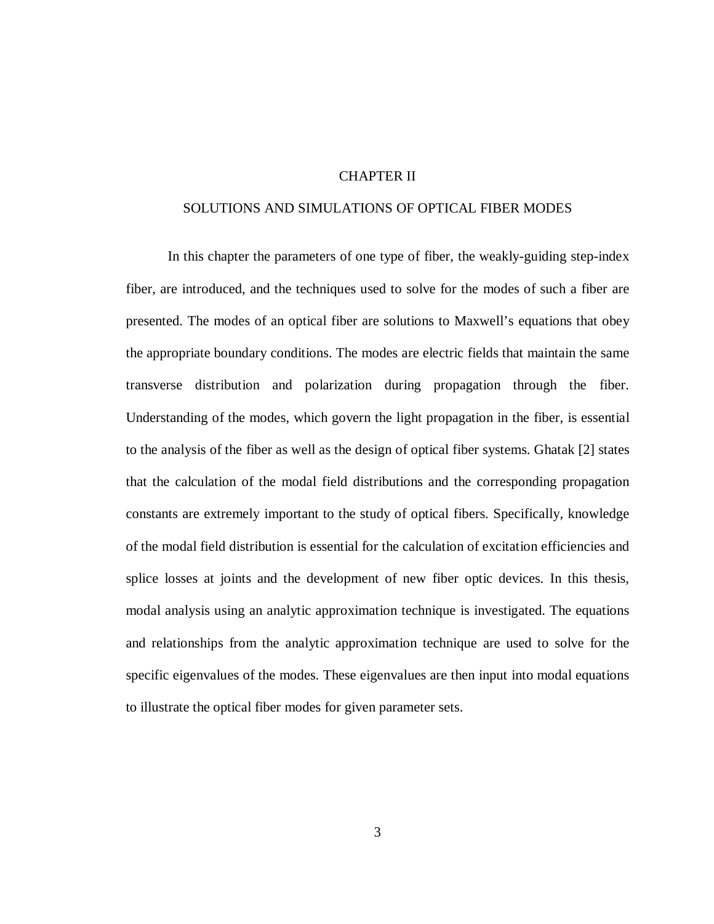#### CHAPTER II

#### SOLUTIONS AND SIMULATIONS OF OPTICAL FIBER MODES

In this chapter the parameters of one type of fiber, the weakly-guiding step-index fiber, are introduced, and the techniques used to solve for the modes of such a fiber are presented. The modes of an optical fiber are solutions to Maxwell's equations that obey the appropriate boundary conditions. The modes are electric fields that maintain the same transverse distribution and polarization during propagation through the fiber. Understanding of the modes, which govern the light propagation in the fiber, is essential to the analysis of the fiber as well as the design of optical fiber systems. Ghatak [2] states that the calculation of the modal field distributions and the corresponding propagation constants are extremely important to the study of optical fibers. Specifically, knowledge of the modal field distribution is essential for the calculation of excitation efficiencies and splice losses at joints and the development of new fiber optic devices. In this thesis, modal analysis using an analytic approximation technique is investigated. The equations and relationships from the analytic approximation technique are used to solve for the specific eigenvalues of the modes. These eigenvalues are then input into modal equations to illustrate the optical fiber modes for given parameter sets.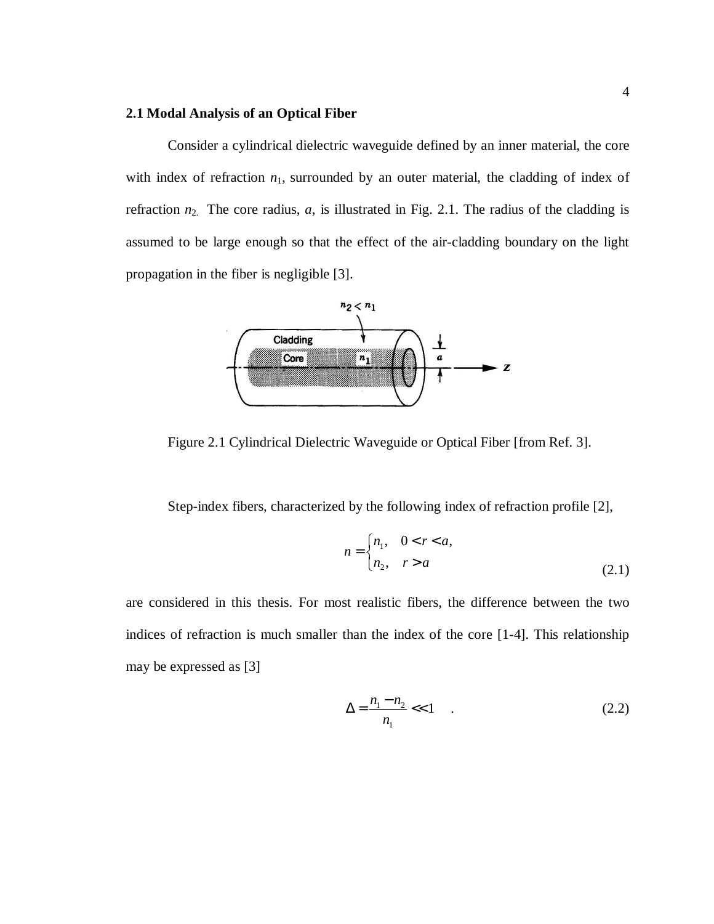#### **2.1 Modal Analysis of an Optical Fiber**

Consider a cylindrical dielectric waveguide defined by an inner material, the core with index of refraction  $n_1$ , surrounded by an outer material, the cladding of index of refraction  $n_2$ . The core radius,  $a$ , is illustrated in Fig. 2.1. The radius of the cladding is assumed to be large enough so that the effect of the air-cladding boundary on the light propagation in the fiber is negligible [3].



Figure 2.1 Cylindrical Dielectric Waveguide or Optical Fiber [from Ref. 3].

Step-index fibers, characterized by the following index of refraction profile [2],

$$
n = \begin{cases} n_1, & 0 < r < a, \\ n_2, & r > a \end{cases} \tag{2.1}
$$

are considered in this thesis. For most realistic fibers, the difference between the two indices of refraction is much smaller than the index of the core [1-4]. This relationship may be expressed as [3]

$$
\Delta = \frac{n_1 - n_2}{n_1} < 1 \tag{2.2}
$$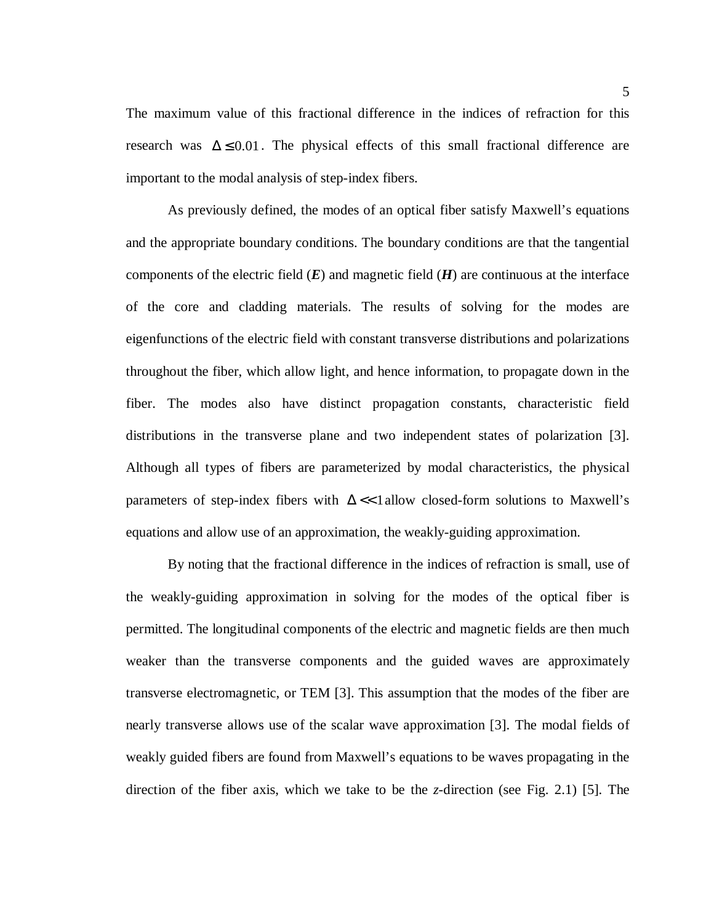The maximum value of this fractional difference in the indices of refraction for this research was  $\Delta \leq 0.01$ . The physical effects of this small fractional difference are important to the modal analysis of step-index fibers.

As previously defined, the modes of an optical fiber satisfy Maxwell's equations and the appropriate boundary conditions. The boundary conditions are that the tangential components of the electric field  $(E)$  and magnetic field  $(H)$  are continuous at the interface of the core and cladding materials. The results of solving for the modes are eigenfunctions of the electric field with constant transverse distributions and polarizations throughout the fiber, which allow light, and hence information, to propagate down in the fiber. The modes also have distinct propagation constants, characteristic field distributions in the transverse plane and two independent states of polarization [3]. Although all types of fibers are parameterized by modal characteristics, the physical parameters of step-index fibers with  $\Delta \ll 1$  allow closed-form solutions to Maxwell's equations and allow use of an approximation, the weakly-guiding approximation.

By noting that the fractional difference in the indices of refraction is small, use of the weakly-guiding approximation in solving for the modes of the optical fiber is permitted. The longitudinal components of the electric and magnetic fields are then much weaker than the transverse components and the guided waves are approximately transverse electromagnetic, or TEM [3]. This assumption that the modes of the fiber are nearly transverse allows use of the scalar wave approximation [3]. The modal fields of weakly guided fibers are found from Maxwell's equations to be waves propagating in the direction of the fiber axis, which we take to be the *z-*direction (see Fig. 2.1) [5]. The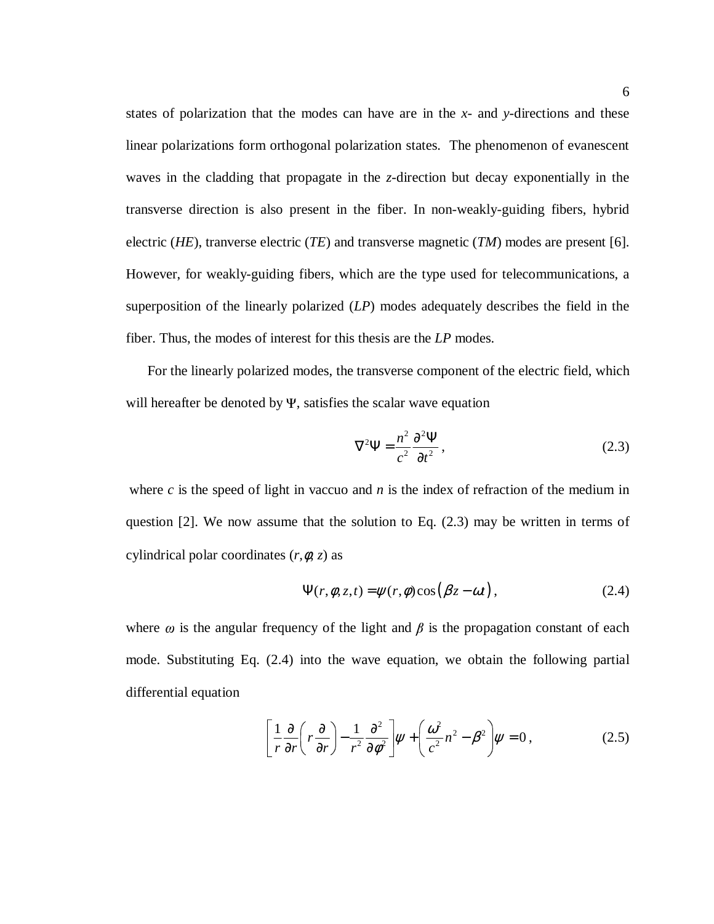states of polarization that the modes can have are in the *x-* and *y-*directions and these linear polarizations form orthogonal polarization states. The phenomenon of evanescent waves in the cladding that propagate in the *z*-direction but decay exponentially in the transverse direction is also present in the fiber. In non-weakly-guiding fibers, hybrid electric (*HE*), tranverse electric (*TE*) and transverse magnetic (*TM*) modes are present [6]. However, for weakly-guiding fibers, which are the type used for telecommunications, a superposition of the linearly polarized (*LP*) modes adequately describes the field in the fiber. Thus, the modes of interest for this thesis are the *LP* modes.

 For the linearly polarized modes, the transverse component of the electric field, which will hereafter be denoted by  $\Psi$ , satisfies the scalar wave equation

$$
\nabla^2 \Psi = \frac{n^2}{c^2} \frac{\partial^2 \Psi}{\partial t^2},
$$
\n(2.3)

where  $c$  is the speed of light in vaccuo and  $n$  is the index of refraction of the medium in question [2]. We now assume that the solution to Eq. (2.3) may be written in terms of cylindrical polar coordinates (*r,*φ*, z*) as

$$
\Psi(r,\phi,z,t) = \psi(r,\phi)\cos(\beta z - \omega t), \qquad (2.4)
$$

where  $\omega$  is the angular frequency of the light and  $\beta$  is the propagation constant of each mode. Substituting Eq. (2.4) into the wave equation, we obtain the following partial differential equation

$$
\left[\frac{1}{r}\frac{\partial}{\partial r}\left(r\frac{\partial}{\partial r}\right)-\frac{1}{r^2}\frac{\partial^2}{\partial \phi^2}\right]\psi+\left(\frac{\omega^2}{c^2}n^2-\beta^2\right)\psi=0\,,\tag{2.5}
$$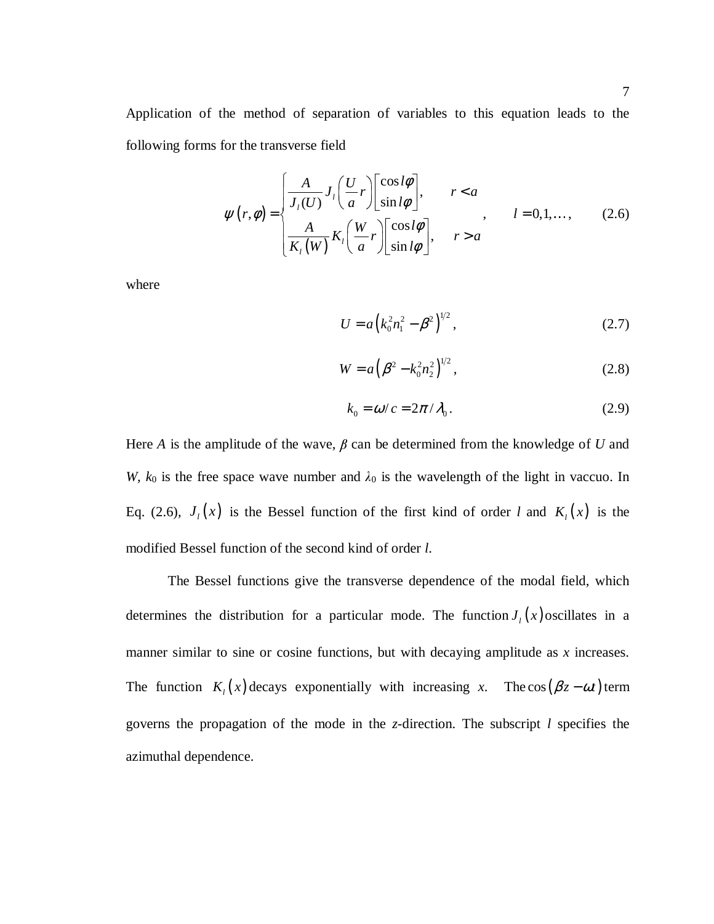Application of the method of separation of variables to this equation leads to the following forms for the transverse field

$$
\psi(r,\phi) = \begin{cases}\n\frac{A}{J_l(U)} J_l\left(\frac{U}{a}r\right) \begin{bmatrix}\n\cos l\phi \\
\sin l\phi\n\end{bmatrix}, & r < a \\
\frac{A}{K_l(W)} K_l\left(\frac{W}{a}r\right) \begin{bmatrix}\n\cos l\phi \\
\sin l\phi\n\end{bmatrix}, & r > a\n\end{cases}
$$
\n(2.6)

where

$$
U = a \left( k_0^2 n_1^2 - \beta^2 \right)^{1/2},\tag{2.7}
$$

$$
W = a \left( \beta^2 - k_0^2 n_2^2 \right)^{1/2},\tag{2.8}
$$

$$
k_0 = \omega/c = 2\pi/\lambda_0.
$$
 (2.9)

Here *A* is the amplitude of the wave,  $\beta$  can be determined from the knowledge of *U* and *W, k*<sup>0</sup> is the free space wave number and  $\lambda$ <sup>0</sup> is the wavelength of the light in vaccuo. In Eq. (2.6),  $J_l(x)$  is the Bessel function of the first kind of order *l* and  $K_l(x)$  is the modified Bessel function of the second kind of order *l*.

The Bessel functions give the transverse dependence of the modal field, which determines the distribution for a particular mode. The function  $J_l(x)$  oscillates in a manner similar to sine or cosine functions, but with decaying amplitude as *x* increases. The function  $K_l(x)$  decays exponentially with increasing *x*. The cos( $\beta z - \omega t$ ) term governs the propagation of the mode in the *z*-direction. The subscript *l* specifies the azimuthal dependence.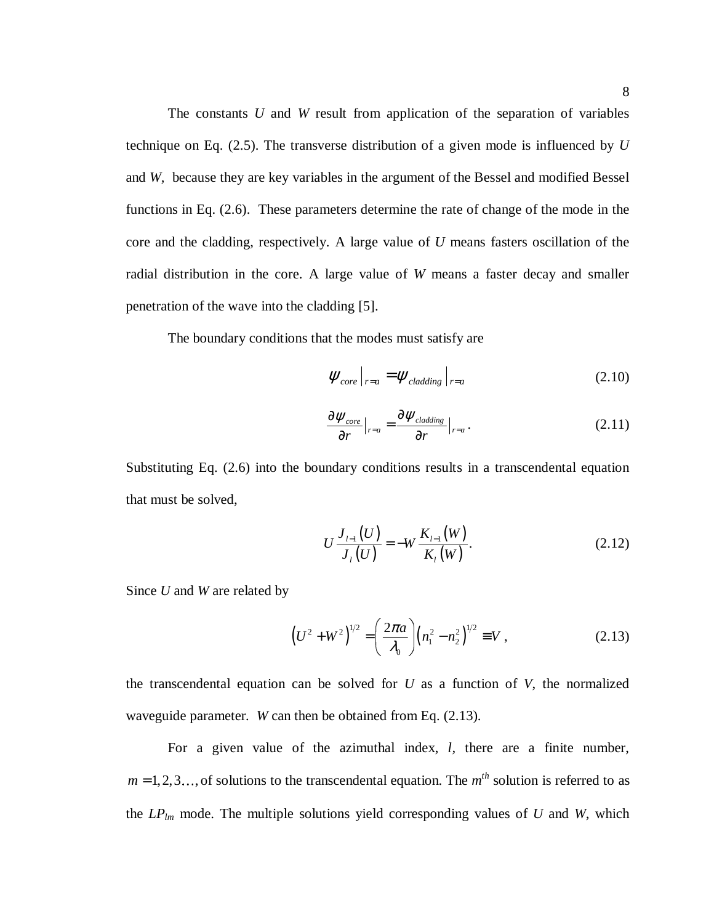The constants *U* and *W* result from application of the separation of variables technique on Eq. (2.5). The transverse distribution of a given mode is influenced by *U* and *W,* because they are key variables in the argument of the Bessel and modified Bessel functions in Eq. (2.6). These parameters determine the rate of change of the mode in the core and the cladding, respectively. A large value of *U* means fasters oscillation of the radial distribution in the core. A large value of *W* means a faster decay and smaller penetration of the wave into the cladding [5].

The boundary conditions that the modes must satisfy are

$$
\left. \psi_{core} \right|_{r=a} = \psi_{cladding} \left|_{r=a} \right. \tag{2.10}
$$

$$
\frac{\partial \psi_{core}}{\partial r}\Big|_{r=a} = \frac{\partial \psi_{cladding}}{\partial r}\Big|_{r=a}.
$$
 (2.11)

Substituting Eq. (2.6) into the boundary conditions results in a transcendental equation that must be solved,

$$
U\frac{J_{I-1}(U)}{J_{I}(U)} = -W\frac{K_{I-1}(W)}{K_{I}(W)}.
$$
\n(2.12)

Since *U* and *W* are related by

$$
\left(U^2 + W^2\right)^{1/2} = \left(\frac{2\pi a}{\lambda_0}\right) \left(n_1^2 - n_2^2\right)^{1/2} \equiv V\,,\tag{2.13}
$$

the transcendental equation can be solved for  $U$  as a function of  $V$ , the normalized waveguide parameter*. W* can then be obtained from Eq. (2.13).

For a given value of the azimuthal index, *l,* there are a finite number,  $m = 1, 2, 3, \ldots$ , of solutions to the transcendental equation. The  $m<sup>th</sup>$  solution is referred to as the  $LP_{lm}$  mode. The multiple solutions yield corresponding values of  $U$  and  $W$ , which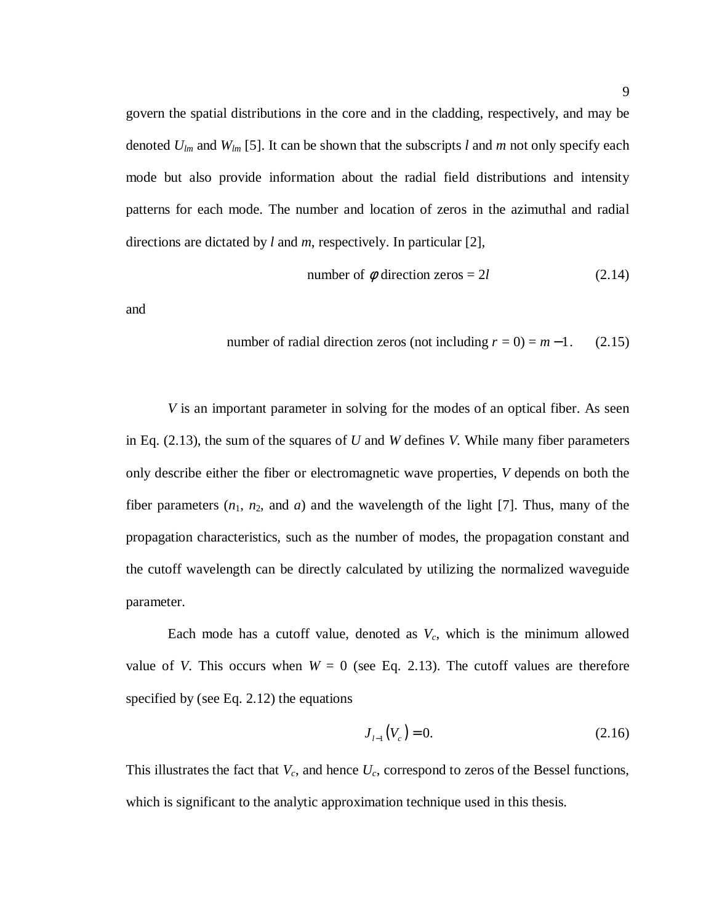govern the spatial distributions in the core and in the cladding, respectively, and may be denoted *Ulm* and *Wlm* [5]. It can be shown that the subscripts *l* and *m* not only specify each mode but also provide information about the radial field distributions and intensity patterns for each mode. The number and location of zeros in the azimuthal and radial directions are dictated by *l* and *m*, respectively. In particular [2],

number of 
$$
\phi
$$
 direction zeros = 2*l* (2.14)

and

number of radial direction zeros (not including 
$$
r = 0
$$
) =  $m-1$ . (2.15)

*V* is an important parameter in solving for the modes of an optical fiber. As seen in Eq. (2.13), the sum of the squares of *U* and *W* defines *V.* While many fiber parameters only describe either the fiber or electromagnetic wave properties, *V* depends on both the fiber parameters  $(n_1, n_2,$  and  $a)$  and the wavelength of the light [7]. Thus, many of the propagation characteristics, such as the number of modes, the propagation constant and the cutoff wavelength can be directly calculated by utilizing the normalized waveguide parameter.

Each mode has a cutoff value, denoted as *Vc*, which is the minimum allowed value of *V*. This occurs when  $W = 0$  (see Eq. 2.13). The cutoff values are therefore specified by (see Eq. 2.12) the equations

$$
J_{l-1}(V_c) = 0.\t(2.16)
$$

This illustrates the fact that *Vc*, and hence *Uc*, correspond to zeros of the Bessel functions, which is significant to the analytic approximation technique used in this thesis.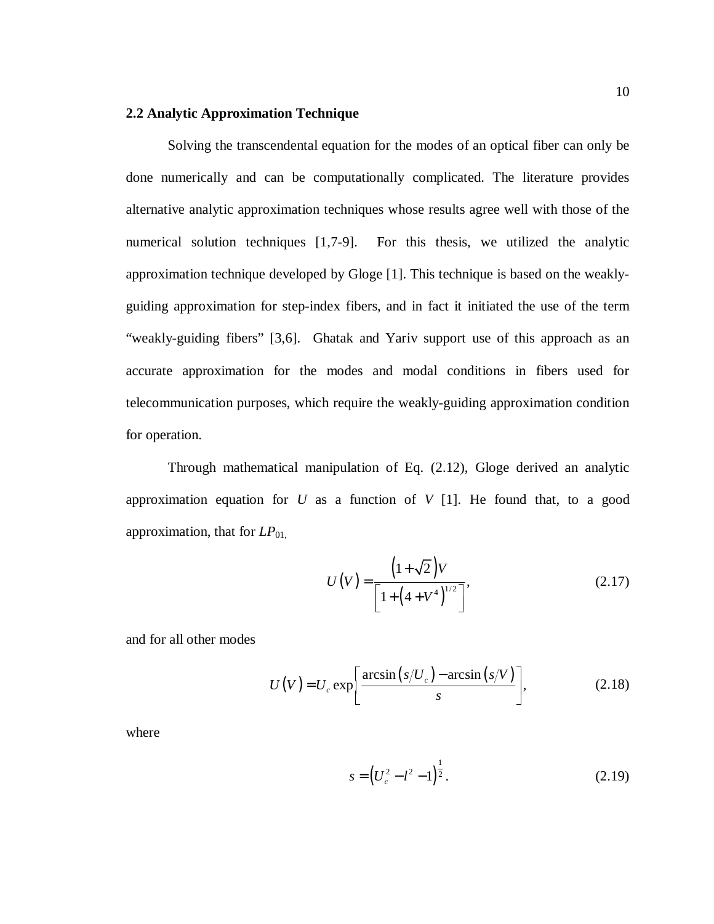#### **2.2 Analytic Approximation Technique**

Solving the transcendental equation for the modes of an optical fiber can only be done numerically and can be computationally complicated. The literature provides alternative analytic approximation techniques whose results agree well with those of the numerical solution techniques [1,7-9]. For this thesis, we utilized the analytic approximation technique developed by Gloge [1]. This technique is based on the weaklyguiding approximation for step-index fibers, and in fact it initiated the use of the term "weakly-guiding fibers" [3,6]. Ghatak and Yariv support use of this approach as an accurate approximation for the modes and modal conditions in fibers used for telecommunication purposes, which require the weakly-guiding approximation condition for operation.

Through mathematical manipulation of Eq. (2.12), Gloge derived an analytic approximation equation for *U* as a function of *V* [1]. He found that, to a good approximation, that for  $LP_{01}$ ,

$$
U(V) = \frac{\left(1 + \sqrt{2}\right)V}{\left[1 + \left(4 + V^4\right)^{1/2}\right]},
$$
\n(2.17)

and for all other modes

$$
U(V) = U_c \exp\left[\frac{\arcsin\left(s/U_c\right) - \arcsin\left(s/V\right)}{s}\right],\tag{2.18}
$$

where

$$
s = \left(U_c^2 - l^2 - 1\right)^{\frac{1}{2}}.\tag{2.19}
$$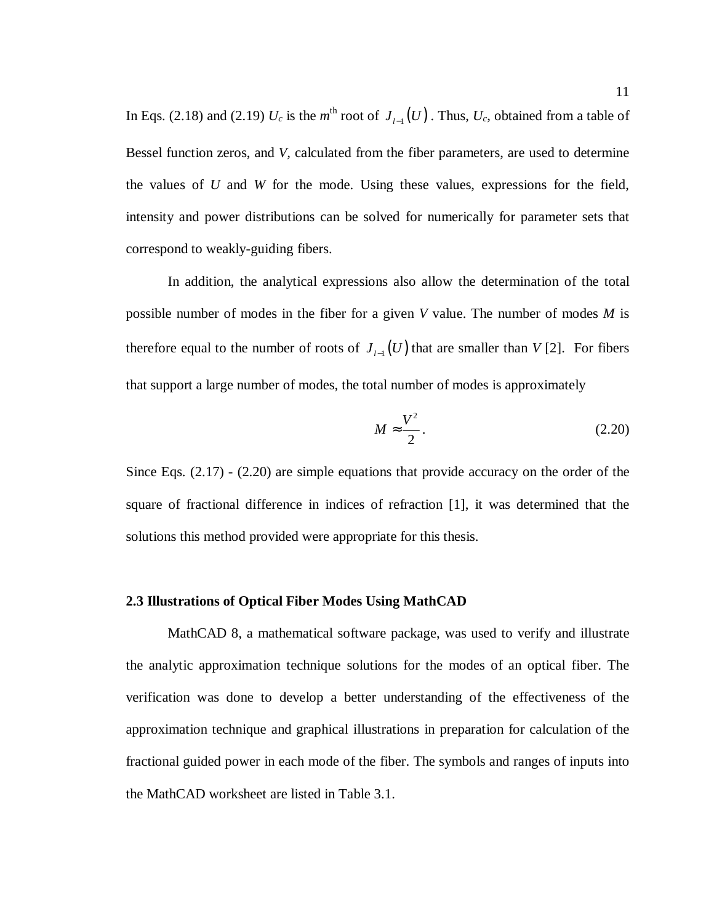In Eqs. (2.18) and (2.19)  $U_c$  is the  $m^{\text{th}}$  root of  $J_{l-1}(U)$ . Thus,  $U_c$ , obtained from a table of Bessel function zeros, and *V,* calculated from the fiber parameters, are used to determine the values of *U* and *W* for the mode. Using these values, expressions for the field, intensity and power distributions can be solved for numerically for parameter sets that correspond to weakly-guiding fibers.

In addition, the analytical expressions also allow the determination of the total possible number of modes in the fiber for a given *V* value. The number of modes *M* is therefore equal to the number of roots of  $J_{l-1}(U)$  that are smaller than  $V$  [2]. For fibers that support a large number of modes, the total number of modes is approximately

$$
M \approx \frac{V^2}{2}.
$$
 (2.20)

Since Eqs. (2.17) - (2.20) are simple equations that provide accuracy on the order of the square of fractional difference in indices of refraction [1], it was determined that the solutions this method provided were appropriate for this thesis.

#### **2.3 Illustrations of Optical Fiber Modes Using MathCAD**

 MathCAD 8, a mathematical software package, was used to verify and illustrate the analytic approximation technique solutions for the modes of an optical fiber. The verification was done to develop a better understanding of the effectiveness of the approximation technique and graphical illustrations in preparation for calculation of the fractional guided power in each mode of the fiber. The symbols and ranges of inputs into the MathCAD worksheet are listed in Table 3.1.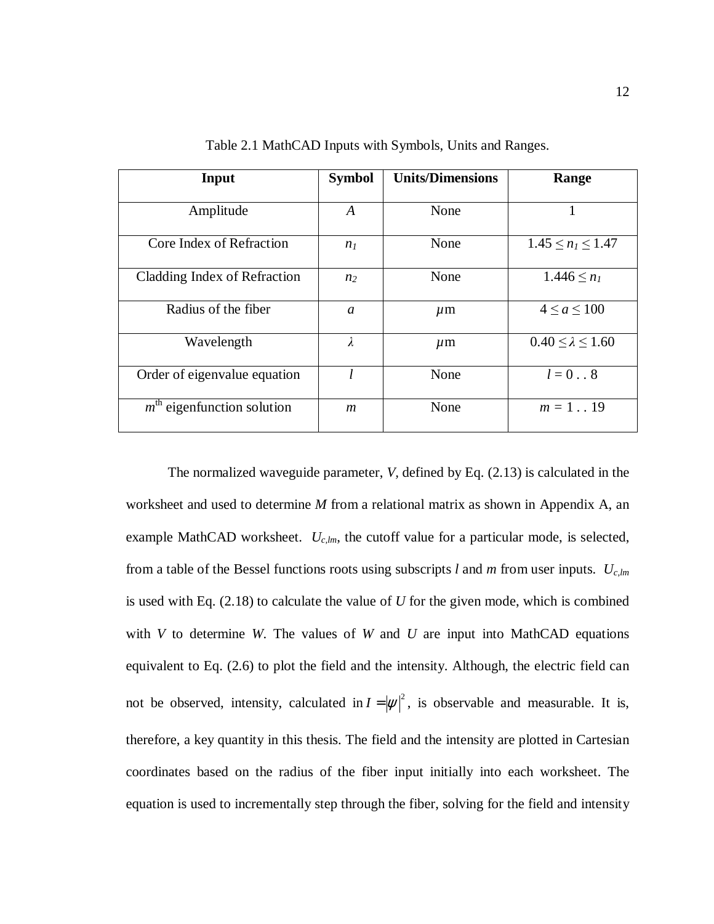| Input                        | <b>Symbol</b>    | <b>Units/Dimensions</b> | Range                         |
|------------------------------|------------------|-------------------------|-------------------------------|
| Amplitude                    | A                | None                    | 1                             |
| Core Index of Refraction     | n <sub>I</sub>   | None                    | $1.45 \le n_l \le 1.47$       |
| Cladding Index of Refraction | n <sub>2</sub>   | None                    | $1.446 \le n_1$               |
| Radius of the fiber          | $\mathfrak a$    | $\mu$ m                 | $4 \le a \le 100$             |
| Wavelength                   | $\lambda$        | $\mu$ m                 | $0.40 \leq \lambda \leq 1.60$ |
| Order of eigenvalue equation |                  | None                    | $l=08$                        |
| $mth$ eigenfunction solution | $\boldsymbol{m}$ | None                    | $m = 119$                     |

Table 2.1 MathCAD Inputs with Symbols, Units and Ranges.

The normalized waveguide parameter, *V,* defined by Eq. (2.13) is calculated in the worksheet and used to determine *M* from a relational matrix as shown in Appendix A, an example MathCAD worksheet.  $U_{c,lm}$ , the cutoff value for a particular mode, is selected, from a table of the Bessel functions roots using subscripts *l* and *m* from user inputs. *Uc,lm* is used with Eq. (2.18) to calculate the value of *U* for the given mode, which is combined with *V* to determine *W*. The values of *W* and *U* are input into MathCAD equations equivalent to Eq. (2.6) to plot the field and the intensity. Although, the electric field can not be observed, intensity, calculated in  $I = |\psi|^2$ , is observable and measurable. It is, therefore, a key quantity in this thesis. The field and the intensity are plotted in Cartesian coordinates based on the radius of the fiber input initially into each worksheet. The equation is used to incrementally step through the fiber, solving for the field and intensity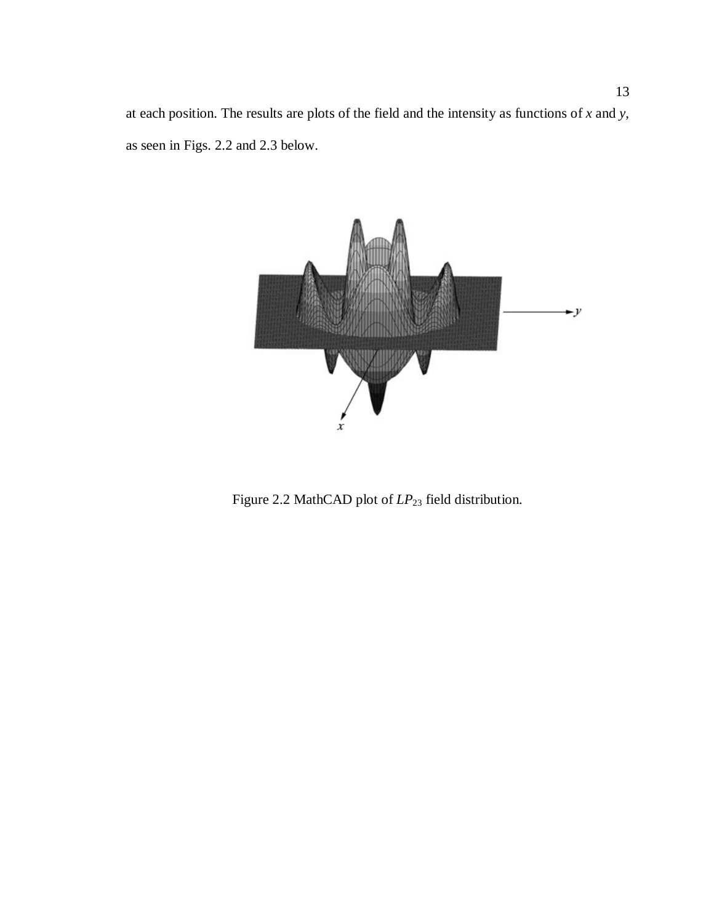at each position. The results are plots of the field and the intensity as functions of *x* and *y,*  as seen in Figs. 2.2 and 2.3 below.



Figure 2.2 MathCAD plot of  $LP_{23}$  field distribution.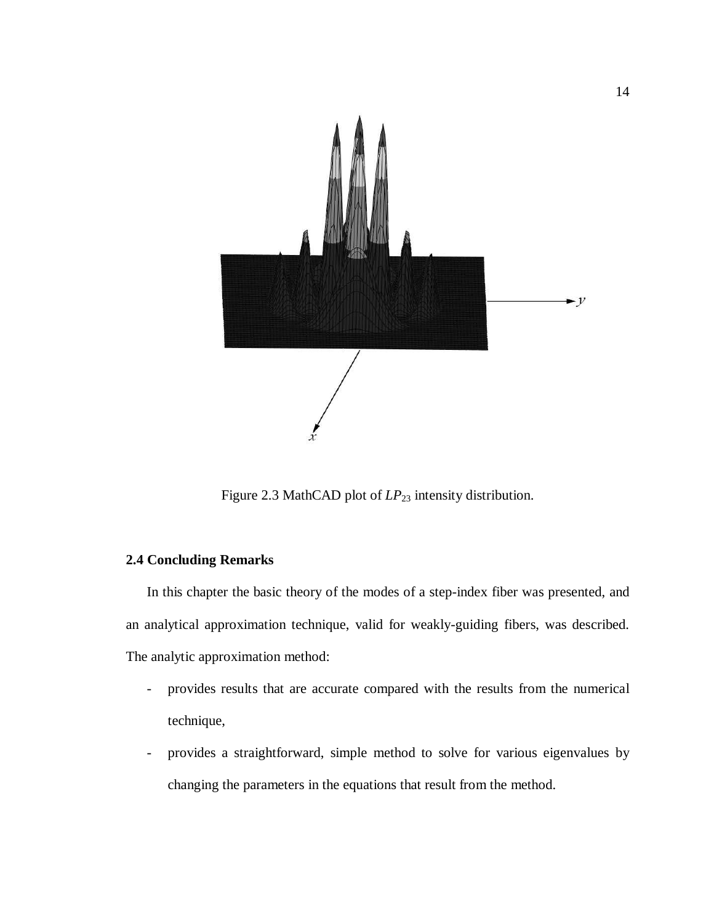

Figure 2.3 MathCAD plot of  $LP_{23}$  intensity distribution.

### **2.4 Concluding Remarks**

In this chapter the basic theory of the modes of a step-index fiber was presented, and an analytical approximation technique, valid for weakly-guiding fibers, was described. The analytic approximation method:

- provides results that are accurate compared with the results from the numerical technique,
- provides a straightforward, simple method to solve for various eigenvalues by changing the parameters in the equations that result from the method.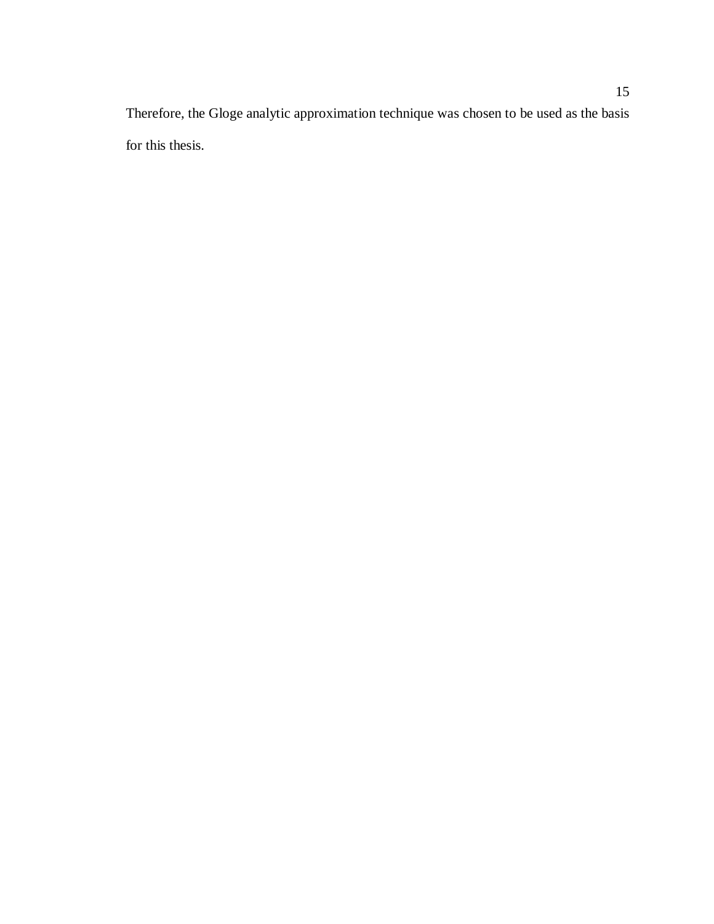Therefore, the Gloge analytic approximation technique was chosen to be used as the basis for this thesis.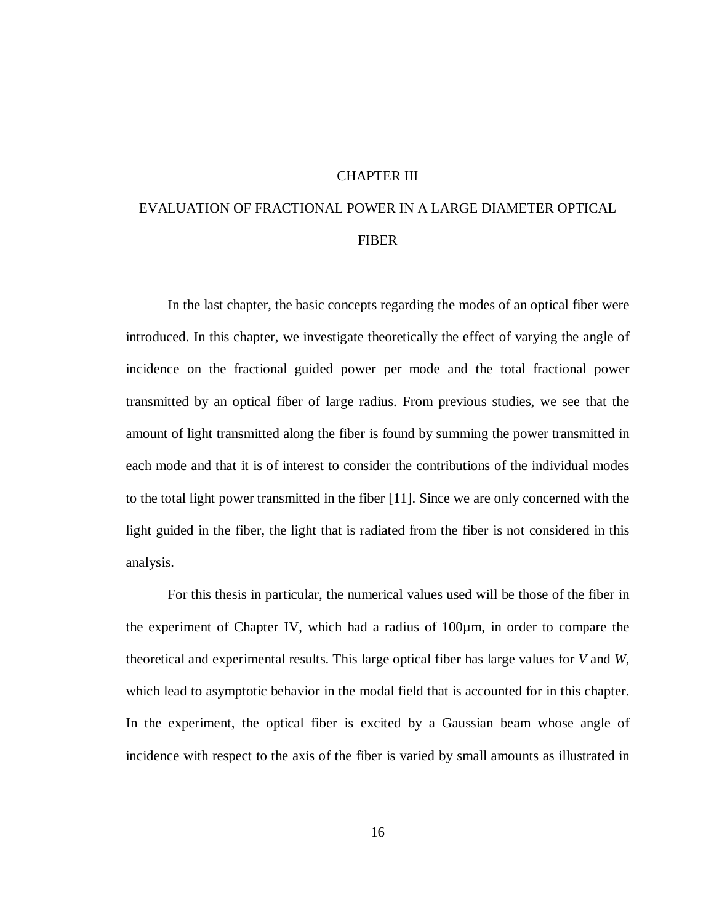#### CHAPTER III

# EVALUATION OF FRACTIONAL POWER IN A LARGE DIAMETER OPTICAL FIBER

 In the last chapter, the basic concepts regarding the modes of an optical fiber were introduced. In this chapter, we investigate theoretically the effect of varying the angle of incidence on the fractional guided power per mode and the total fractional power transmitted by an optical fiber of large radius. From previous studies, we see that the amount of light transmitted along the fiber is found by summing the power transmitted in each mode and that it is of interest to consider the contributions of the individual modes to the total light power transmitted in the fiber [11]. Since we are only concerned with the light guided in the fiber, the light that is radiated from the fiber is not considered in this analysis.

For this thesis in particular, the numerical values used will be those of the fiber in the experiment of Chapter IV, which had a radius of 100µm, in order to compare the theoretical and experimental results. This large optical fiber has large values for *V* and *W*, which lead to asymptotic behavior in the modal field that is accounted for in this chapter. In the experiment, the optical fiber is excited by a Gaussian beam whose angle of incidence with respect to the axis of the fiber is varied by small amounts as illustrated in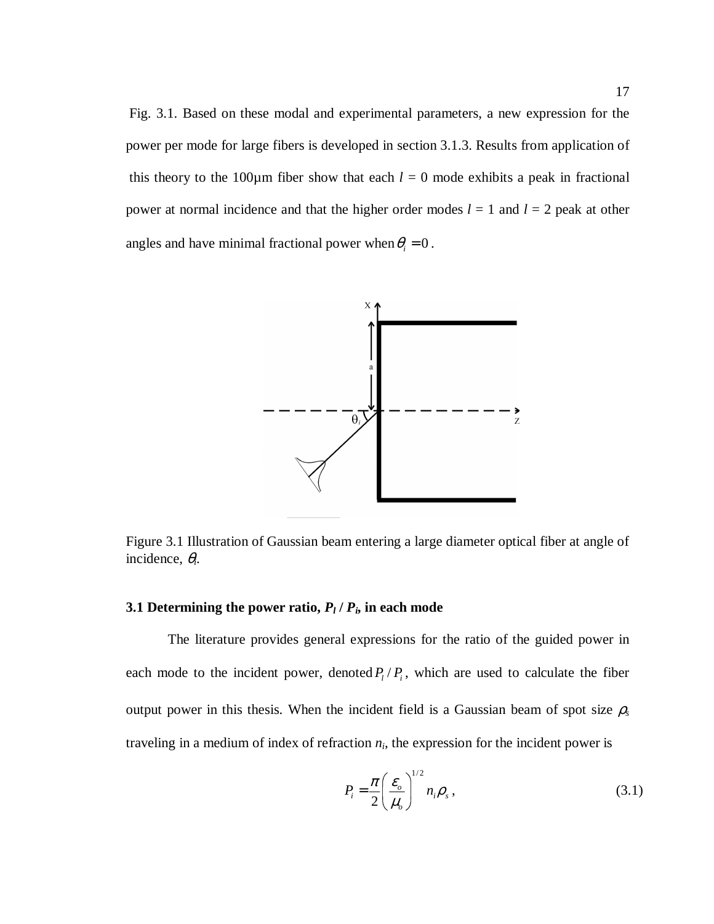Fig. 3.1. Based on these modal and experimental parameters, a new expression for the power per mode for large fibers is developed in section 3.1.3. Results from application of this theory to the 100 $\mu$ m fiber show that each  $l = 0$  mode exhibits a peak in fractional power at normal incidence and that the higher order modes  $l = 1$  and  $l = 2$  peak at other angles and have minimal fractional power when  $\theta_i = 0$ .



Figure 3.1 Illustration of Gaussian beam entering a large diameter optical fiber at angle of incidence, θ*i*.

#### **3.1 Determining the power ratio,**  $P_l$  **/**  $P_i$ **, in each mode**

 The literature provides general expressions for the ratio of the guided power in each mode to the incident power, denoted  $P_l/P_i$ , which are used to calculate the fiber output power in this thesis. When the incident field is a Gaussian beam of spot size  $\rho_s$ traveling in a medium of index of refraction  $n_i$ , the expression for the incident power is

$$
P_i = \frac{\pi}{2} \left( \frac{\varepsilon_o}{\mu_o} \right)^{1/2} n_i \rho_s , \qquad (3.1)
$$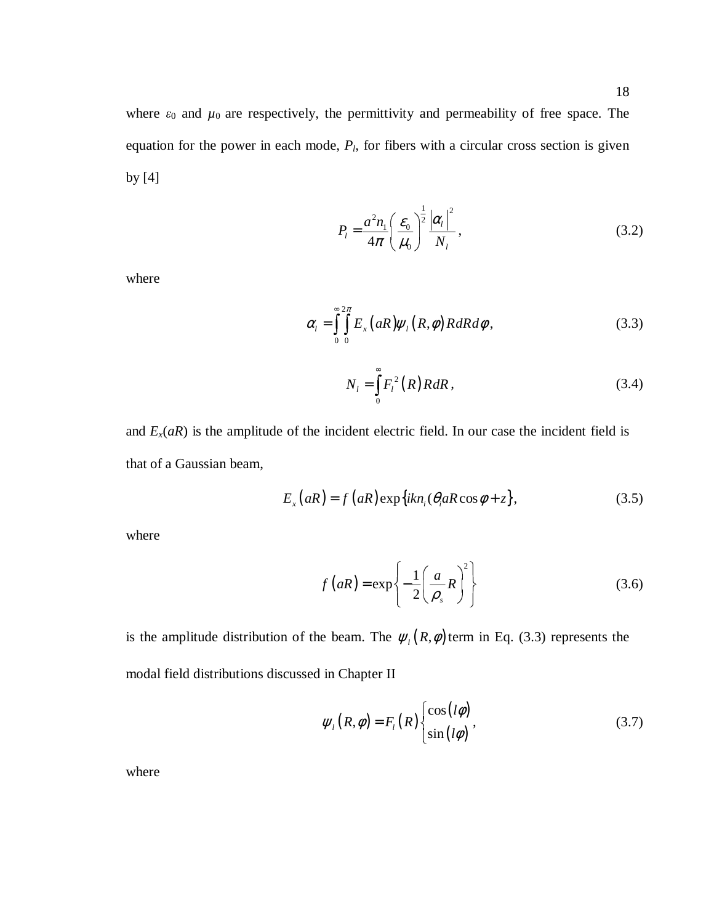where  $\varepsilon_0$  and  $\mu_0$  are respectively, the permittivity and permeability of free space. The equation for the power in each mode, *Pl*, for fibers with a circular cross section is given by [4]

$$
P_l = \frac{a^2 n_1}{4\pi} \left(\frac{\varepsilon_0}{\mu_0}\right)^{\frac{1}{2}} \frac{|\alpha_l|^2}{N_l},
$$
\n(3.2)

where

$$
\alpha_{l} = \int_{0}^{\infty} \int_{0}^{2\pi} E_{x} (aR) \psi_{l} (R, \phi) RdR d\phi, \qquad (3.3)
$$

$$
N_{l} = \int_{0}^{\infty} F_{l}^{2}(R) R dR,
$$
 (3.4)

and  $E_x(aR)$  is the amplitude of the incident electric field. In our case the incident field is that of a Gaussian beam,

$$
E_x(aR) = f(aR) \exp\{ikn_i(\theta_i aR \cos \phi + z\},\tag{3.5}
$$

where

$$
f(aR) = \exp\left\{-\frac{1}{2}\left(\frac{a}{\rho_s}R\right)^2\right\}
$$
 (3.6)

is the amplitude distribution of the beam. The  $\psi_l(R, \phi)$  term in Eq. (3.3) represents the modal field distributions discussed in Chapter II

$$
\psi_{l}(R,\phi) = F_{l}(R) \begin{cases} \cos(l\phi) \\ \sin(l\phi) \end{cases}, \tag{3.7}
$$

 $\sim$   $\sim$   $\sim$   $\sim$   $\sim$   $\sim$ 

where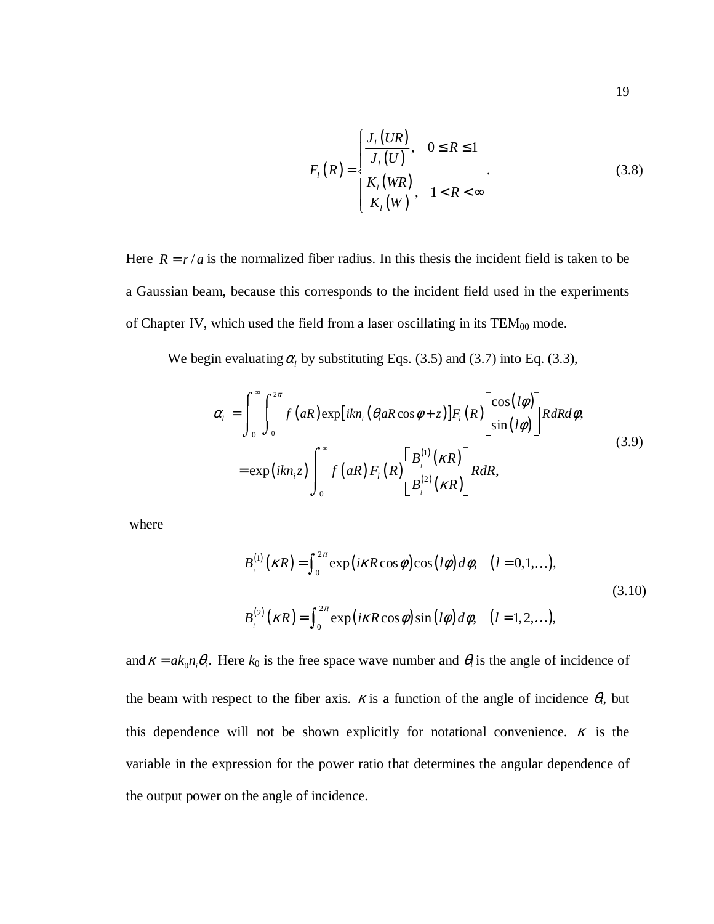$$
F_{i}(R) = \begin{cases} \frac{J_{i}(UR)}{J_{i}(U)}, & 0 \le R \le 1\\ \frac{K_{i}(WR)}{K_{i}(W)}, & 1 < R < \infty \end{cases}
$$
(3.8)

Here  $R = r/a$  is the normalized fiber radius. In this thesis the incident field is taken to be a Gaussian beam, because this corresponds to the incident field used in the experiments of Chapter IV, which used the field from a laser oscillating in its  $TEM_{00}$  mode.

We begin evaluating  $\alpha_l$  by substituting Eqs. (3.5) and (3.7) into Eq. (3.3),

$$
\alpha_{i} = \int_{0}^{\infty} \int_{0}^{2\pi} f(aR) \exp[ikn_{i} (\theta_{i} aR \cos \phi + z)] F_{i}(R) \left[ \frac{\cos(l\phi)}{\sin(l\phi)} \right] R dR d\phi,
$$
  
\n
$$
= \exp(ikn_{i}z) \int_{0}^{\infty} f(aR) F_{i}(R) \left[ \frac{B_{i}^{(1)}(\kappa R)}{B_{i}^{(2)}(\kappa R)} \right] R dR,
$$
\n(3.9)

where

$$
B_{l}^{(1)}(\kappa R) = \int_{0}^{2\pi} \exp\left(i\kappa R \cos\phi\right) \cos\left(l\phi\right) d\phi, \quad (l = 0, 1, ...),
$$
  
\n
$$
B_{l}^{(2)}(\kappa R) = \int_{0}^{2\pi} \exp\left(i\kappa R \cos\phi\right) \sin\left(l\phi\right) d\phi, \quad (l = 1, 2, ...),
$$
\n(3.10)

and  $\kappa = ak_0 n_i \theta_i$ . Here  $k_0$  is the free space wave number and  $\theta_i$  is the angle of incidence of the beam with respect to the fiber axis.  $\kappa$  is a function of the angle of incidence  $\theta_i$ , but this dependence will not be shown explicitly for notational convenience.  $\kappa$  is the variable in the expression for the power ratio that determines the angular dependence of the output power on the angle of incidence.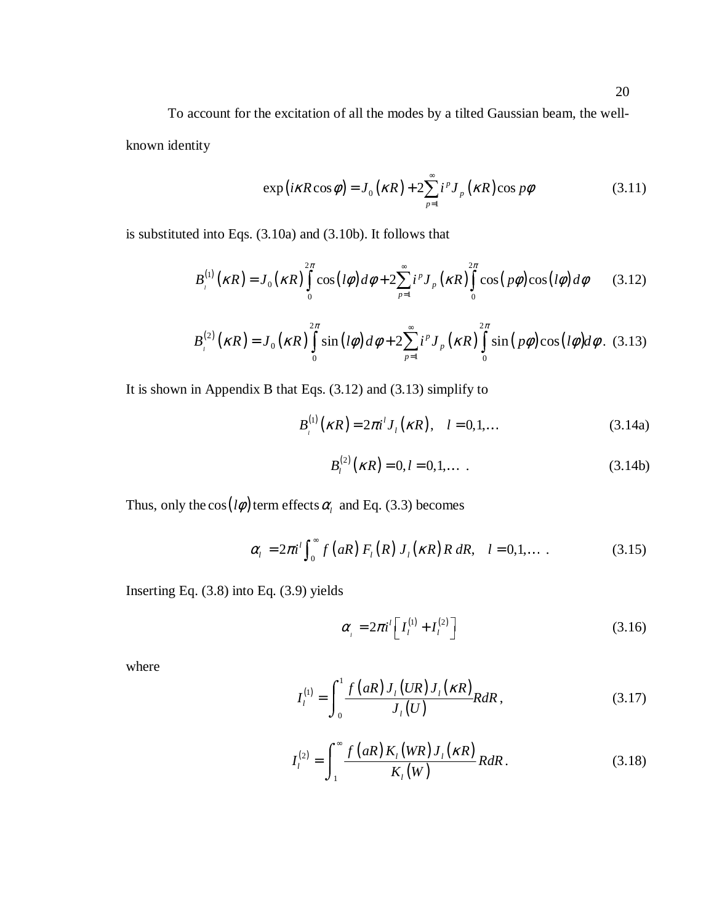To account for the excitation of all the modes by a tilted Gaussian beam, the wellknown identity

$$
\exp\left(i\kappa R\cos\phi\right) = J_0\left(\kappa R\right) + 2\sum_{p=1}^{\infty} i^p J_p\left(\kappa R\right)\cos p\phi\tag{3.11}
$$

is substituted into Eqs. (3.10a) and (3.10b). It follows that

$$
B_{i}^{(1)}\left(\kappa R\right) = J_{0}\left(\kappa R\right) \int_{0}^{2\pi} \cos\left(\frac{l\phi}{d\phi} + 2\sum_{p=1}^{\infty} i^{p} J_{p}\left(\kappa R\right) \int_{0}^{2\pi} \cos\left(\frac{p\phi}{d\phi}\right) \cos\left(\frac{l\phi}{d\phi}\right) d\phi \tag{3.12}
$$

$$
B_{i}^{(2)}(\kappa R) = J_0(\kappa R) \int_{0}^{2\pi} \sin(l\phi) d\phi + 2 \sum_{p=1}^{\infty} i^p J_p(\kappa R) \int_{0}^{2\pi} \sin(p\phi) \cos(l\phi) d\phi. \tag{3.13}
$$

It is shown in Appendix B that Eqs. (3.12) and (3.13) simplify to

$$
B_{i}^{(1)}(\kappa R) = 2\pi i^{l} J_{l}(\kappa R), \quad l = 0, 1, ... \tag{3.14a}
$$

$$
B_l^{(2)}(\kappa R) = 0, l = 0, 1, \dots
$$
 (3.14b)

Thus, only the  $cos(l\phi)$  term effects  $\alpha_l$  and Eq. (3.3) becomes

$$
\alpha_l = 2\pi i^l \int_0^\infty f(aR) F_l(R) J_l(\kappa R) R dR, \quad l = 0, 1, \dots \tag{3.15}
$$

Inserting Eq. (3.8) into Eq. (3.9) yields

$$
\alpha_{i} = 2\pi i^{i} \left[ I_{i}^{(1)} + I_{i}^{(2)} \right] \tag{3.16}
$$

where

$$
I_l^{(1)} = \int_0^1 \frac{f(aR)J_l(UR)J_l(\kappa R)}{J_l(U)}R dR, \qquad (3.17)
$$

$$
I_l^{(2)} = \int_1^\infty \frac{f(aR)K_l(WR)J_l(\kappa R)}{K_l(W)}R dR.
$$
 (3.18)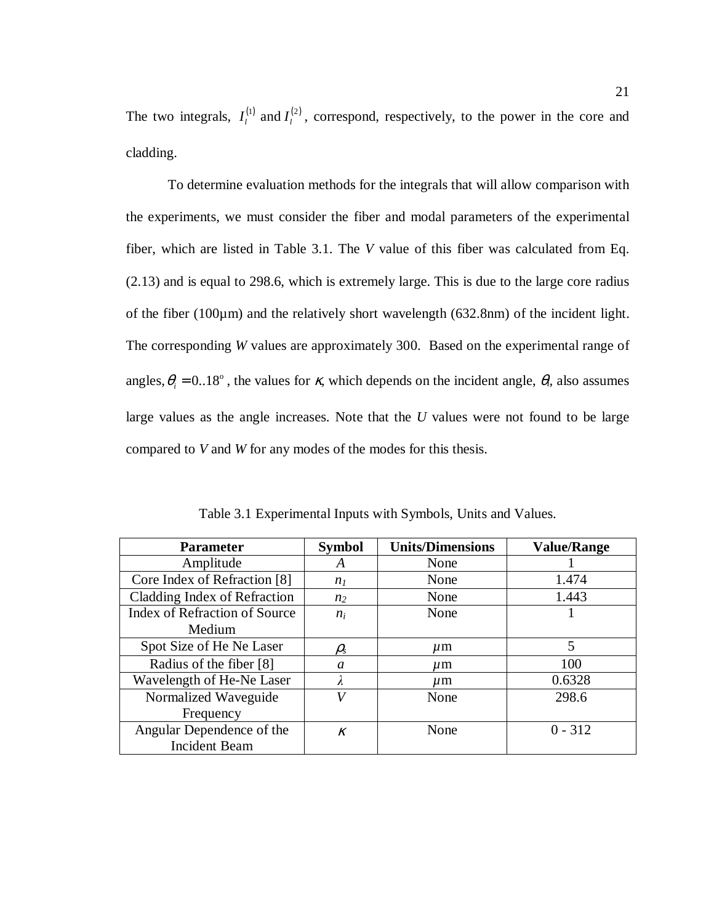The two integrals,  $I_l^{(1)}$  and  $I_l^{(2)}$ , correspond, respectively, to the power in the core and cladding.

To determine evaluation methods for the integrals that will allow comparison with the experiments, we must consider the fiber and modal parameters of the experimental fiber, which are listed in Table 3.1. The *V* value of this fiber was calculated from Eq. (2.13) and is equal to 298.6, which is extremely large. This is due to the large core radius of the fiber (100µm) and the relatively short wavelength (632.8nm) of the incident light. The corresponding *W* values are approximately 300. Based on the experimental range of angles,  $\theta_i = 0.18^\circ$ , the values for  $\kappa$ , which depends on the incident angle,  $\theta_i$ , also assumes large values as the angle increases. Note that the *U* values were not found to be large compared to *V* and *W* for any modes of the modes for this thesis.

| <b>Parameter</b>                     | <b>Symbol</b>                 | <b>Units/Dimensions</b> | <b>Value/Range</b> |
|--------------------------------------|-------------------------------|-------------------------|--------------------|
| Amplitude                            | A                             | None                    |                    |
| Core Index of Refraction [8]         | n <sub>I</sub>                | None                    | 1.474              |
| Cladding Index of Refraction         | n <sub>2</sub>                | None                    | 1.443              |
| <b>Index of Refraction of Source</b> | $n_i$                         | None                    |                    |
| Medium                               |                               |                         |                    |
| Spot Size of He Ne Laser             | $\rho_{\scriptscriptstyle S}$ | $\mu$ m                 | 5                  |
| Radius of the fiber [8]              | a                             | $\mu$ m                 | 100                |
| Wavelength of He-Ne Laser            | $\lambda$                     | $\mu$ m                 | 0.6328             |
| Normalized Waveguide                 | V                             | None                    | 298.6              |
| Frequency                            |                               |                         |                    |
| Angular Dependence of the            | K                             | None                    | $0 - 312$          |
| <b>Incident Beam</b>                 |                               |                         |                    |

Table 3.1 Experimental Inputs with Symbols, Units and Values.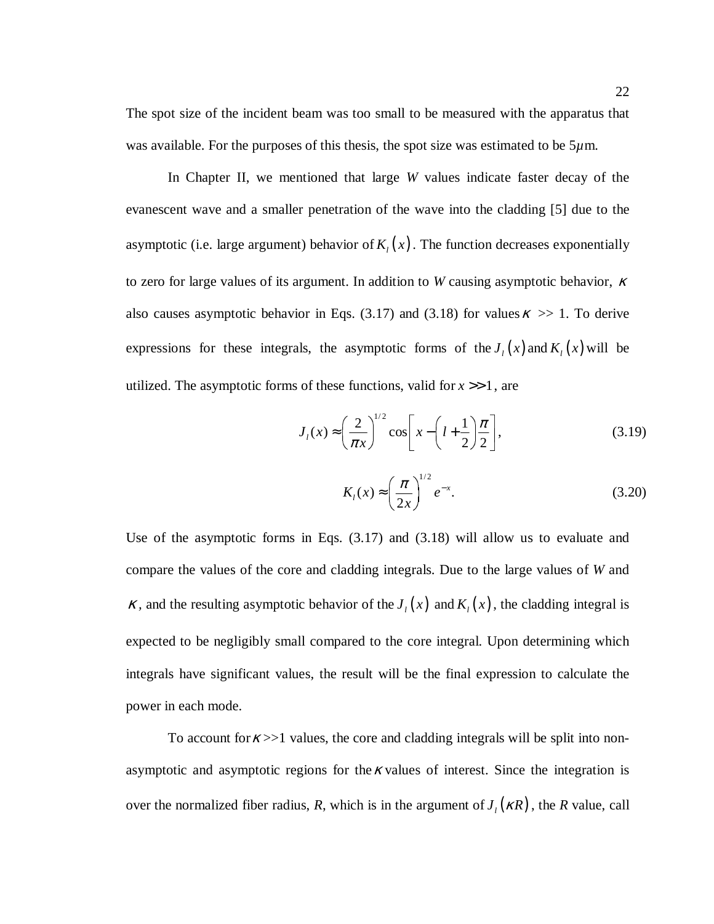The spot size of the incident beam was too small to be measured with the apparatus that was available. For the purposes of this thesis, the spot size was estimated to be  $5\mu$ m.

In Chapter II, we mentioned that large *W* values indicate faster decay of the evanescent wave and a smaller penetration of the wave into the cladding [5] due to the asymptotic (i.e. large argument) behavior of  $K_i(x)$ . The function decreases exponentially to zero for large values of its argument. In addition to *W* causing asymptotic behavior, <sup>κ</sup> also causes asymptotic behavior in Eqs. (3.17) and (3.18) for values  $\kappa \gg 1$ . To derive expressions for these integrals, the asymptotic forms of the  $J_l(x)$  and  $K_l(x)$  will be utilized. The asymptotic forms of these functions, valid for  $x \gg 1$ , are

$$
J_l(x) \approx \left(\frac{2}{\pi x}\right)^{1/2} \cos\left[x - \left(l + \frac{1}{2}\right)\frac{\pi}{2}\right],\tag{3.19}
$$

$$
K_l(x) \approx \left(\frac{\pi}{2x}\right)^{1/2} e^{-x}.
$$
 (3.20)

Use of the asymptotic forms in Eqs. (3.17) and (3.18) will allow us to evaluate and compare the values of the core and cladding integrals. Due to the large values of *W* and  $\kappa$ , and the resulting asymptotic behavior of the  $J_i(x)$  and  $K_i(x)$ , the cladding integral is expected to be negligibly small compared to the core integral. Upon determining which integrals have significant values, the result will be the final expression to calculate the power in each mode.

To account for  $\kappa >>1$  values, the core and cladding integrals will be split into nonasymptotic and asymptotic regions for the  $\kappa$  values of interest. Since the integration is over the normalized fiber radius, *R*, which is in the argument of  $J_l(kR)$ , the *R* value, call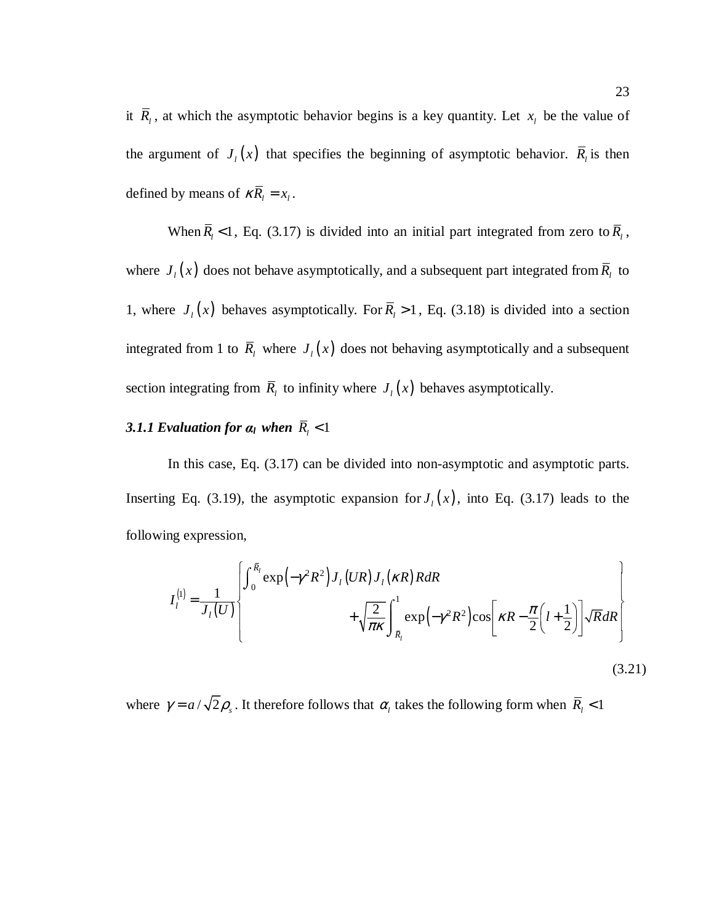it  $\overline{R}_l$ , at which the asymptotic behavior begins is a key quantity. Let  $x_l$  be the value of the argument of  $J_l(x)$  that specifies the beginning of asymptotic behavior.  $R_l$  is then defined by means of  $\kappa \overline{R}_l = x_l$ .

When  $R_l$  < 1, Eq. (3.17) is divided into an initial part integrated from zero to  $R_l$ , where  $J_l(x)$  does not behave asymptotically, and a subsequent part integrated from  $\overline{R}_l$  to 1, where  $J_i(x)$  behaves asymptotically. For  $R_i > 1$ , Eq. (3.18) is divided into a section integrated from 1 to  $\overline{R}_l$  where  $J_l(x)$  does not behaving asymptotically and a subsequent section integrating from  $\overline{R}_l$  to infinity where  $J_l(x)$  behaves asymptotically.

### **3.1.1 Evaluation for**  $a_l$  **when**  $R_l < 1$

In this case, Eq. (3.17) can be divided into non-asymptotic and asymptotic parts. Inserting Eq. (3.19), the asymptotic expansion for  $J_l(x)$ , into Eq. (3.17) leads to the following expression,

$$
I_{l}^{(1)} = \frac{1}{J_{l}(U)} \left\{ \int_{0}^{\bar{R}_{l}} \exp\left(-\gamma^{2} R^{2}\right) J_{l}\left(UR\right) J_{l}\left(\kappa R\right) R dR + \sqrt{\frac{2}{\pi \kappa}} \int_{\bar{R}_{l}}^{1} \exp\left(-\gamma^{2} R^{2}\right) \cos\left[\kappa R - \frac{\pi}{2} \left(l + \frac{1}{2}\right)\right] \sqrt{R} dR \right\}
$$
\n(3.21)

where  $\gamma = a / \sqrt{2\rho_s}$ . It therefore follows that  $\alpha_l$  takes the following form when  $\bar{R}_l < 1$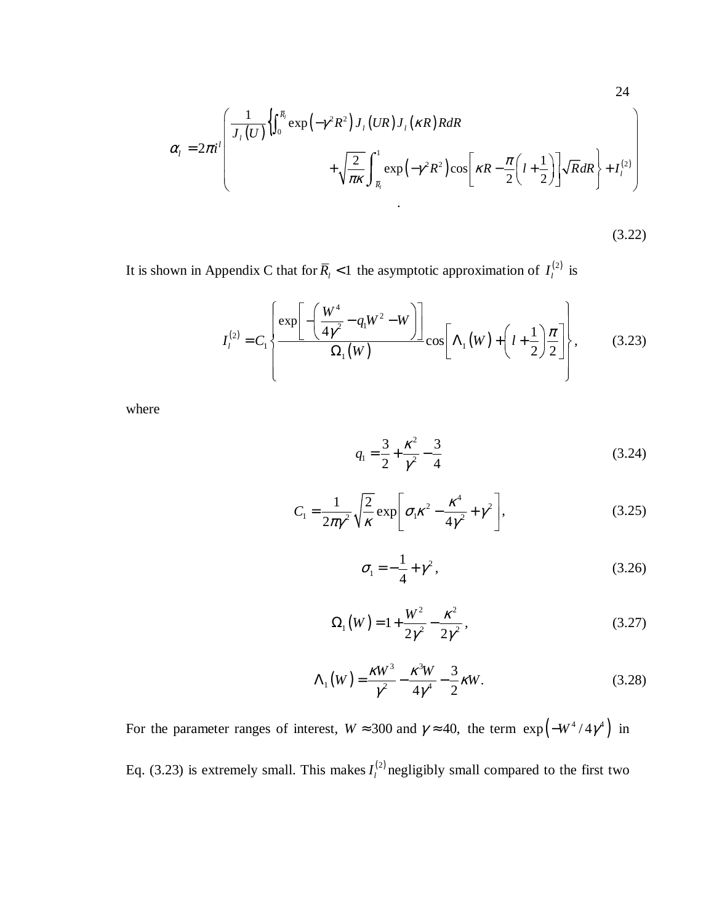24  
\n
$$
\alpha_{l} = 2\pi i^{l} \left( \frac{1}{J_{l}(U)} \left\{ \int_{0}^{\overline{R}_{l}} \exp\left(-\gamma^{2} R^{2}\right) J_{l}(UR) J_{l}(\kappa R) R dR + \sqrt{\frac{2}{\pi \kappa}} \int_{\overline{R}_{l}}^{1} \exp\left(-\gamma^{2} R^{2}\right) \cos\left[\kappa R - \frac{\pi}{2} \left(l + \frac{1}{2}\right)\right] \sqrt{R} dR \right\} + I_{l}^{(2)}
$$

 $(3.22)$ 

It is shown in Appendix C that for  $\overline{R}_l$  < 1 the asymptotic approximation of  $I_l^{(2)}$  is

$$
I_{l}^{(2)} = C_{1} \left\{ \frac{\exp \left[ -\left(\frac{W^{4}}{4\gamma^{2}} - q_{1}W^{2} - W\right) \right]}{\Omega_{1}(W)} \cos \left[\Lambda_{1}(W) + \left(l + \frac{1}{2}\right)\frac{\pi}{2}\right] \right\},
$$
(3.23)

where

$$
q_1 = \frac{3}{2} + \frac{\kappa^2}{\gamma^2} - \frac{3}{4}
$$
 (3.24)

$$
C_1 = \frac{1}{2\pi\gamma^2} \sqrt{\frac{2}{\kappa}} \exp\left[\sigma_1 \kappa^2 - \frac{\kappa^4}{4\gamma^2} + \gamma^2\right],
$$
 (3.25)

$$
\sigma_1 = -\frac{1}{4} + \gamma^2, \tag{3.26}
$$

$$
\Omega_1(W) = 1 + \frac{W^2}{2\gamma^2} - \frac{\kappa^2}{2\gamma^2},
$$
\n(3.27)

$$
\Lambda_1(W) = \frac{\kappa W^3}{\gamma^2} - \frac{\kappa^3 W}{4\gamma^4} - \frac{3}{2} \kappa W.
$$
 (3.28)

For the parameter ranges of interest,  $W \approx 300$  and  $\gamma \approx 40$ , the term  $\exp(-W^4/4\gamma^4)$  in Eq. (3.23) is extremely small. This makes  $I_l^{(2)}$  negligibly small compared to the first two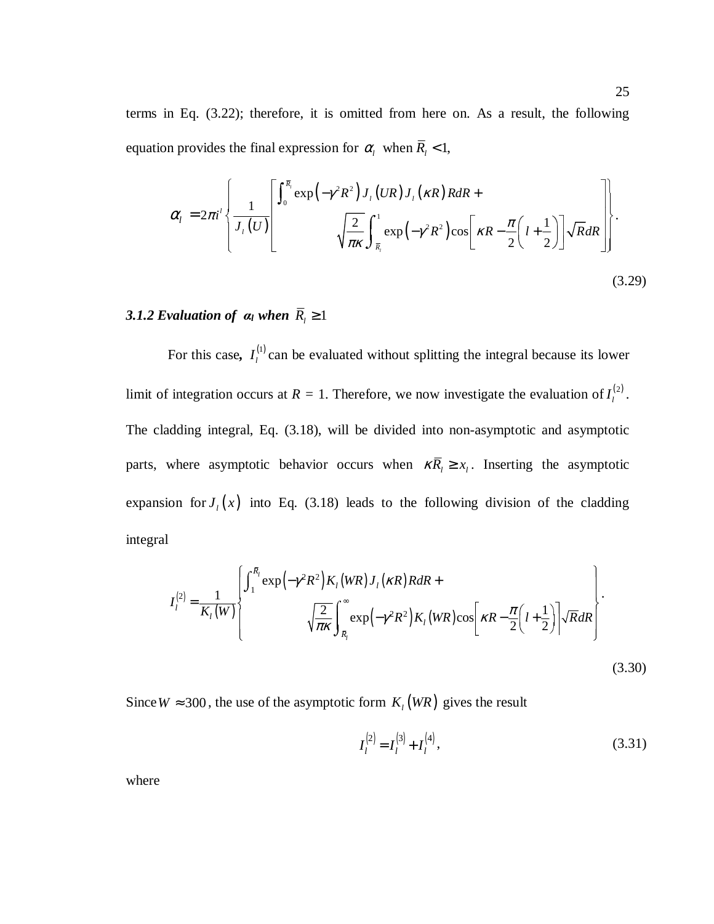terms in Eq. (3.22); therefore, it is omitted from here on. As a result, the following equation provides the final expression for  $\alpha_l$  when  $\overline{R}_l < 1$ ,

$$
\alpha_{l} = 2\pi i^{l} \left\{ \frac{1}{J_{l}(U)} \left[ \frac{\int_{0}^{\overline{R}_{l}} \exp\left(-\gamma^{2} R^{2}\right) J_{l}(UR) J_{l}(\kappa R) R dR + \sqrt{\frac{2}{\pi \kappa}} \int_{\overline{R}_{l}}^{1} \exp\left(-\gamma^{2} R^{2}\right) \cos\left[\kappa R - \frac{\pi}{2} \left(l + \frac{1}{2}\right)\right] \sqrt{R} dR \right] \right\}.
$$
\n(3.29)

# 3.1.2 Evaluation of  $a_l$  when  $\overline{R}_l \geq 1$

For this case,  $I_l^{(1)}$  $I_l^{(1)}$  can be evaluated without splitting the integral because its lower limit of integration occurs at  $R = 1$ . Therefore, we now investigate the evaluation of  $I_l^{(2)}$ . The cladding integral, Eq. (3.18), will be divided into non-asymptotic and asymptotic parts, where asymptotic behavior occurs when  $\kappa \overline{R}_l \ge x_l$ . Inserting the asymptotic expansion for  $J_l(x)$  into Eq. (3.18) leads to the following division of the cladding integral

$$
I_{l}^{(2)} = \frac{1}{K_{l}(W)} \left\{ \int_{1}^{\bar{R}_{l}} \exp\left(-\gamma^{2} R^{2}\right) K_{l}(WR) J_{l}(\kappa R) R dR + \sqrt{\frac{2}{\pi \kappa}} \int_{\bar{R}_{l}}^{\infty} \exp\left(-\gamma^{2} R^{2}\right) K_{l}(WR) \cos\left[\kappa R - \frac{\pi}{2} \left(l + \frac{1}{2}\right)\right] \sqrt{R} dR \right\}.
$$
\n(3.30)

Since  $W \approx 300$ , the use of the asymptotic form  $K_l(WR)$  gives the result

$$
I_l^{(2)} = I_l^{(3)} + I_l^{(4)},\tag{3.31}
$$

where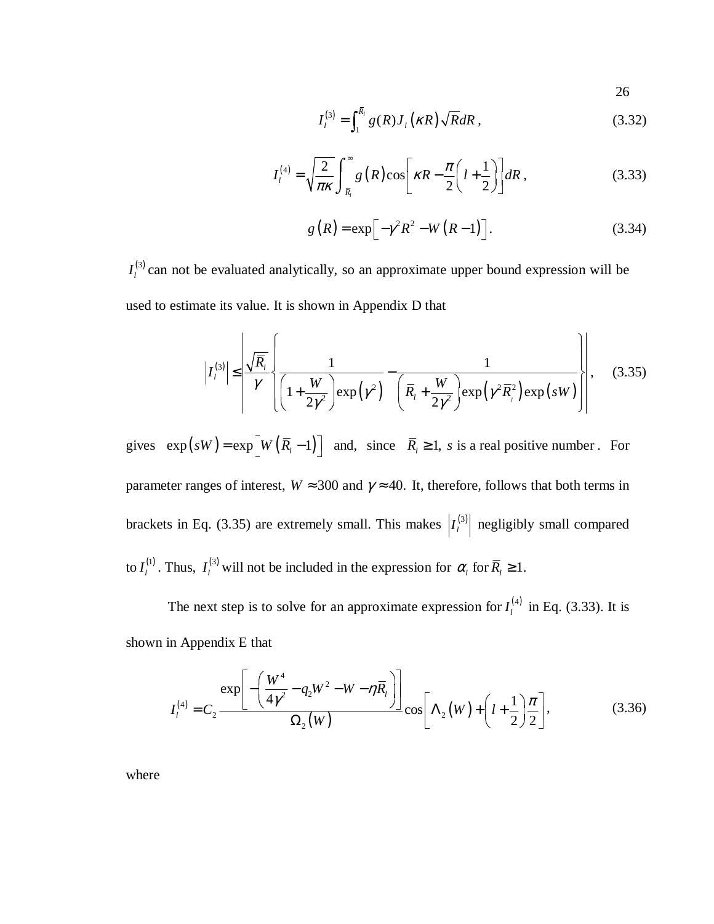26

$$
I_l^{(3)} = \int_1^{\bar{R}_l} g(R) J_l(\kappa R) \sqrt{R} dR , \qquad (3.32)
$$

$$
I_l^{(4)} = \sqrt{\frac{2}{\pi \kappa}} \int_{\overline{R}_l}^{\infty} g\left(R\right) \cos\left[\kappa R - \frac{\pi}{2} \left(l + \frac{1}{2}\right)\right] dR\,,\tag{3.33}
$$

$$
g(R) = \exp\left[-\gamma^2 R^2 - W(R-1)\right].
$$
 (3.34)

(3)  $I_l^{(3)}$  can not be evaluated analytically, so an approximate upper bound expression will be used to estimate its value. It is shown in Appendix D that

$$
\left| I_l^{(3)} \right| \leq \left| \frac{\sqrt{\overline{R}_l}}{\gamma} \left\{ \frac{1}{\left( 1 + \frac{W}{2\gamma^2} \right) \exp\left( \gamma^2 \right)} - \frac{1}{\left( \overline{R}_l + \frac{W}{2\gamma^2} \right) \exp\left( \gamma^2 \overline{R}_l^2 \right) \exp\left( sW \right)} \right\} \right|, \quad (3.35)
$$

gives  $\exp(sW) = \exp[W(\overline{R}_l - 1)]$  and, since  $\overline{R}_l \ge 1$ , s is a real positive number. For parameter ranges of interest,  $W \approx 300$  and  $\gamma \approx 40$ . It, therefore, follows that both terms in brackets in Eq. (3.35) are extremely small. This makes  $\left| I_l^{(3)} \right|$  negligibly small compared to  $I_l^{(1)}$ . Thus,  $I_l^{(3)}$  will not be included in the expression for  $\alpha_l$  for  $\overline{R}_l \geq 1$ .

The next step is to solve for an approximate expression for  $I_l^{(4)}$  in Eq. (3.33). It is shown in Appendix E that

$$
I_{l}^{(4)} = C_{2} \frac{\exp \left[-\left(\frac{W^{4}}{4\gamma^{2}} - q_{2}W^{2} - W - \eta \overline{R}_{l}\right)\right]}{\Omega_{2}(W)} \cos \left[\Lambda_{2}(W) + \left(l + \frac{1}{2}\right)\frac{\pi}{2}\right],
$$
(3.36)

where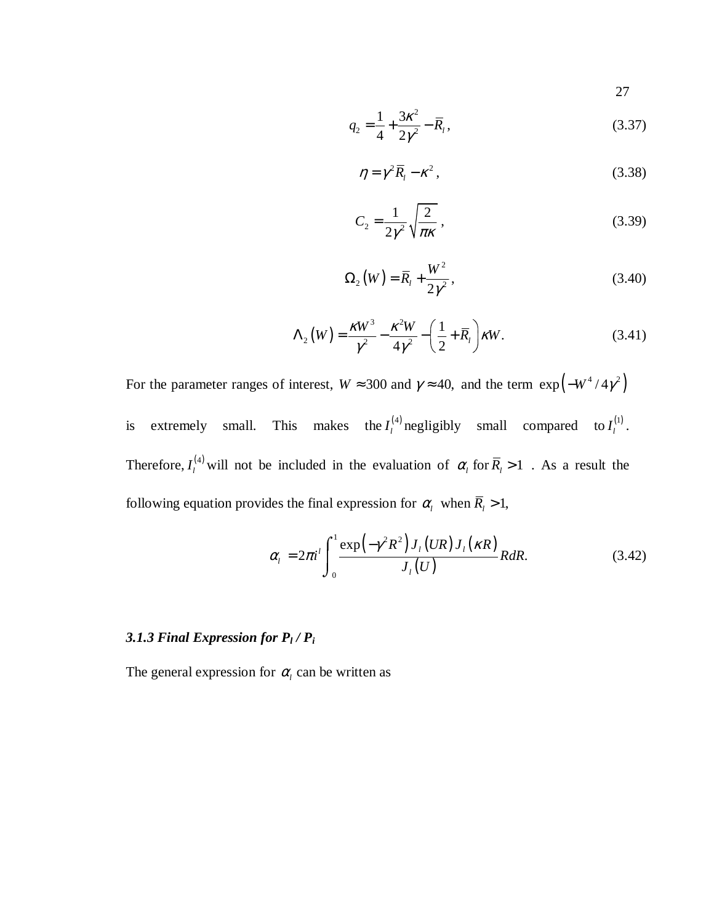27

$$
q_2 = \frac{1}{4} + \frac{3\kappa^2}{2\gamma^2} - \overline{R}_l, \tag{3.37}
$$

$$
\eta = \gamma^2 \overline{R}_l - \kappa^2 \,, \tag{3.38}
$$

$$
C_2 = \frac{1}{2\gamma^2} \sqrt{\frac{2}{\pi\kappa}},\qquad(3.39)
$$

$$
\Omega_2(W) = \overline{R}_1 + \frac{W^2}{2\gamma^2},\tag{3.40}
$$

$$
\Lambda_2(W) = \frac{\kappa W^3}{\gamma^2} - \frac{\kappa^2 W}{4\gamma^2} - \left(\frac{1}{2} + \overline{R}_l\right) \kappa W. \tag{3.41}
$$

For the parameter ranges of interest,  $W \approx 300$  and  $\gamma \approx 40$ , and the term  $\exp(-W^4/4\gamma^2)$ is extremely small. This makes the  $I_l^{(4)}$  negligibly small compared to  $I_l^{(1)}$ . Therefore,  $I_l^{(4)}$  will not be included in the evaluation of  $\alpha_l$  for  $\overline{R}_l > 1$ . As a result the following equation provides the final expression for  $\alpha_l$  when  $\overline{R}_l > 1$ ,

$$
\alpha_{l} = 2\pi i^{l} \int_{0}^{1} \frac{\exp\left(-\gamma^{2} R^{2}\right) J_{l}\left(UR\right) J_{l}\left(\kappa R\right)}{J_{l}\left(U\right)} R dR. \tag{3.42}
$$

# 3.1.3 Final Expression for  $P_l$  /  $P_i$

The general expression for  $\alpha$ <sub>*l*</sub> can be written as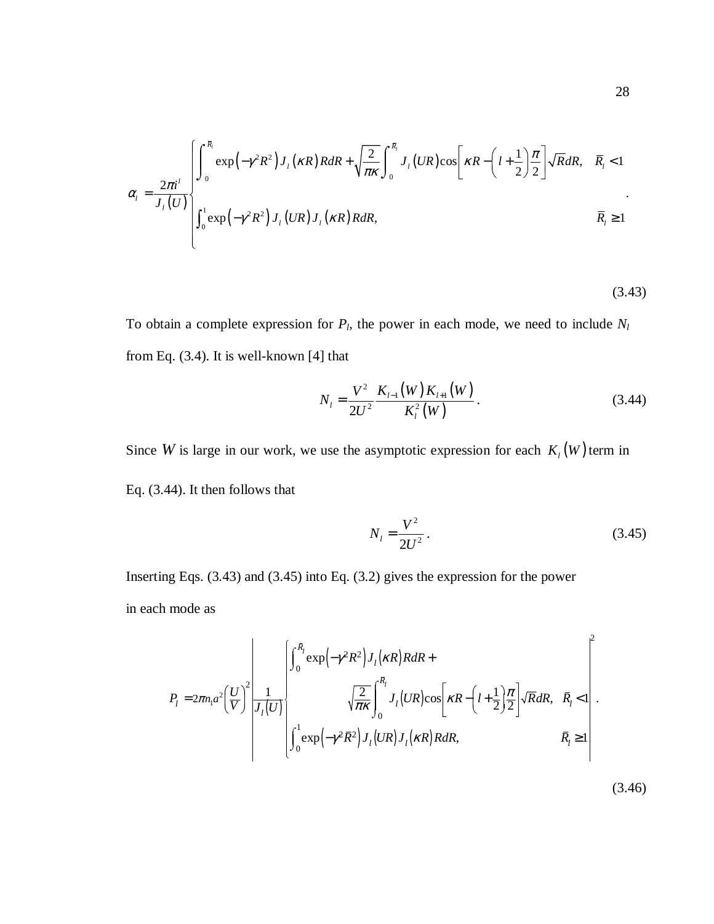$$
\alpha_{l} = \frac{2\pi i^{l}}{J_{l}(U)} \begin{cases} \int_{0}^{\overline{R}_{l}} \exp\left(-\gamma^{2}R^{2}\right)J_{l}(\kappa R)R dR + \sqrt{\frac{2}{\pi\kappa}} \int_{0}^{\overline{R}_{l}} J_{l}(UR) \cos\left[\kappa R - \left(l + \frac{1}{2}\right)\frac{\pi}{2}\right] \sqrt{R}dR, & \overline{R}_{l} < 1\\ \int_{0}^{1} \exp\left(-\gamma^{2}R^{2}\right)J_{l}(UR)J_{l}(\kappa R)R dR, & \overline{R}_{l} \ge 1 \end{cases}
$$

(3.43)

To obtain a complete expression for  $P_l$ , the power in each mode, we need to include  $N_l$ from Eq. (3.4). It is well-known [4] that

$$
N_{l} = \frac{V^{2}}{2U^{2}} \frac{K_{l-1}(W)K_{l+1}(W)}{K_{l}^{2}(W)}.
$$
 (3.44)

Since *W* is large in our work, we use the asymptotic expression for each  $K_l(W)$  term in Eq. (3.44). It then follows that

$$
N_l = \frac{V^2}{2U^2} \,. \tag{3.45}
$$

Inserting Eqs. (3.43) and (3.45) into Eq. (3.2) gives the expression for the power in each mode as

$$
P_{l} = 2\pi n_{l} a^{2} \left(\frac{U}{V}\right)^{2} \frac{1}{J_{l}(U)} \begin{bmatrix} \int_{0}^{\overline{R}_{l}} \exp\left(-\gamma^{2} R^{2}\right) J_{l} \left(\kappa R\right) R dR + \\ \sqrt{\frac{2}{\pi \kappa}} \int_{0}^{\overline{R}_{l}} J_{l} \left(U R\right) \cos\left[\kappa R - \left(l + \frac{1}{2}\right) \frac{\pi}{2}\right] \sqrt{R} dR, & \overline{R}_{l} < 1 \\ \int_{0}^{1} \exp\left(-\gamma^{2} \overline{R}^{2}\right) J_{l} \left(U R\right) J_{l} \left(\kappa R\right) R dR, & \overline{R}_{l} \ge 1 \end{bmatrix}.
$$

 $(3.46)$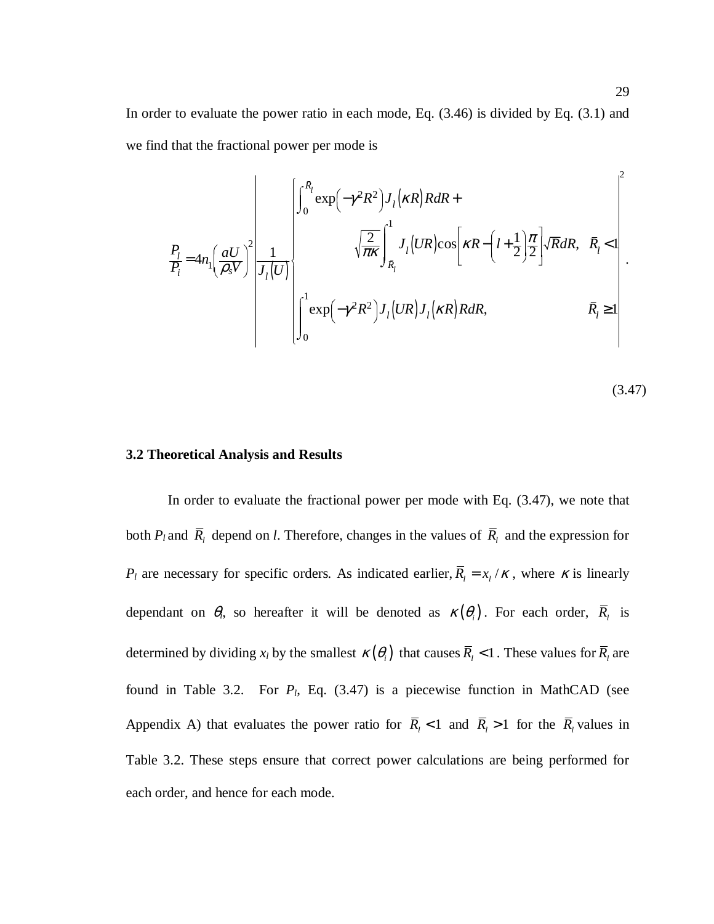In order to evaluate the power ratio in each mode, Eq. (3.46) is divided by Eq. (3.1) and we find that the fractional power per mode is

$$
\frac{P_{l}}{P_{i}} = 4n_{l} \left(\frac{aU}{\rho_{s}V}\right)^{2} \left|\frac{1}{J_{l}(U)}\right|_{0} + \sqrt{\frac{2}{\pi\kappa}} \int_{\bar{R}_{l}}^{1} J_{l}(UR) \cos\left[\kappa R - \left(l + \frac{1}{2}\right) \frac{\pi}{2}\right] \sqrt{R} dR, \quad \bar{R}_{l} < 1
$$
\n
$$
\left|\int_{0}^{1} \exp\left(-\gamma^{2} R^{2}\right) J_{l}(UR) J_{l}(\kappa R) R dR, \qquad \bar{R}_{l} \ge 1\right|.
$$

$$
(3.47)
$$

### **3.2 Theoretical Analysis and Results**

In order to evaluate the fractional power per mode with Eq. (3.47), we note that both  $P_l$  and  $R_l$  depend on *l*. Therefore, changes in the values of  $R_l$  and the expression for *P<sub>l</sub>* are necessary for specific orders. As indicated earlier,  $\overline{R}_l = x_l / \kappa$ , where  $\kappa$  is linearly dependant on  $\theta_i$ , so hereafter it will be denoted as  $\kappa(\theta_i)$ . For each order,  $\overline{R}_i$  is determined by dividing  $x_l$  by the smallest  $\kappa(\theta_i)$  that causes  $\overline{R}_l < 1$ . These values for  $\overline{R}_l$  are found in Table 3.2. For *Pl*, Eq. (3.47) is a piecewise function in MathCAD (see Appendix A) that evaluates the power ratio for  $\overline{R}_l$  < 1 and  $\overline{R}_l$  > 1 for the  $\overline{R}_l$  values in Table 3.2. These steps ensure that correct power calculations are being performed for each order, and hence for each mode.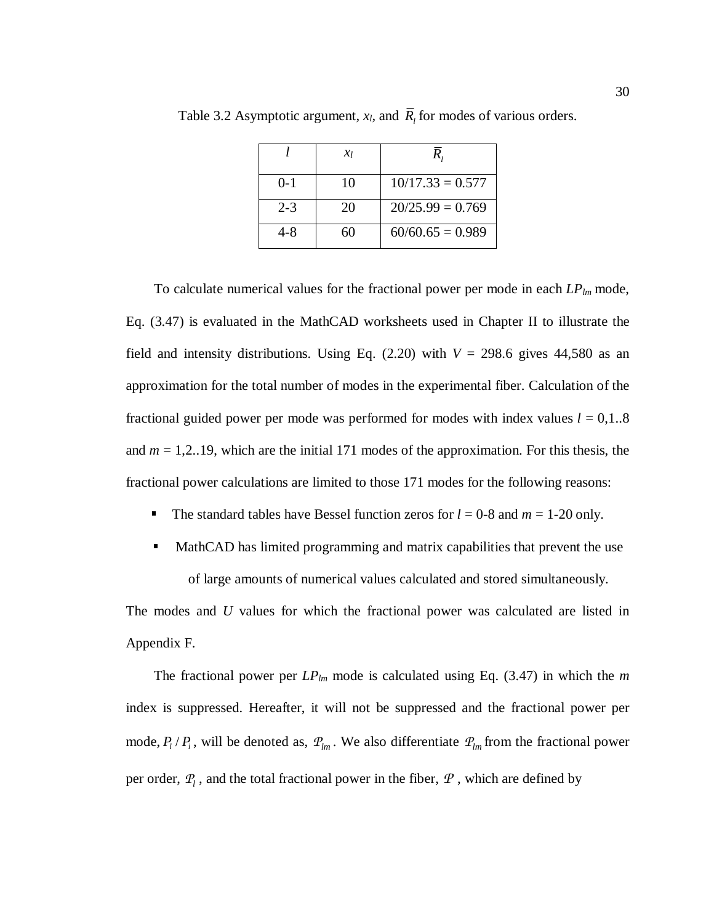|         | $\chi_l$ | R,                 |
|---------|----------|--------------------|
| $0 - 1$ | 10       | $10/17.33 = 0.577$ |
| $2 - 3$ | 20       | $20/25.99 = 0.769$ |
| $4 - 8$ | 60       | $60/60.65 = 0.989$ |

Table 3.2 Asymptotic argument,  $x_l$ , and  $\overline{R}_l$  for modes of various orders.

To calculate numerical values for the fractional power per mode in each *LPlm* mode, Eq. (3.47) is evaluated in the MathCAD worksheets used in Chapter II to illustrate the field and intensity distributions. Using Eq.  $(2.20)$  with  $V = 298.6$  gives 44,580 as an approximation for the total number of modes in the experimental fiber. Calculation of the fractional guided power per mode was performed for modes with index values  $l = 0.1$ ..8 and *m* = 1,2..19, which are the initial 171 modes of the approximation. For this thesis, the fractional power calculations are limited to those 171 modes for the following reasons:

- The standard tables have Bessel function zeros for  $l = 0.8$  and  $m = 1.20$  only.
- **MathCAD** has limited programming and matrix capabilities that prevent the use of large amounts of numerical values calculated and stored simultaneously.

The modes and *U* values for which the fractional power was calculated are listed in Appendix F.

The fractional power per  $LP_{lm}$  mode is calculated using Eq. (3.47) in which the *m* index is suppressed. Hereafter, it will not be suppressed and the fractional power per mode,  $P_l / P_i$ , will be denoted as,  $P_{lm}$ . We also differentiate  $P_{lm}$  from the fractional power per order,  $P_l$ , and the total fractional power in the fiber,  $P$ , which are defined by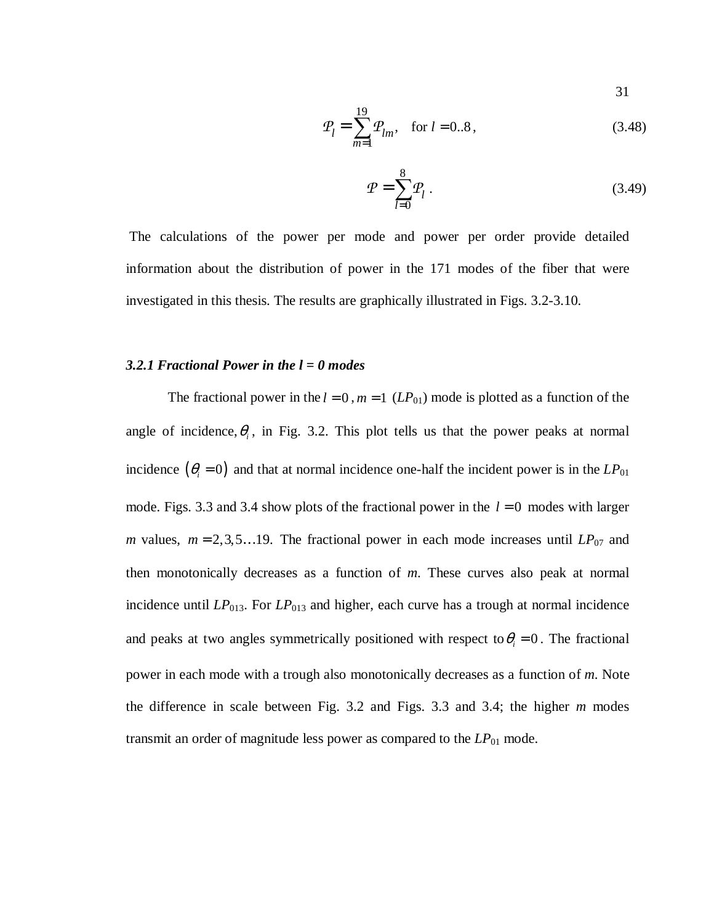31

$$
\mathcal{P}_l = \sum_{m=1}^{19} \mathcal{P}_{lm}, \quad \text{for } l = 0..8,
$$
\n(3.48)

$$
\mathcal{P} = \sum_{l=0}^{8} \mathcal{P}_l \,. \tag{3.49}
$$

 The calculations of the power per mode and power per order provide detailed information about the distribution of power in the 171 modes of the fiber that were investigated in this thesis. The results are graphically illustrated in Figs. 3.2-3.10.

### *3.2.1 Fractional Power in the l = 0 modes*

The fractional power in the  $l = 0$ ,  $m = 1$  ( $LP_{01}$ ) mode is plotted as a function of the angle of incidence,  $\theta$ <sub>i</sub>, in Fig. 3.2. This plot tells us that the power peaks at normal incidence  $(\theta_i = 0)$  and that at normal incidence one-half the incident power is in the *LP*<sub>01</sub> mode. Figs. 3.3 and 3.4 show plots of the fractional power in the  $l = 0$  modes with larger *m* values,  $m = 2, 3, 5...19$ . The fractional power in each mode increases until  $LP_{07}$  and then monotonically decreases as a function of *m*. These curves also peak at normal incidence until *LP*013. For *LP*013 and higher, each curve has a trough at normal incidence and peaks at two angles symmetrically positioned with respect to  $\theta_i = 0$ . The fractional power in each mode with a trough also monotonically decreases as a function of *m*. Note the difference in scale between Fig. 3.2 and Figs. 3.3 and 3.4; the higher *m* modes transmit an order of magnitude less power as compared to the *LP*01 mode.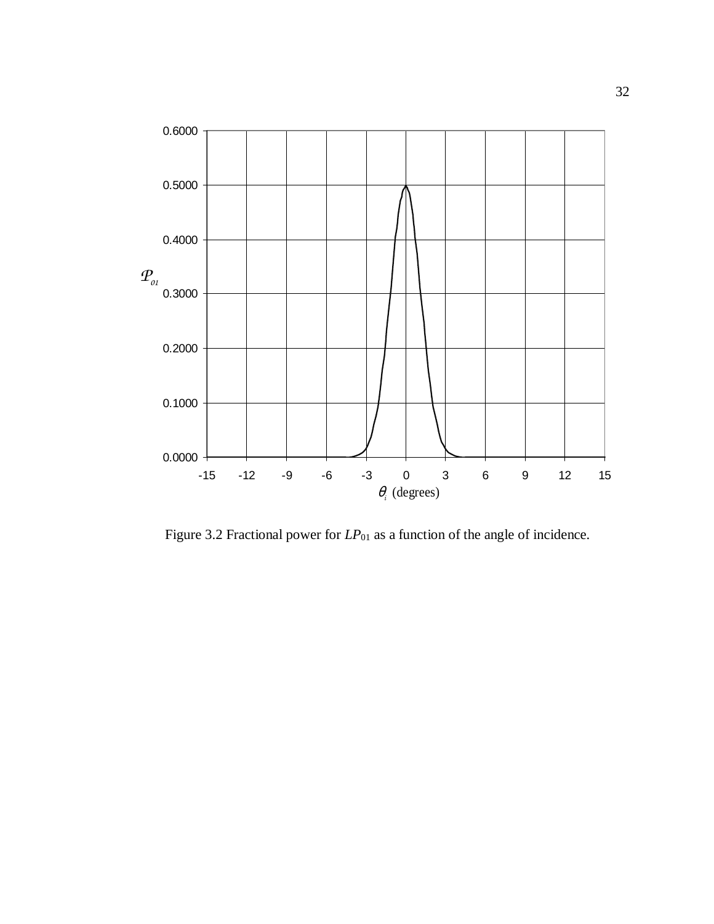

Figure 3.2 Fractional power for  $LP_{01}$  as a function of the angle of incidence.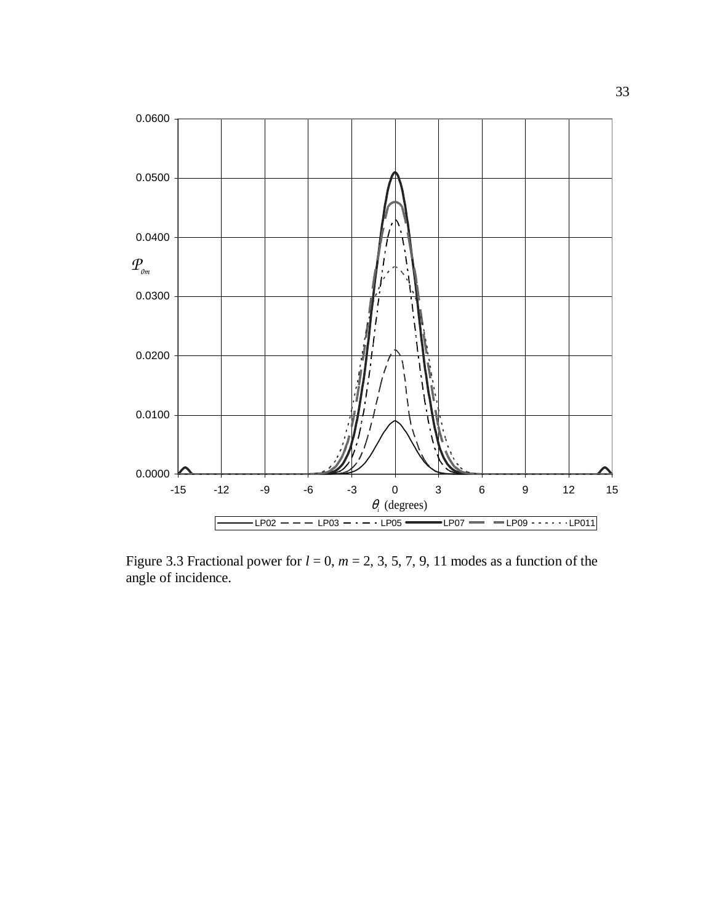

Figure 3.3 Fractional power for  $l = 0$ ,  $m = 2, 3, 5, 7, 9, 11$  modes as a function of the angle of incidence.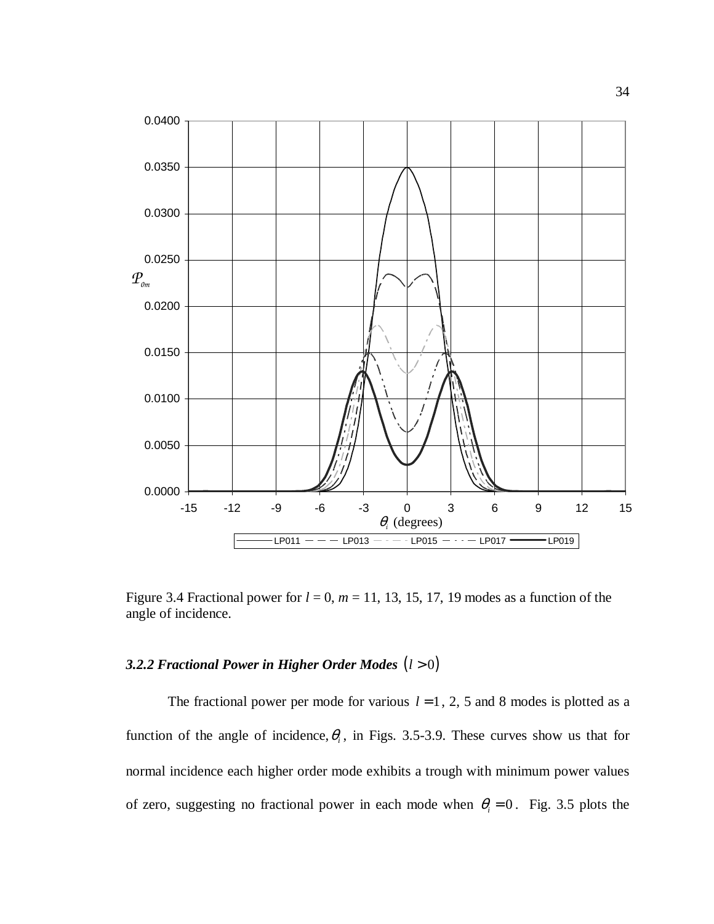

Figure 3.4 Fractional power for  $l = 0$ ,  $m = 11, 13, 15, 17, 19$  modes as a function of the angle of incidence.

## *3.2.2 Fractional Power in Higher Order Modes* (*l* > 0)

The fractional power per mode for various  $l = 1, 2, 5$  and 8 modes is plotted as a function of the angle of incidence,  $\theta$ <sub>i</sub>, in Figs. 3.5-3.9. These curves show us that for normal incidence each higher order mode exhibits a trough with minimum power values of zero, suggesting no fractional power in each mode when  $\theta_i = 0$ . Fig. 3.5 plots the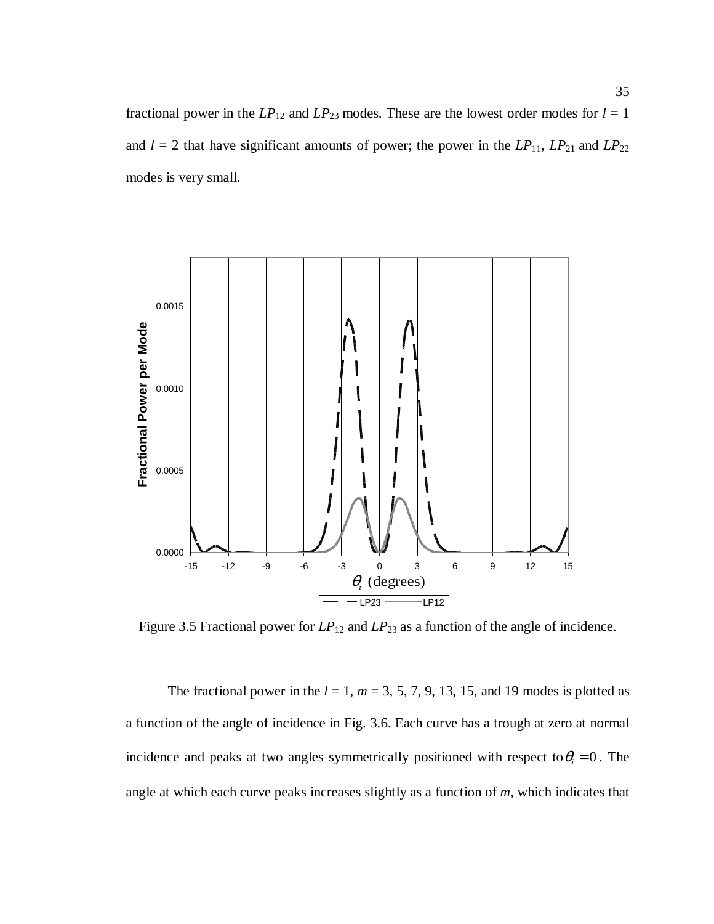fractional power in the  $LP_{12}$  and  $LP_{23}$  modes. These are the lowest order modes for  $l = 1$ and  $l = 2$  that have significant amounts of power; the power in the  $LP_{11}$ ,  $LP_{21}$  and  $LP_{22}$ modes is very small.



Figure 3.5 Fractional power for  $LP_{12}$  and  $LP_{23}$  as a function of the angle of incidence.

The fractional power in the  $l = 1$ ,  $m = 3, 5, 7, 9, 13, 15$ , and 19 modes is plotted as a function of the angle of incidence in Fig. 3.6. Each curve has a trough at zero at normal incidence and peaks at two angles symmetrically positioned with respect to  $\theta_i = 0$ . The angle at which each curve peaks increases slightly as a function of *m*, which indicates that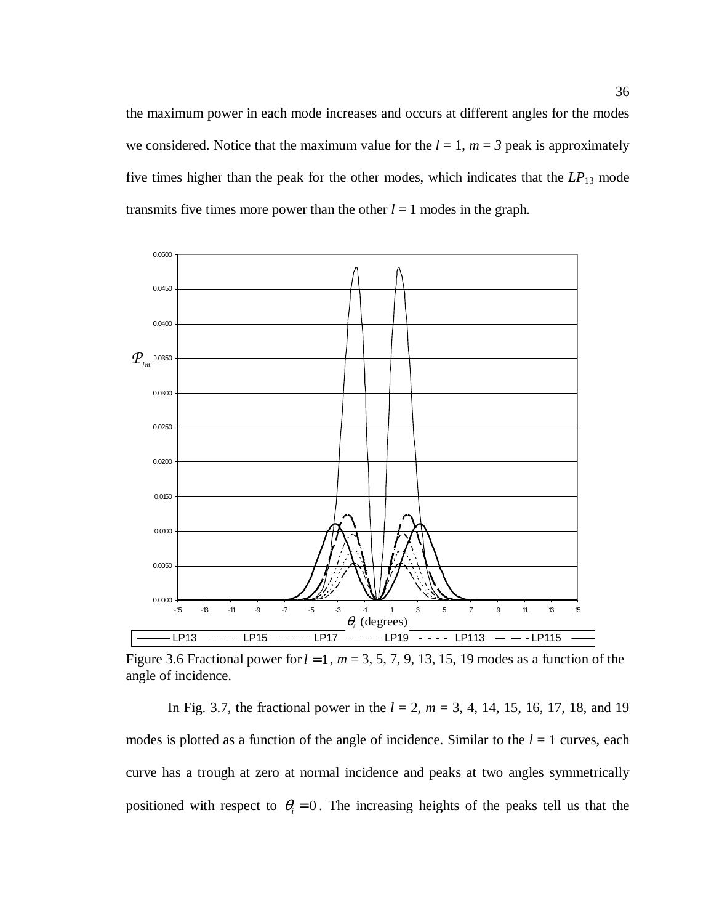the maximum power in each mode increases and occurs at different angles for the modes we considered. Notice that the maximum value for the  $l = 1$ ,  $m = 3$  peak is approximately five times higher than the peak for the other modes, which indicates that the *LP*13 mode transmits five times more power than the other  $l = 1$  modes in the graph.



Figure 3.6 Fractional power for  $l = 1$ ,  $m = 3, 5, 7, 9, 13, 15, 19$  modes as a function of the angle of incidence.

In Fig. 3.7, the fractional power in the *l* = 2, *m* = 3, 4, 14, 15, 16, 17, 18, and 19 modes is plotted as a function of the angle of incidence. Similar to the  $l = 1$  curves, each curve has a trough at zero at normal incidence and peaks at two angles symmetrically positioned with respect to  $\theta_i = 0$ . The increasing heights of the peaks tell us that the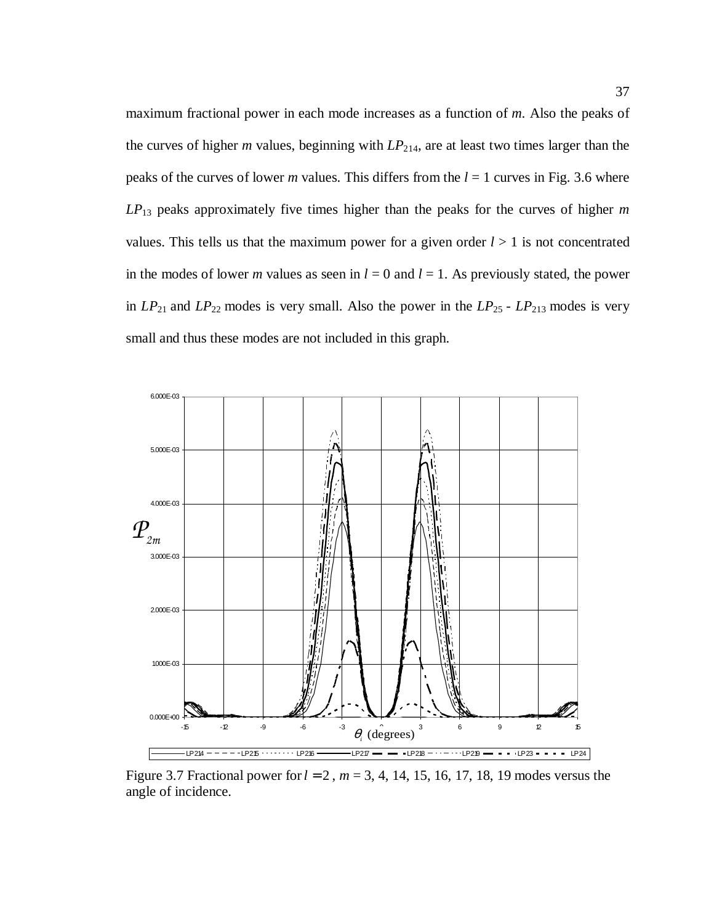maximum fractional power in each mode increases as a function of *m*. Also the peaks of the curves of higher *m* values, beginning with *LP*214, are at least two times larger than the peaks of the curves of lower *m* values. This differs from the *l* = 1 curves in Fig. 3.6 where *LP*13 peaks approximately five times higher than the peaks for the curves of higher *m*  values. This tells us that the maximum power for a given order  $l > 1$  is not concentrated in the modes of lower *m* values as seen in  $l = 0$  and  $l = 1$ . As previously stated, the power in *LP*21 and *LP*22 modes is very small. Also the power in the *LP*25 - *LP*213 modes is very small and thus these modes are not included in this graph.



Figure 3.7 Fractional power for*l* = 2 , *m* = 3, 4, 14, 15, 16, 17, 18, 19 modes versus the angle of incidence.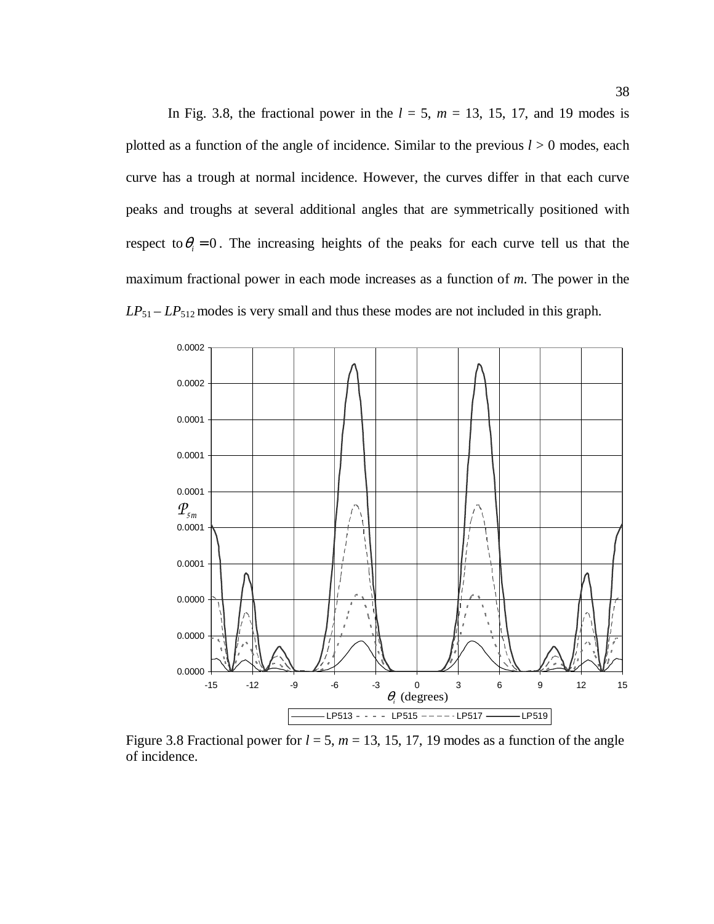In Fig. 3.8, the fractional power in the  $l = 5$ ,  $m = 13$ , 15, 17, and 19 modes is plotted as a function of the angle of incidence. Similar to the previous  $l > 0$  modes, each curve has a trough at normal incidence. However, the curves differ in that each curve peaks and troughs at several additional angles that are symmetrically positioned with respect to  $\theta_i = 0$ . The increasing heights of the peaks for each curve tell us that the maximum fractional power in each mode increases as a function of *m*. The power in the  $LP_{51} - LP_{512}$  modes is very small and thus these modes are not included in this graph.



Figure 3.8 Fractional power for  $l = 5$ ,  $m = 13, 15, 17, 19$  modes as a function of the angle of incidence.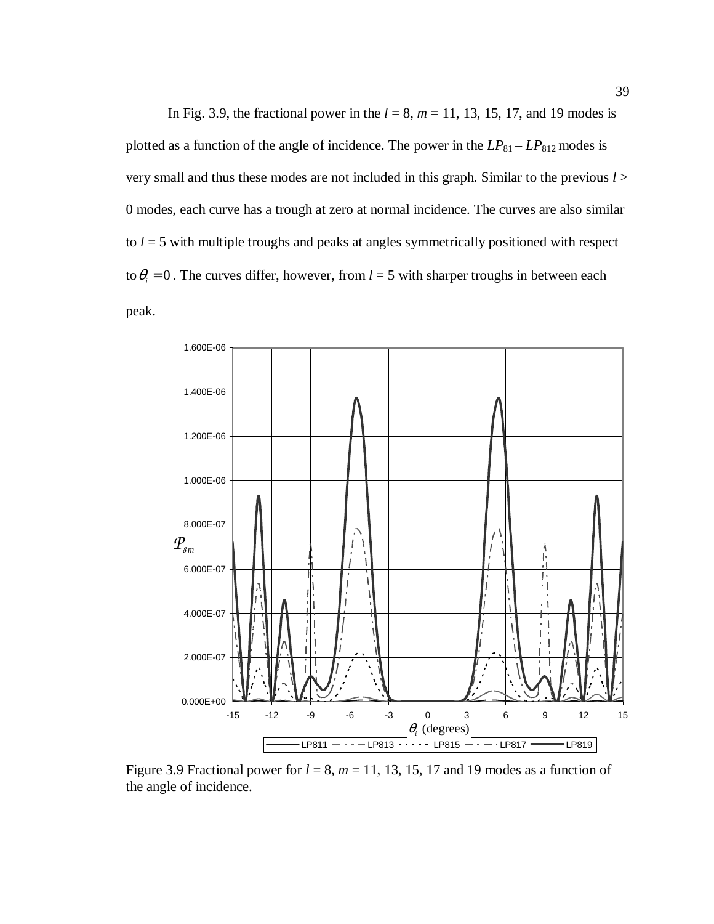In Fig. 3.9, the fractional power in the  $l = 8$ ,  $m = 11$ , 13, 15, 17, and 19 modes is plotted as a function of the angle of incidence. The power in the  $LP_{81} - LP_{812}$  modes is very small and thus these modes are not included in this graph. Similar to the previous *l* > 0 modes, each curve has a trough at zero at normal incidence. The curves are also similar to  $l = 5$  with multiple troughs and peaks at angles symmetrically positioned with respect to  $\theta_i = 0$ . The curves differ, however, from  $l = 5$  with sharper troughs in between each peak.



Figure 3.9 Fractional power for  $l = 8$ ,  $m = 11$ , 13, 15, 17 and 19 modes as a function of the angle of incidence.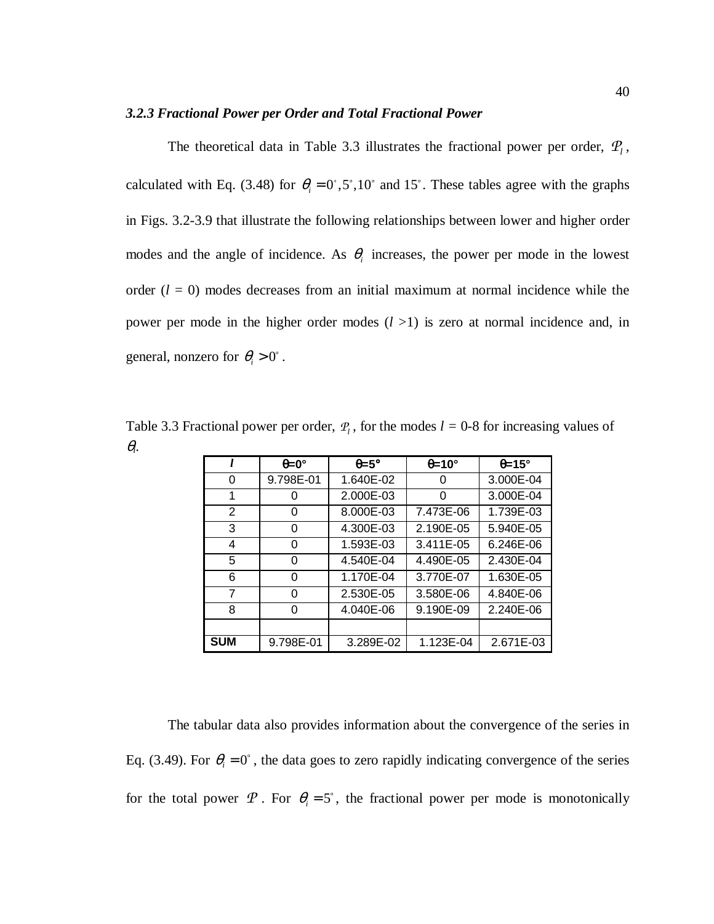### *3.2.3 Fractional Power per Order and Total Fractional Power*

The theoretical data in Table 3.3 illustrates the fractional power per order,  $P_l$ , calculated with Eq. (3.48) for  $\theta_i = 0^\circ, 5^\circ, 10^\circ$  and 15°. These tables agree with the graphs in Figs. 3.2-3.9 that illustrate the following relationships between lower and higher order modes and the angle of incidence. As  $\theta$ <sub>i</sub> increases, the power per mode in the lowest order  $(l = 0)$  modes decreases from an initial maximum at normal incidence while the power per mode in the higher order modes (*l* >1) is zero at normal incidence and, in general, nonzero for  $\theta_i > 0^\circ$ .

Table 3.3 Fractional power per order,  $P_l$ , for the modes  $l = 0$ -8 for increasing values of <sup>θ</sup>*i*.

|                | $\theta = 0^{\circ}$ | $\theta = 5^{\circ}$ | $\theta = 10^{\circ}$ | $\theta = 15^\circ$ |
|----------------|----------------------|----------------------|-----------------------|---------------------|
| 0              | 9.798E-01            | 1.640E-02            |                       | 3.000E-04           |
| 1              | 0                    | 2.000E-03            |                       | 3.000E-04           |
| $\overline{2}$ | O                    | 8.000E-03            | 7.473E-06             | 1.739E-03           |
| 3              | O                    | 4.300E-03            | 2.190E-05             | 5.940E-05           |
| 4              | 0                    | 1.593E-03            | 3.411E-05             | 6.246E-06           |
| 5              | O                    | 4.540E-04            | 4.490E-05             | 2.430E-04           |
| 6              | 0                    | 1.170E-04            | 3.770E-07             | 1.630E-05           |
| 7              | O                    | 2.530E-05            | 3.580E-06             | 4.840E-06           |
| 8              |                      | 4.040E-06            | 9.190E-09             | 2.240E-06           |
|                |                      |                      |                       |                     |
| <b>SUM</b>     | 9.798E-01            | 3.289E-02            | 1.123E-04             | 2.671E-03           |

The tabular data also provides information about the convergence of the series in Eq. (3.49). For  $\theta_i = 0^\circ$ , the data goes to zero rapidly indicating convergence of the series for the total power  $\mathcal P$ . For  $\theta_i = 5^\circ$ , the fractional power per mode is monotonically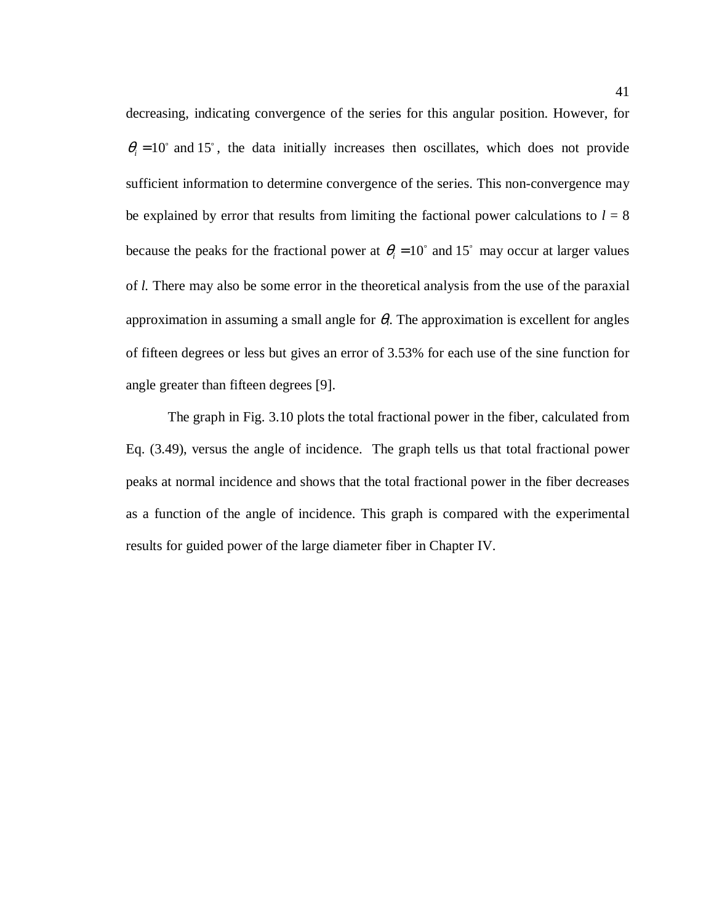decreasing, indicating convergence of the series for this angular position. However, for  $\theta_i = 10^\circ$  and 15°, the data initially increases then oscillates, which does not provide sufficient information to determine convergence of the series. This non-convergence may be explained by error that results from limiting the factional power calculations to  $l = 8$ because the peaks for the fractional power at  $\theta_i = 10^\circ$  and 15° may occur at larger values of *l.* There may also be some error in the theoretical analysis from the use of the paraxial approximation in assuming a small angle for  $\theta_i$ . The approximation is excellent for angles of fifteen degrees or less but gives an error of 3.53% for each use of the sine function for angle greater than fifteen degrees [9].

The graph in Fig. 3.10 plots the total fractional power in the fiber, calculated from Eq. (3.49), versus the angle of incidence. The graph tells us that total fractional power peaks at normal incidence and shows that the total fractional power in the fiber decreases as a function of the angle of incidence. This graph is compared with the experimental results for guided power of the large diameter fiber in Chapter IV.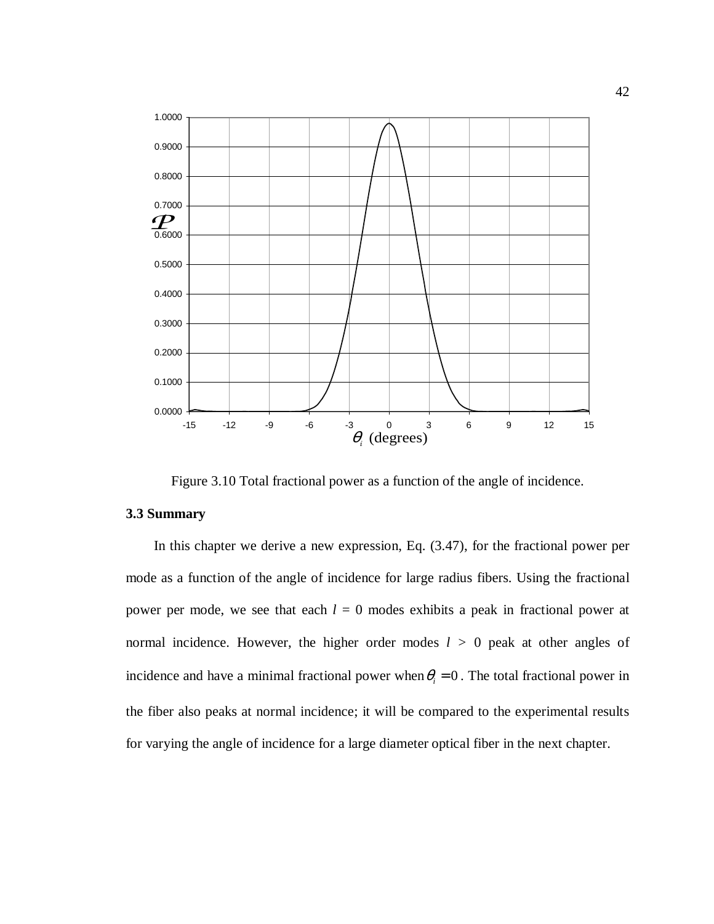![](_page_53_Figure_0.jpeg)

Figure 3.10 Total fractional power as a function of the angle of incidence.

### **3.3 Summary**

In this chapter we derive a new expression, Eq. (3.47), for the fractional power per mode as a function of the angle of incidence for large radius fibers. Using the fractional power per mode, we see that each  $l = 0$  modes exhibits a peak in fractional power at normal incidence. However, the higher order modes  $l > 0$  peak at other angles of incidence and have a minimal fractional power when  $\theta_i = 0$ . The total fractional power in the fiber also peaks at normal incidence; it will be compared to the experimental results for varying the angle of incidence for a large diameter optical fiber in the next chapter.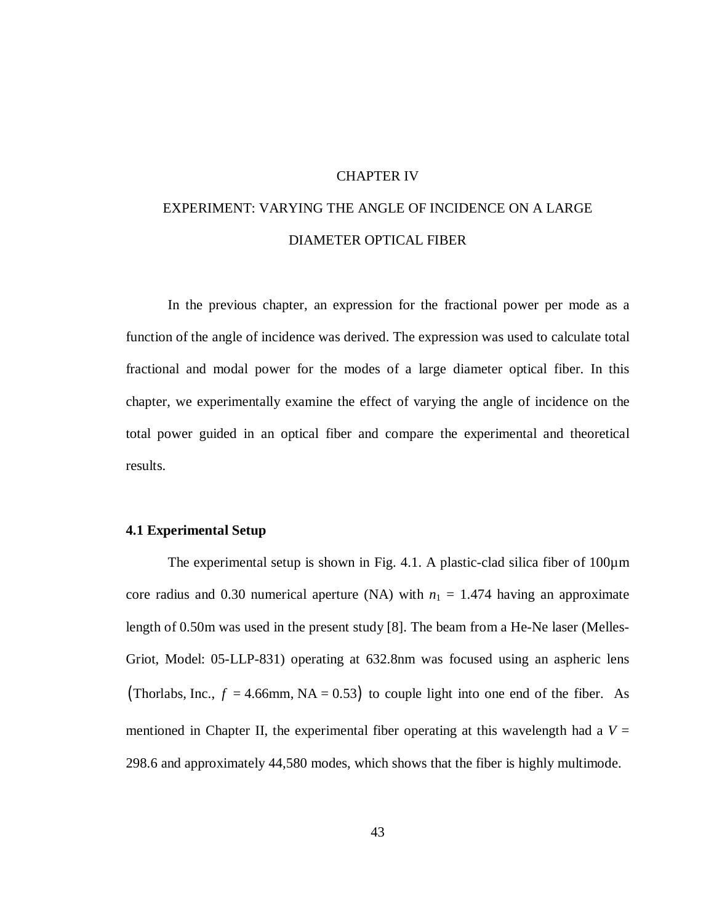### CHAPTER IV

# EXPERIMENT: VARYING THE ANGLE OF INCIDENCE ON A LARGE DIAMETER OPTICAL FIBER

In the previous chapter, an expression for the fractional power per mode as a function of the angle of incidence was derived. The expression was used to calculate total fractional and modal power for the modes of a large diameter optical fiber. In this chapter, we experimentally examine the effect of varying the angle of incidence on the total power guided in an optical fiber and compare the experimental and theoretical results.

### **4.1 Experimental Setup**

The experimental setup is shown in Fig. 4.1. A plastic-clad silica fiber of  $100\mu$ m core radius and 0.30 numerical aperture (NA) with  $n_1 = 1.474$  having an approximate length of 0.50m was used in the present study [8]. The beam from a He-Ne laser (Melles-Griot, Model: 05-LLP-831) operating at 632.8nm was focused using an aspheric lens (Thorlabs, Inc.,  $f = 4.66$ mm, NA = 0.53) to couple light into one end of the fiber. As mentioned in Chapter II, the experimental fiber operating at this wavelength had a  $V =$ 298.6 and approximately 44,580 modes, which shows that the fiber is highly multimode.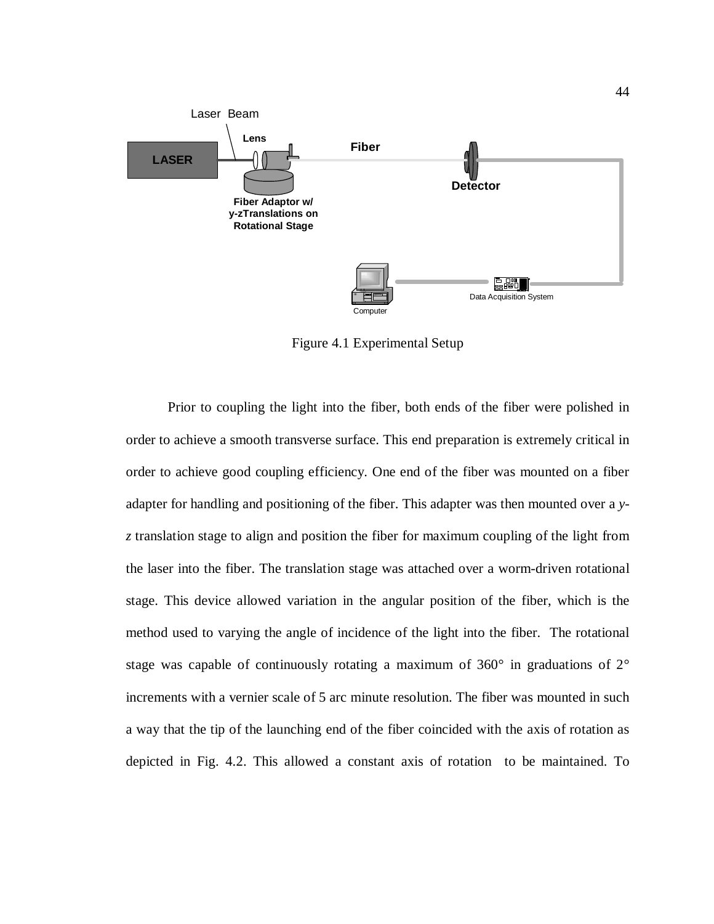![](_page_55_Figure_0.jpeg)

Figure 4.1 Experimental Setup

Prior to coupling the light into the fiber, both ends of the fiber were polished in order to achieve a smooth transverse surface. This end preparation is extremely critical in order to achieve good coupling efficiency. One end of the fiber was mounted on a fiber adapter for handling and positioning of the fiber. This adapter was then mounted over a *yz* translation stage to align and position the fiber for maximum coupling of the light from the laser into the fiber. The translation stage was attached over a worm-driven rotational stage. This device allowed variation in the angular position of the fiber, which is the method used to varying the angle of incidence of the light into the fiber. The rotational stage was capable of continuously rotating a maximum of  $360^{\circ}$  in graduations of  $2^{\circ}$ increments with a vernier scale of 5 arc minute resolution. The fiber was mounted in such a way that the tip of the launching end of the fiber coincided with the axis of rotation as depicted in Fig. 4.2. This allowed a constant axis of rotation to be maintained. To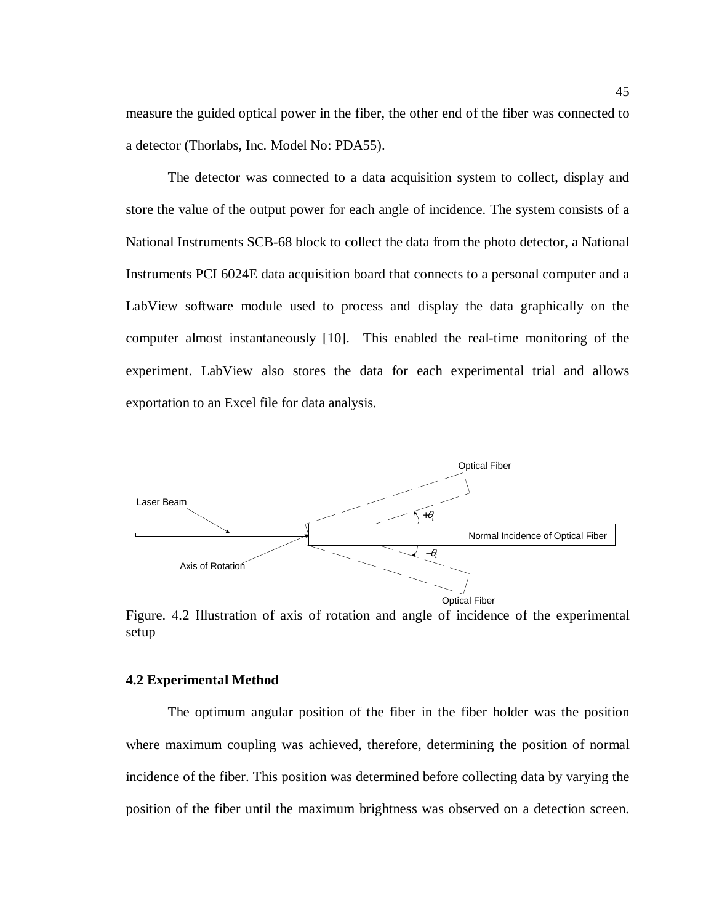measure the guided optical power in the fiber, the other end of the fiber was connected to a detector (Thorlabs, Inc. Model No: PDA55).

The detector was connected to a data acquisition system to collect, display and store the value of the output power for each angle of incidence. The system consists of a National Instruments SCB-68 block to collect the data from the photo detector, a National Instruments PCI 6024E data acquisition board that connects to a personal computer and a LabView software module used to process and display the data graphically on the computer almost instantaneously [10]. This enabled the real-time monitoring of the experiment. LabView also stores the data for each experimental trial and allows exportation to an Excel file for data analysis.

![](_page_56_Figure_2.jpeg)

Figure. 4.2 Illustration of axis of rotation and angle of incidence of the experimental setup

### **4.2 Experimental Method**

 The optimum angular position of the fiber in the fiber holder was the position where maximum coupling was achieved, therefore, determining the position of normal incidence of the fiber. This position was determined before collecting data by varying the position of the fiber until the maximum brightness was observed on a detection screen.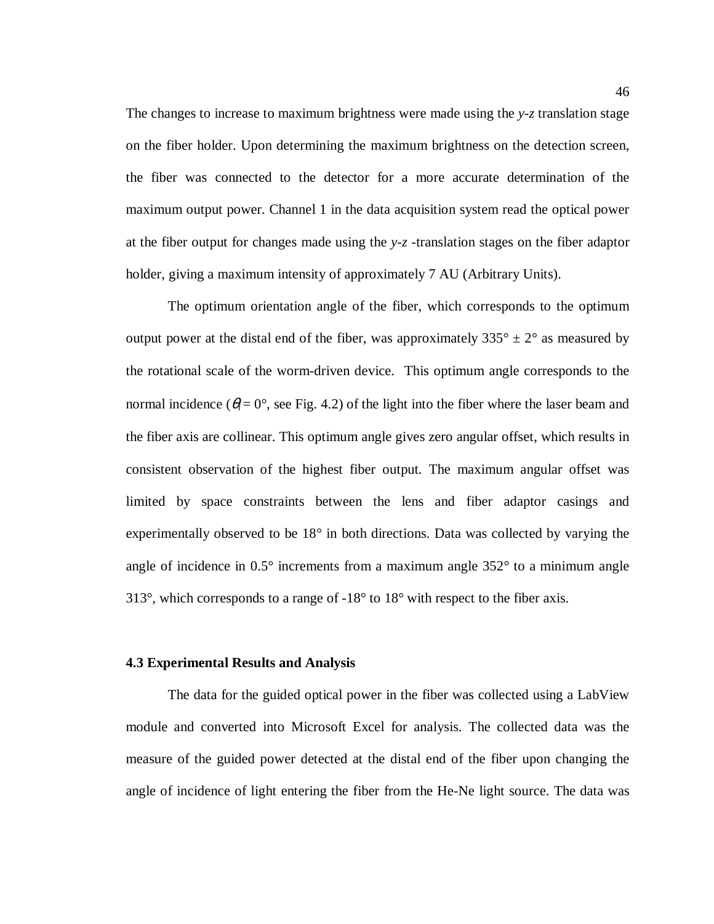The changes to increase to maximum brightness were made using the *y-z* translation stage on the fiber holder. Upon determining the maximum brightness on the detection screen, the fiber was connected to the detector for a more accurate determination of the maximum output power. Channel 1 in the data acquisition system read the optical power at the fiber output for changes made using the *y-z* -translation stages on the fiber adaptor holder, giving a maximum intensity of approximately 7 AU (Arbitrary Units).

 The optimum orientation angle of the fiber, which corresponds to the optimum output power at the distal end of the fiber, was approximately  $335^{\circ} \pm 2^{\circ}$  as measured by the rotational scale of the worm-driven device. This optimum angle corresponds to the normal incidence ( $\theta_i = 0^\circ$ , see Fig. 4.2) of the light into the fiber where the laser beam and the fiber axis are collinear. This optimum angle gives zero angular offset, which results in consistent observation of the highest fiber output. The maximum angular offset was limited by space constraints between the lens and fiber adaptor casings and experimentally observed to be 18° in both directions. Data was collected by varying the angle of incidence in 0.5° increments from a maximum angle 352° to a minimum angle 313°, which corresponds to a range of -18° to 18° with respect to the fiber axis.

### **4.3 Experimental Results and Analysis**

The data for the guided optical power in the fiber was collected using a LabView module and converted into Microsoft Excel for analysis. The collected data was the measure of the guided power detected at the distal end of the fiber upon changing the angle of incidence of light entering the fiber from the He-Ne light source. The data was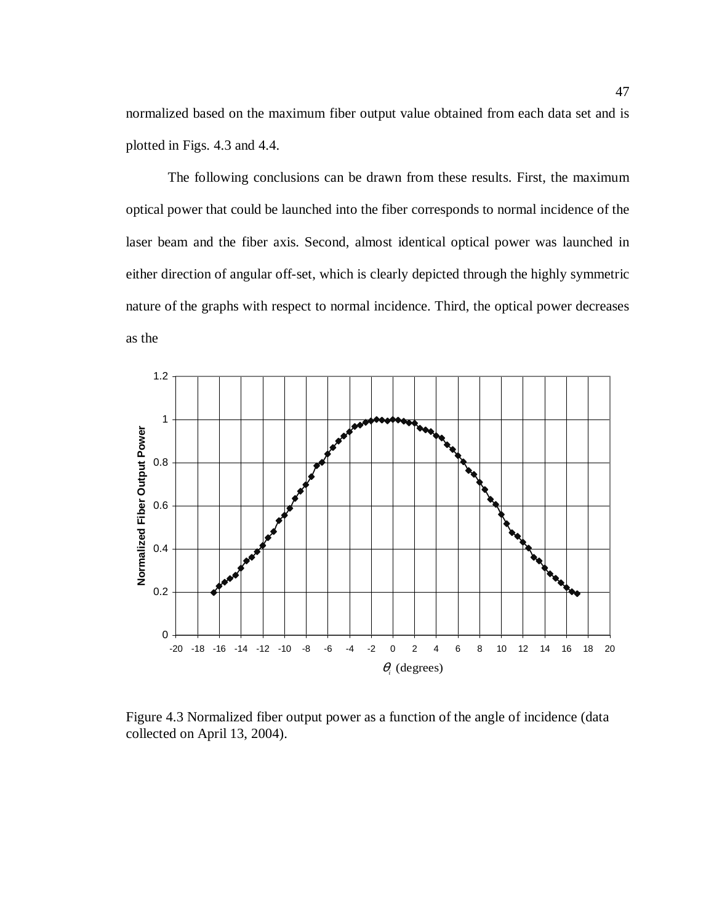normalized based on the maximum fiber output value obtained from each data set and is plotted in Figs. 4.3 and 4.4.

The following conclusions can be drawn from these results. First, the maximum optical power that could be launched into the fiber corresponds to normal incidence of the laser beam and the fiber axis. Second, almost identical optical power was launched in either direction of angular off-set, which is clearly depicted through the highly symmetric nature of the graphs with respect to normal incidence. Third, the optical power decreases as the

![](_page_58_Figure_2.jpeg)

Figure 4.3 Normalized fiber output power as a function of the angle of incidence (data collected on April 13, 2004).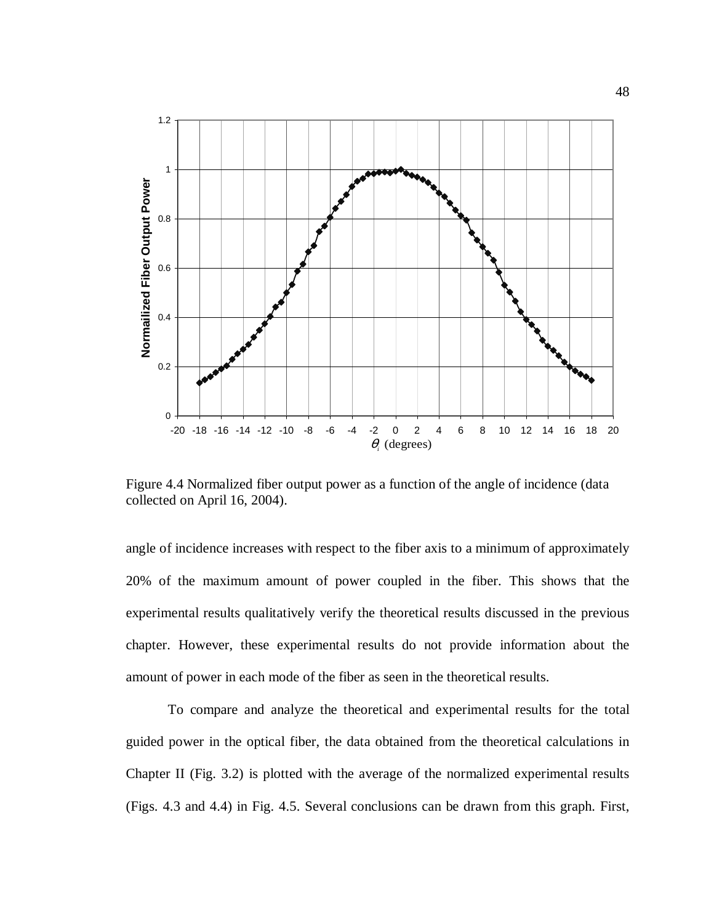![](_page_59_Figure_0.jpeg)

Figure 4.4 Normalized fiber output power as a function of the angle of incidence (data collected on April 16, 2004).

angle of incidence increases with respect to the fiber axis to a minimum of approximately 20% of the maximum amount of power coupled in the fiber. This shows that the experimental results qualitatively verify the theoretical results discussed in the previous chapter. However, these experimental results do not provide information about the amount of power in each mode of the fiber as seen in the theoretical results.

To compare and analyze the theoretical and experimental results for the total guided power in the optical fiber, the data obtained from the theoretical calculations in Chapter II (Fig. 3.2) is plotted with the average of the normalized experimental results (Figs. 4.3 and 4.4) in Fig. 4.5. Several conclusions can be drawn from this graph. First,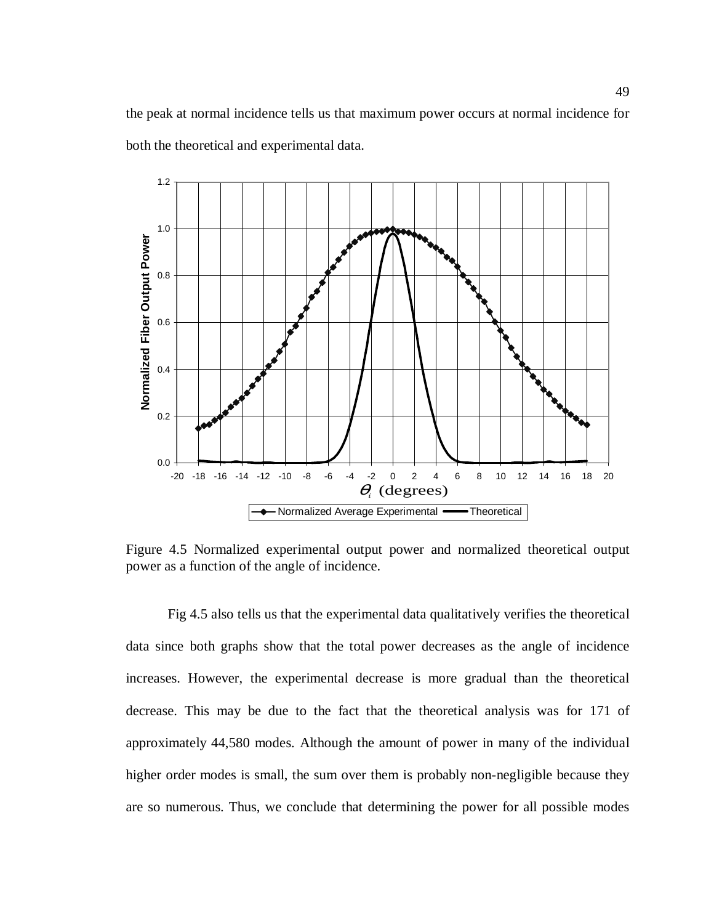the peak at normal incidence tells us that maximum power occurs at normal incidence for both the theoretical and experimental data.

![](_page_60_Figure_1.jpeg)

Figure 4.5 Normalized experimental output power and normalized theoretical output power as a function of the angle of incidence.

Fig 4.5 also tells us that the experimental data qualitatively verifies the theoretical data since both graphs show that the total power decreases as the angle of incidence increases. However, the experimental decrease is more gradual than the theoretical decrease. This may be due to the fact that the theoretical analysis was for 171 of approximately 44,580 modes. Although the amount of power in many of the individual higher order modes is small, the sum over them is probably non-negligible because they are so numerous. Thus, we conclude that determining the power for all possible modes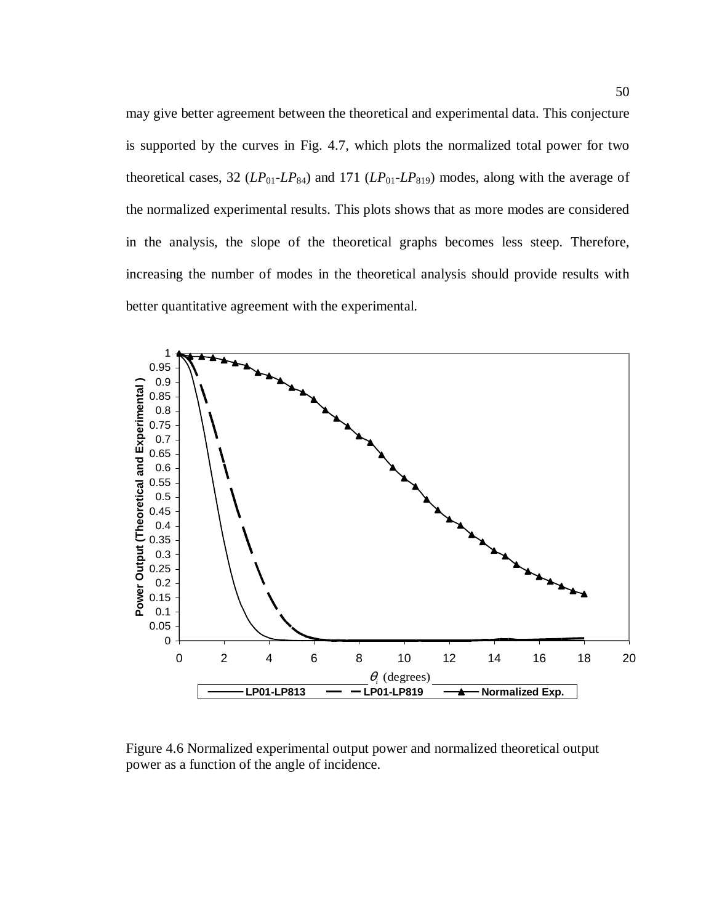may give better agreement between the theoretical and experimental data. This conjecture is supported by the curves in Fig. 4.7, which plots the normalized total power for two theoretical cases, 32  $(LP_{01}$ - $LP_{84}$ ) and 171  $(LP_{01}$ - $LP_{819})$  modes, along with the average of the normalized experimental results. This plots shows that as more modes are considered in the analysis, the slope of the theoretical graphs becomes less steep. Therefore, increasing the number of modes in the theoretical analysis should provide results with better quantitative agreement with the experimental.

![](_page_61_Figure_1.jpeg)

Figure 4.6 Normalized experimental output power and normalized theoretical output power as a function of the angle of incidence.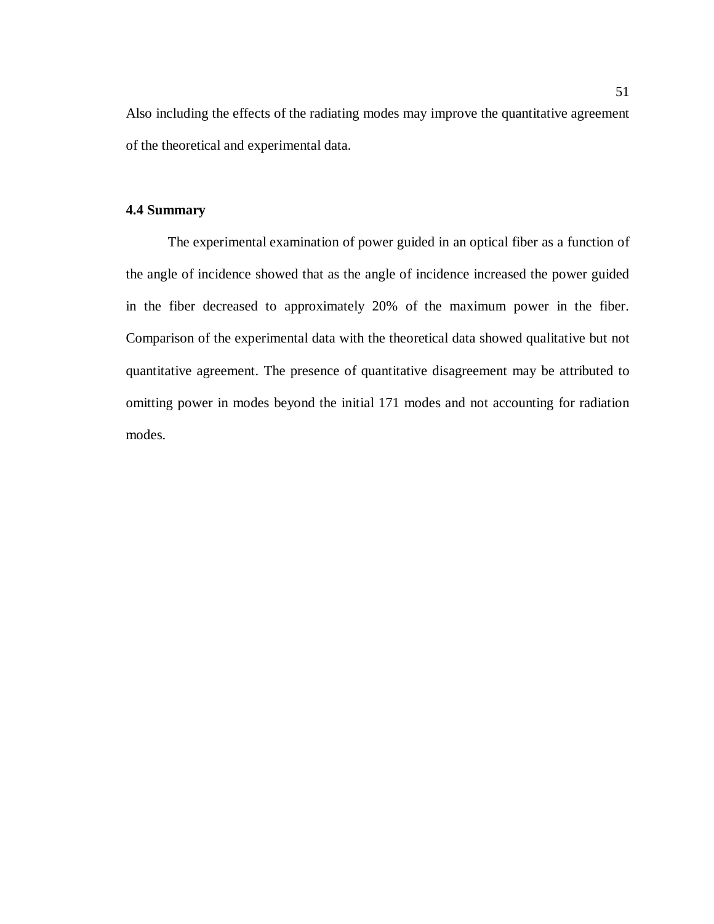Also including the effects of the radiating modes may improve the quantitative agreement of the theoretical and experimental data.

### **4.4 Summary**

The experimental examination of power guided in an optical fiber as a function of the angle of incidence showed that as the angle of incidence increased the power guided in the fiber decreased to approximately 20% of the maximum power in the fiber. Comparison of the experimental data with the theoretical data showed qualitative but not quantitative agreement. The presence of quantitative disagreement may be attributed to omitting power in modes beyond the initial 171 modes and not accounting for radiation modes.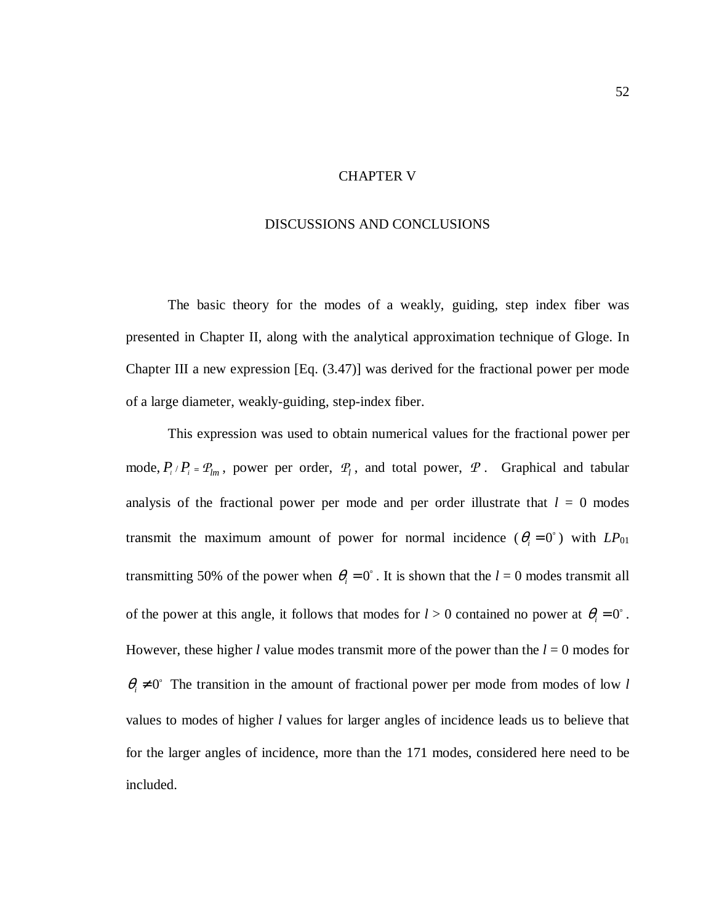### CHAPTER V

### DISCUSSIONS AND CONCLUSIONS

The basic theory for the modes of a weakly, guiding, step index fiber was presented in Chapter II, along with the analytical approximation technique of Gloge. In Chapter III a new expression [Eq. (3.47)] was derived for the fractional power per mode of a large diameter, weakly-guiding, step-index fiber.

This expression was used to obtain numerical values for the fractional power per mode,  $P_{i}/P_{i} = P_{lm}$ , power per order,  $P_{l}$ , and total power,  $P_{l}$ . Graphical and tabular analysis of the fractional power per mode and per order illustrate that  $l = 0$  modes transmit the maximum amount of power for normal incidence  $(\theta_i = 0)$  with  $LP_{01}$ transmitting 50% of the power when  $\theta_i = 0^\circ$ . It is shown that the  $l = 0$  modes transmit all of the power at this angle, it follows that modes for  $l > 0$  contained no power at  $\theta_i = 0^\circ$ . However, these higher *l* value modes transmit more of the power than the  $l = 0$  modes for  $\theta_i \neq 0$ ° The transition in the amount of fractional power per mode from modes of low *l* values to modes of higher *l* values for larger angles of incidence leads us to believe that for the larger angles of incidence, more than the 171 modes, considered here need to be included.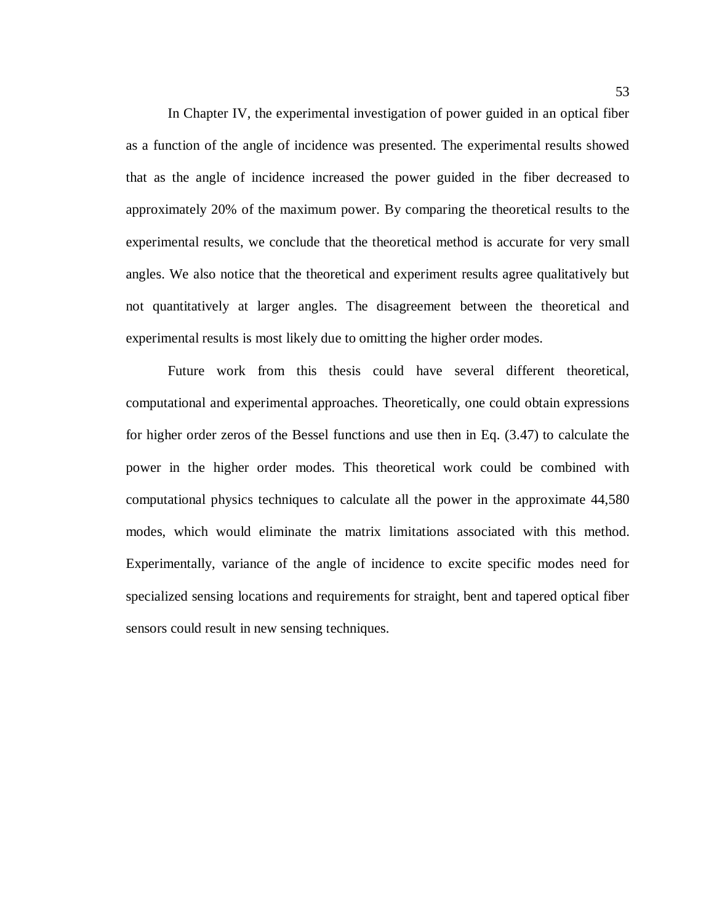In Chapter IV, the experimental investigation of power guided in an optical fiber as a function of the angle of incidence was presented. The experimental results showed that as the angle of incidence increased the power guided in the fiber decreased to approximately 20% of the maximum power. By comparing the theoretical results to the experimental results, we conclude that the theoretical method is accurate for very small angles. We also notice that the theoretical and experiment results agree qualitatively but not quantitatively at larger angles. The disagreement between the theoretical and experimental results is most likely due to omitting the higher order modes.

 Future work from this thesis could have several different theoretical, computational and experimental approaches. Theoretically, one could obtain expressions for higher order zeros of the Bessel functions and use then in Eq. (3.47) to calculate the power in the higher order modes. This theoretical work could be combined with computational physics techniques to calculate all the power in the approximate 44,580 modes, which would eliminate the matrix limitations associated with this method. Experimentally, variance of the angle of incidence to excite specific modes need for specialized sensing locations and requirements for straight, bent and tapered optical fiber sensors could result in new sensing techniques.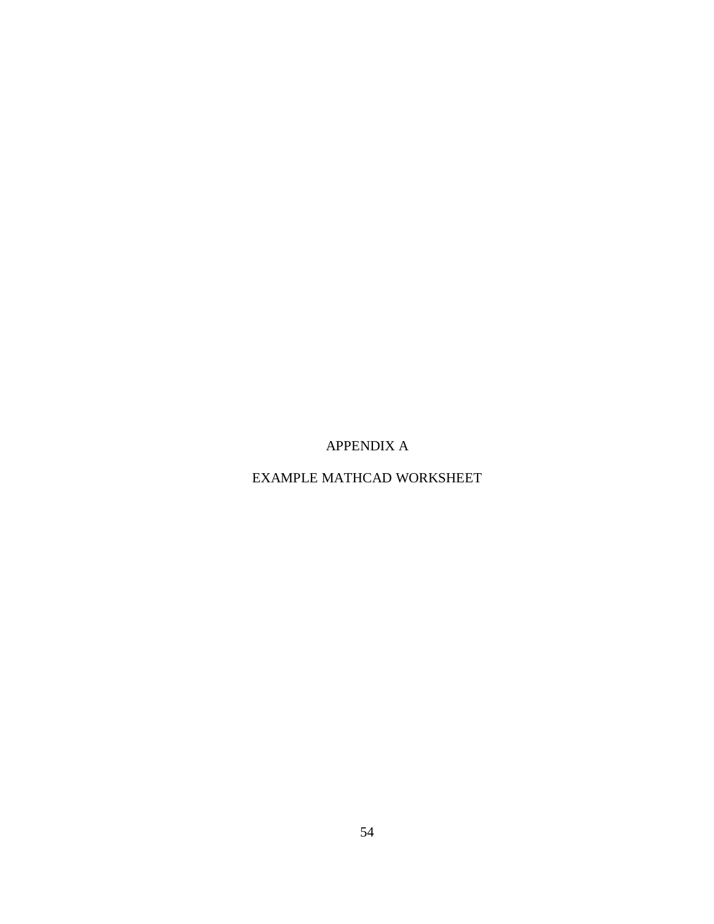APPENDIX A

EXAMPLE MATHCAD WORKSHEET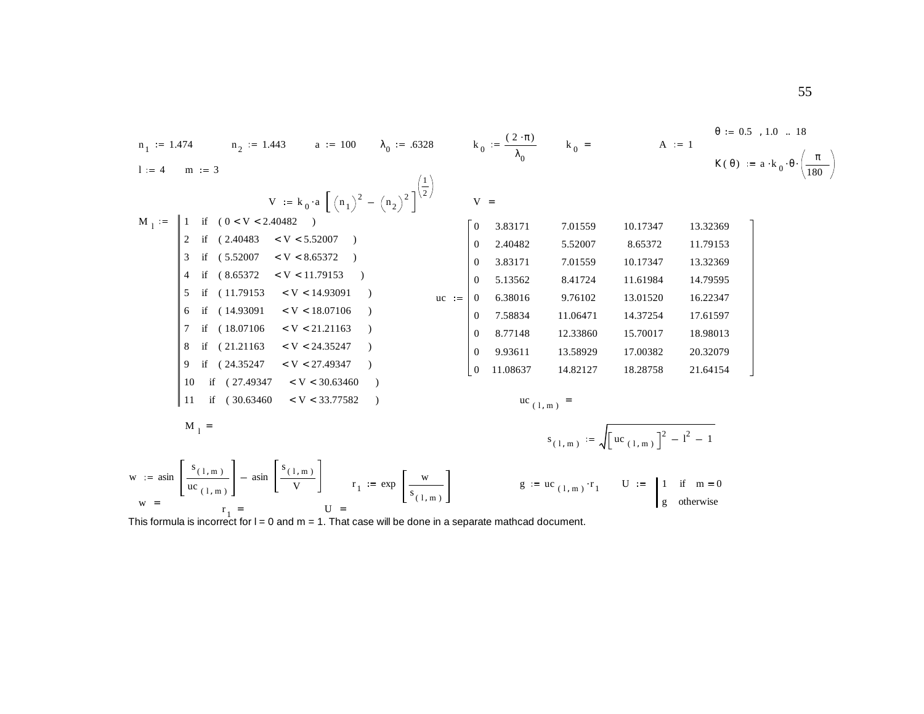n<sub>1</sub> := 1.474 n<sub>2</sub> := 1.443 a := 100 λ<sub>0</sub> := 6328 k<sub>0</sub> = 
$$
\frac{(2 \cdot π)}{λ_0}
$$
 k<sub>0</sub> = A := 1 6 = 0.5 , 1.0 = 18  
\n1 := 4 m := 3 K(θ) := a·k<sub>0</sub>·θ $\left(\frac{π}{180}\right)$   
\n1 :=  $\left[\begin{array}{ccc|c} 1 & \text{if } (0 < V < 2.40482 > 0) \\ 2 & \text{if } (2.40483 < V < 5.52007 > 0) \\ 3 & \text{if } (5.52007 < V < 8.65372 > 0) \\ 4 & \text{if } (8.65372 < V < 11.79153 > 0) \\ 5 & \text{if } (11.79153 < V < 14.93091 > 0) \\ 6 & \text{if } (14.93091 < V < 18.07106 > 0) \\ 7 & \text{if } (2.21163 < V < 2.4035247 > 0) \\ 8 & \text{if } (21.21163 < V < 2.4035247 > 0) \\ 9 & \text{if } (24.35247 < V < 2.240352 > 0) \\ 10 & \text{if } (27.49347 < V < 30.63460 > 0) \\ 11 & \text{if } (30.63460 < V < 33.77582 > 0) \\ 12 & \text{if } (11.79153 < V < 33.77582 > 0) \\ 13 & \text{if } (11.79153 < V < 27.49347 > 0) \\ 14 & \text{if } (30.63460 < V < 33.77582 > 0) \\ 15 & \text{if } (21.49347 < V < 30.63460 > 0)$ 

w =  $r_1$  =  $r_2$  otherwise<br>This formula is incorrect for l = 0 and m = 1. That case will be done in a separate mathcad document.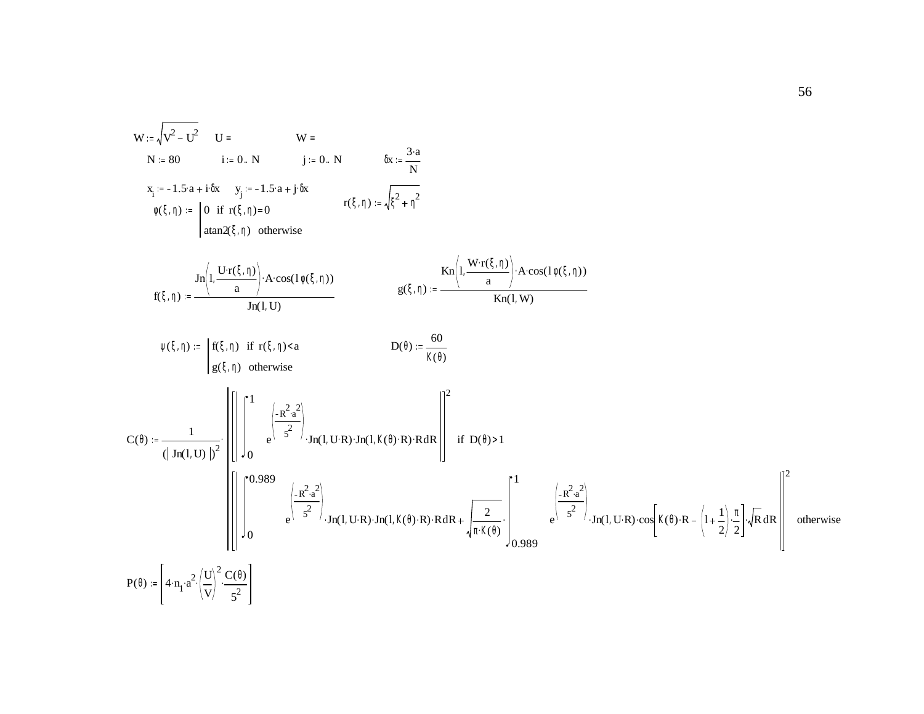![](_page_67_Figure_0.jpeg)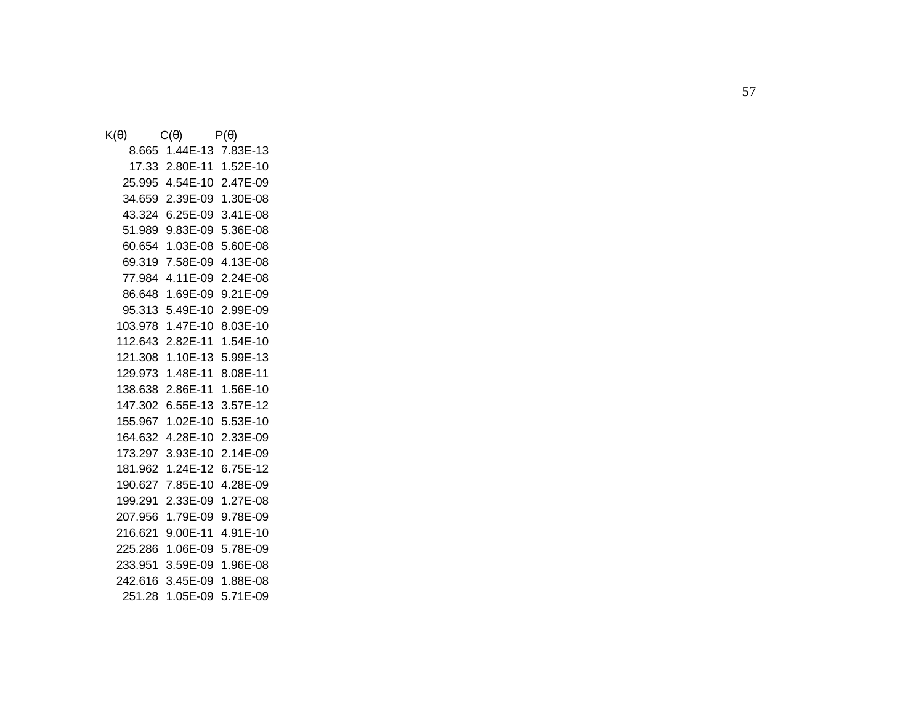| $\mathsf{K}(\theta)$ | $C(\theta)$                 | $P(\theta)$       |  |
|----------------------|-----------------------------|-------------------|--|
|                      | 8.665 1.44E-13 7.83E-13     |                   |  |
|                      | 17.33 2.80E-11 1.52E-10     |                   |  |
|                      | 25.995 4.54E-10 2.47E-09    |                   |  |
|                      | 34.659 2.39E-09 1.30E-08    |                   |  |
|                      | 43.324 6.25E-09 3.41E-08    |                   |  |
|                      | 51.989 9.83E-09 5.36E-08    |                   |  |
|                      | 60.654 1.03E-08             | 5.60E-08          |  |
|                      | 69.319 7.58E-09 4.13E-08    |                   |  |
|                      | 77.984 4.11E-09 2.24E-08    |                   |  |
|                      | 86.648 1.69E-09 9.21E-09    |                   |  |
|                      | 95.313 5.49E-10             | 2.99E-09          |  |
|                      | 103.978 1.47E-10 8.03E-10   |                   |  |
|                      |                             |                   |  |
|                      | 121.308  1.10E-13  5.99E-13 |                   |  |
|                      |                             | 8.08E-11          |  |
|                      |                             |                   |  |
|                      | 147.302  6.55E-13  3.57E-12 |                   |  |
|                      | 155.967 1.02E-10 5.53E-10   |                   |  |
|                      |                             | 2.33E-09          |  |
|                      | 173.297 3.93E-10 2.14E-09   |                   |  |
|                      | 181.962 1.24E-12 6.75E-12   |                   |  |
|                      | 190.627  7.85E-10  4.28E-09 |                   |  |
| 199.291              | 2.33E-09                    | 1.27E-08          |  |
|                      | 207.956 1.79E-09            | 9.78E-09          |  |
|                      | 216.621 9.00E-11 4.91E-10   |                   |  |
|                      | 225.286  1.06E-09  5.78E-09 |                   |  |
|                      | 233.951 3.59E-09 1.96E-08   |                   |  |
|                      | 242.616 3.45E-09 1.88E-08   |                   |  |
| 251.28               |                             | 1.05E-09 5.71E-09 |  |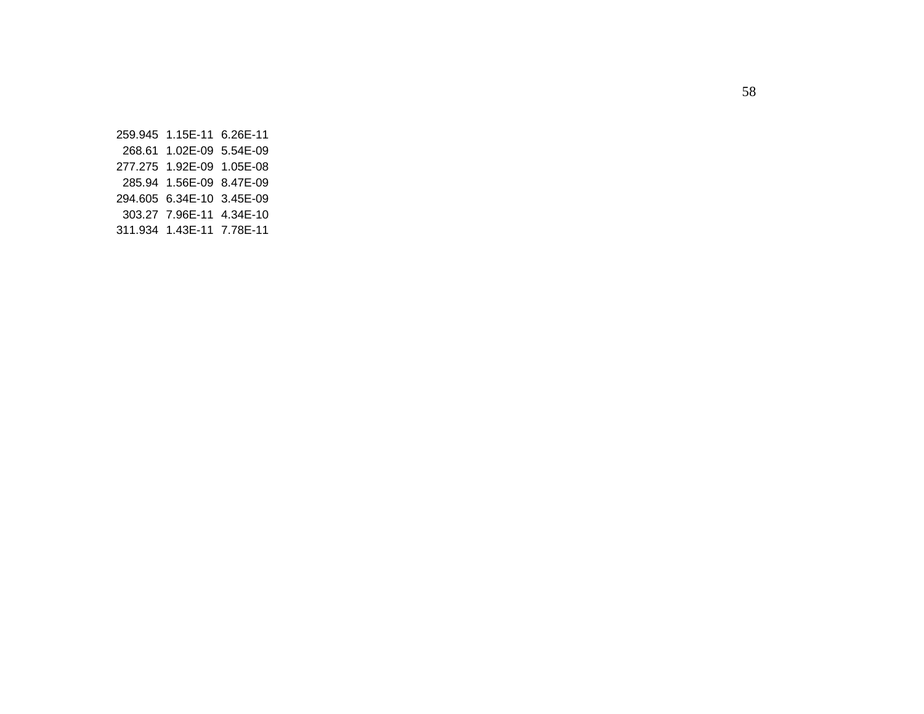259.945 1.15E-11 6.26E-11 268.61 1.02E-09 5.54E-09 277.275 1.92E-09 1.05E-08 285.94 1.56E-09 8.47E-09 294.605 6.34E-10 3.45E-09 303.27 7.96E-11 4.34E-10 311.934 1.43E-11 7.78E-11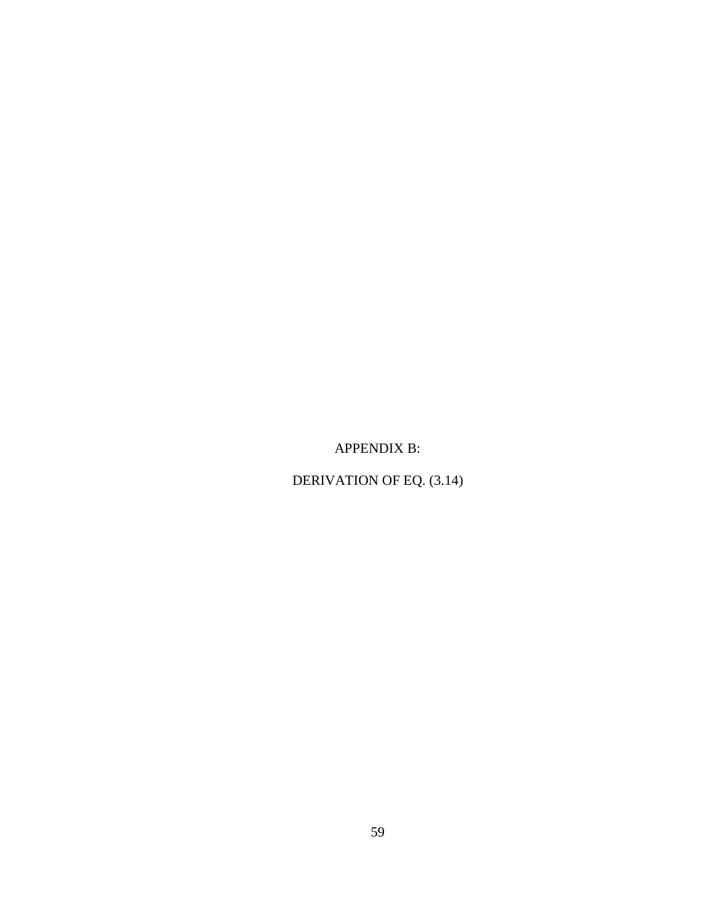APPENDIX B:

DERIVATION OF EQ. (3.14)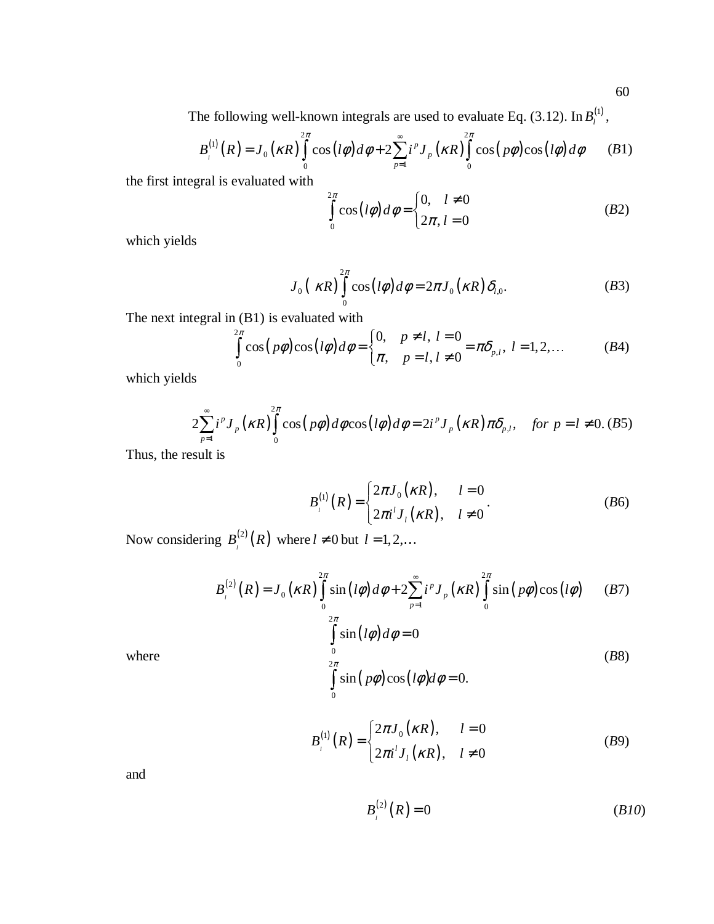The following well-known integrals are used to evaluate Eq. (3.12). In  $B_l^{(1)}$ ,

$$
B_i^{(1)}(R) = J_0(\kappa R) \int_0^{2\pi} \cos\left(l\phi\right) d\phi + 2 \sum_{p=1}^{\infty} i^p J_p(\kappa R) \int_0^{2\pi} \cos\left(p\phi\right) \cos\left(l\phi\right) d\phi \qquad (B1)
$$

the first integral is evaluated with

$$
\int_{0}^{2\pi} \cos(l\phi) d\phi = \begin{cases} 0, & l \neq 0 \\ 2\pi, & l = 0 \end{cases}
$$
 (B2)

which yields

$$
J_0\left(\kappa R\right)\int\limits_0^{2\pi}\cos\left(l\phi\right)d\phi=2\pi J_0\left(\kappa R\right)\delta_{l,0}.\tag{B3}
$$

The next integral in (B1) is evaluated with

$$
\int_{0}^{2\pi} \cos(p\phi)\cos(l\phi) d\phi = \begin{cases} 0, & p \neq l, l = 0 \\ \pi, & p = l, l \neq 0 \end{cases} = \pi \delta_{p,l}, l = 1, 2, ... \tag{B4}
$$

which yields

$$
2\sum_{p=1}^{\infty} i^p J_p(\kappa R) \int_0^{2\pi} \cos(p\phi) d\phi \cos(l\phi) d\phi = 2i^p J_p(\kappa R) \pi \delta_{p,l}, \text{ for } p=l \neq 0. \text{ (B5)}
$$

Thus, the result is

$$
B_{i}^{(1)}(R) = \begin{cases} 2\pi J_{0}(\kappa R), & l = 0\\ 2\pi i^{l} J_{l}(\kappa R), & l \neq 0 \end{cases}
$$
 (B6)

Now considering  $B^{(2)}(R)$  $B_l^{(2)}(R)$  where  $l \neq 0$  but  $l = 1, 2, ...$ 

$$
B_{i}^{(2)}(R) = J_{0}(\kappa R) \int_{0}^{2\pi} \sin(l\phi) d\phi + 2 \sum_{p=1}^{\infty} i^{p} J_{p}(\kappa R) \int_{0}^{2\pi} \sin(p\phi) \cos(l\phi) \qquad (B7)
$$

 $(l\phi)$ 

 $\sin(l\phi)d\phi = 0$ 

 $\phi$ ) $d\phi$ 

=

*l d*

 $\mathbf{0}$ 2

 $\sim$   $\sim$   $\sim$   $\sim$   $\sim$ 

π

where

$$
\int_{0} \sin(p\phi)\cos(l\phi)d\phi = 0.
$$
\n
$$
B_{l}^{(1)}(R) = \begin{cases} 2\pi J_{0}(\kappa R), & l = 0\\ 2\pi i^{l} J_{l}(\kappa R), & l \neq 0 \end{cases}
$$
\n(B9)

and

$$
B_{i}^{(2)}(R)=0
$$
 (B10)

(*B*8)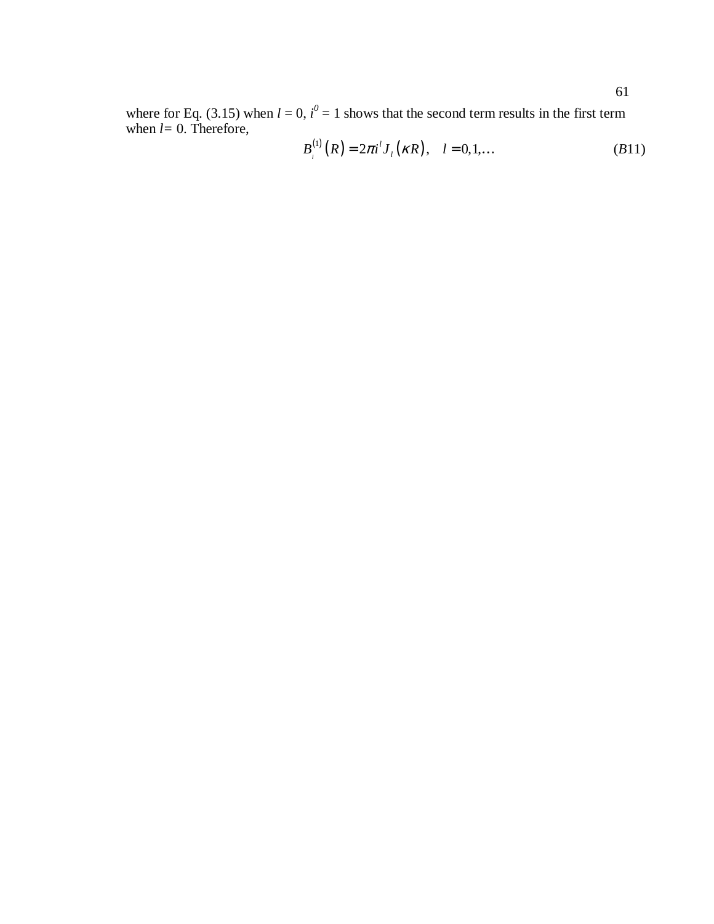where for Eq. (3.15) when  $l = 0$ ,  $i^0 = 1$  shows that the second term results in the first term when *l=* 0. Therefore,

$$
B_{i}^{(1)}(R) = 2\pi i^{l} J_{l}(\kappa R), \quad l = 0, 1, ... \qquad (B11)
$$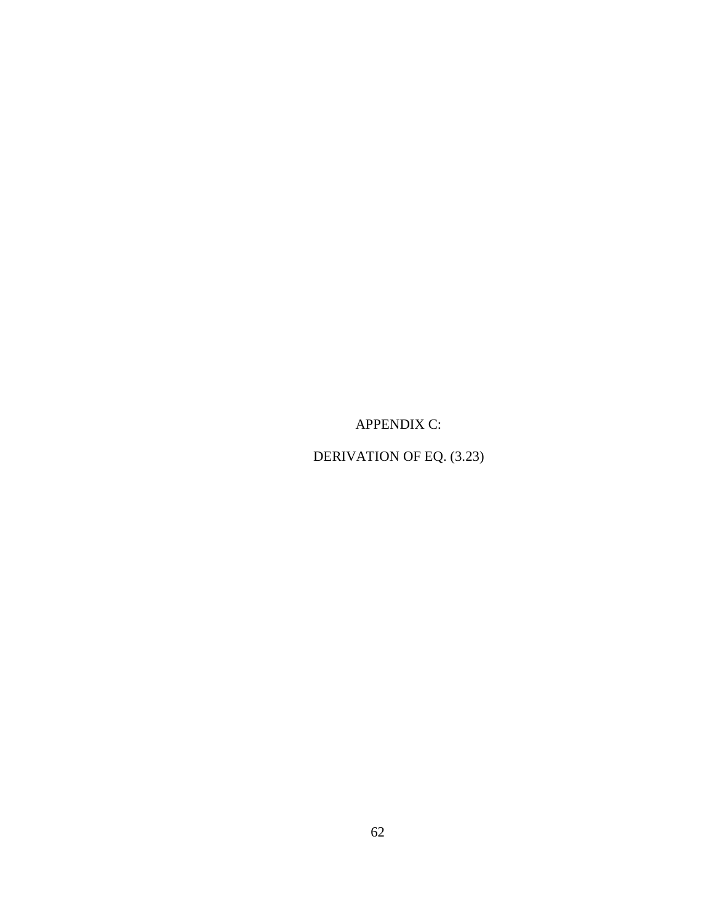APPENDIX C:

DERIVATION OF EQ. (3.23)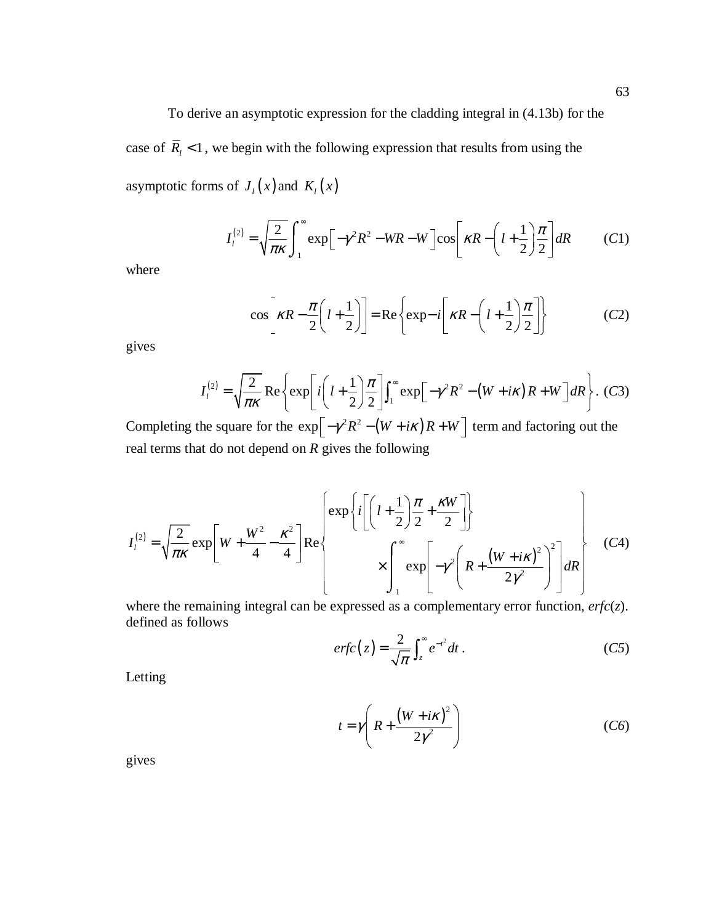To derive an asymptotic expression for the cladding integral in (4.13b) for the case of  $\overline{R}_l$  < 1, we begin with the following expression that results from using the asymptotic forms of  $J_l(x)$  and  $K_l(x)$ 

$$
I_l^{(2)} = \sqrt{\frac{2}{\pi \kappa}} \int_1^\infty \exp\left[-\gamma^2 R^2 - WR - W\right] \cos\left[\kappa R - \left(l + \frac{1}{2}\right) \frac{\pi}{2}\right] dR \tag{C1}
$$

where

$$
\cos\left[\kappa R - \frac{\pi}{2}\left(l + \frac{1}{2}\right)\right] = \text{Re}\left\{\exp - i\left[\kappa R - \left(l + \frac{1}{2}\right)\frac{\pi}{2}\right]\right\} \tag{C2}
$$

gives

$$
I_l^{(2)} = \sqrt{\frac{2}{\pi \kappa}} \operatorname{Re} \left\{ \exp \left[ i \left( l + \frac{1}{2} \right) \frac{\pi}{2} \right] \int_1^\infty \exp \left[ -\gamma^2 R^2 - \left( W + i\kappa \right) R + W \right] dR \right\}. (C3)
$$

Completing the square for the  $\exp \left[ -\gamma^2 R^2 - (W + i\kappa) R + W \right]$  term and factoring out the real terms that do not depend on *R* gives the following

$$
I_{l}^{(2)} = \sqrt{\frac{2}{\pi\kappa}} \exp\left[W + \frac{W^{2}}{4} - \frac{\kappa^{2}}{4}\right] \text{Re}\left\{\frac{\exp\left\{i\left[\left(l + \frac{1}{2}\right)\frac{\pi}{2} + \frac{\kappa W}{2}\right]\right\}}{\times \int_{1}^{\infty} \exp\left[-\gamma^{2}\left(R + \frac{\left(W + i\kappa\right)^{2}}{2\gamma^{2}}\right)^{2}\right] dR\right\}
$$
(C4)

where the remaining integral can be expressed as a complementary error function, *erfc*(*z*). defined as follows

$$
erfc(z) = \frac{2}{\sqrt{\pi}} \int_{z}^{\infty} e^{-t^2} dt.
$$
 (C5)

Letting

$$
t = \gamma \left( R + \frac{\left( W + i\kappa \right)^2}{2\gamma^2} \right) \tag{C6}
$$

gives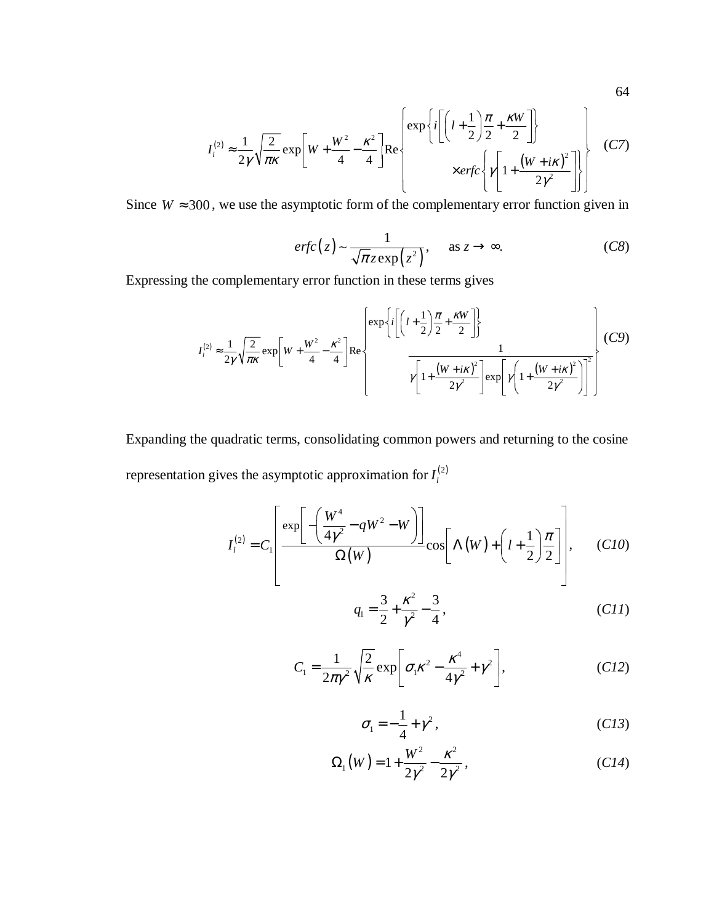$$
I_{l}^{(2)} \approx \frac{1}{2\gamma} \sqrt{\frac{2}{\pi\kappa}} \exp\left[W + \frac{W^{2}}{4} - \frac{\kappa^{2}}{4}\right] \text{Re}\left\{\frac{\exp\left\{i\left[\left(l + \frac{1}{2}\right)\frac{\pi}{2} + \frac{\kappa W}{2}\right]\right\}}{\times \text{erfc}\left\{\gamma\left[1 + \frac{\left(W + i\kappa\right)^{2}}{2\gamma^{2}}\right]\right\}}\right\}
$$
(C7)

Since  $W \approx 300$ , we use the asymptotic form of the complementary error function given in

$$
erfc(z) \sim \frac{1}{\sqrt{\pi}z \exp(z^2)}, \quad \text{as } z \to \infty. \tag{C8}
$$

Expressing the complementary error function in these terms gives

$$
I_{l}^{(2)} \approx \frac{1}{2\gamma} \sqrt{\frac{2}{\pi\kappa}} \exp\left[W + \frac{W^{2}}{4} - \frac{\kappa^{2}}{4}\right] \text{Re}\left\{\frac{\exp\left\{i\left[\left(l + \frac{1}{2}\right)\frac{\pi}{2} + \frac{\kappa W}{2}\right]\right\}}{\gamma\left[1 + \frac{\left(W + i\kappa\right)^{2}}{2\gamma^{2}}\right] \exp\left[\gamma\left(1 + \frac{\left(W + i\kappa\right)^{2}}{2\gamma^{2}}\right)\right]^{2}}\right\} (C9)
$$

Expanding the quadratic terms, consolidating common powers and returning to the cosine representation gives the asymptotic approximation for  $I_l^{(2)}$ 

$$
I_l^{(2)} = C_l \left[ \frac{\exp\left[-\left(\frac{W^4}{4\gamma^2} - qW^2 - W\right)\right]}{\Omega(W)} \cos\left[\Lambda(W) + \left(l + \frac{1}{2}\right)\frac{\pi}{2}\right] \right], \quad (C10)
$$

$$
q_1 = \frac{3}{2} + \frac{\kappa^2}{\gamma^2} - \frac{3}{4},\tag{C11}
$$

$$
C_1 = \frac{1}{2\pi\gamma^2} \sqrt{\frac{2}{\kappa}} \exp\left[\sigma_1 \kappa^2 - \frac{\kappa^4}{4\gamma^2} + \gamma^2\right],
$$
 (C12)

$$
\sigma_1 = -\frac{1}{4} + \gamma^2, \qquad (C13)
$$

$$
\Omega_1(W) = 1 + \frac{W^2}{2\gamma^2} - \frac{\kappa^2}{2\gamma^2},
$$
 (C14)

64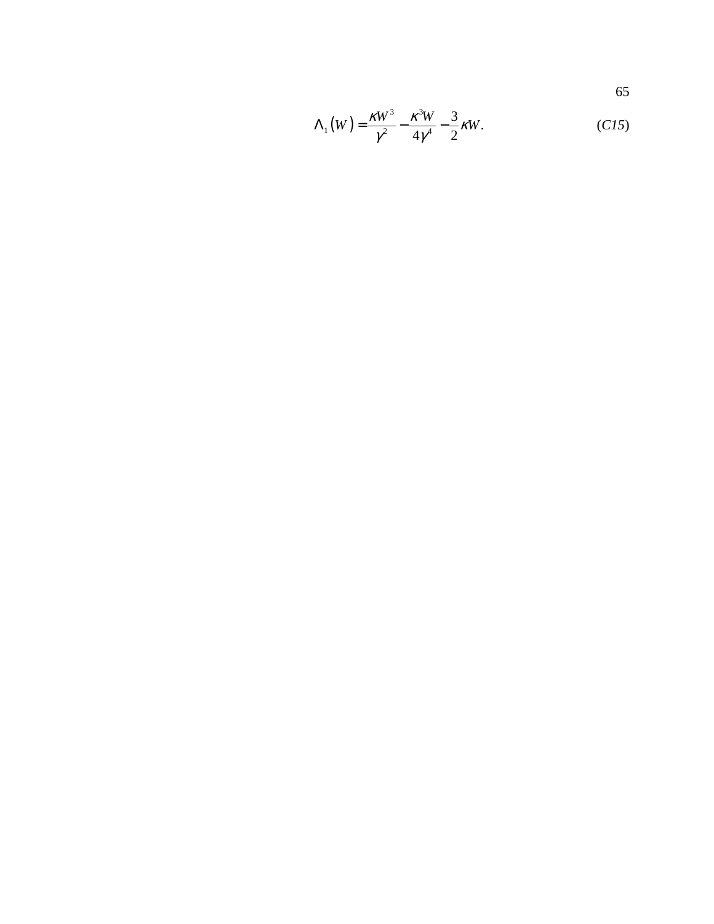65

$$
\Lambda_1(W) = \frac{\kappa W^3}{\gamma^2} - \frac{\kappa^3 W}{4\gamma^4} - \frac{3}{2} \kappa W.
$$
 (C15)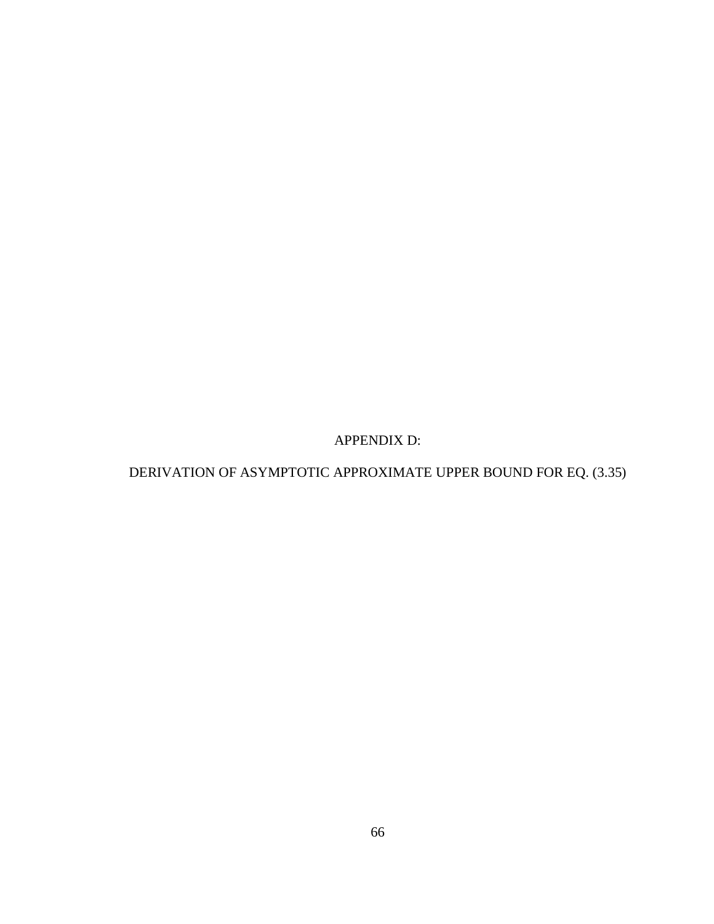APPENDIX D:

DERIVATION OF ASYMPTOTIC APPROXIMATE UPPER BOUND FOR EQ. (3.35)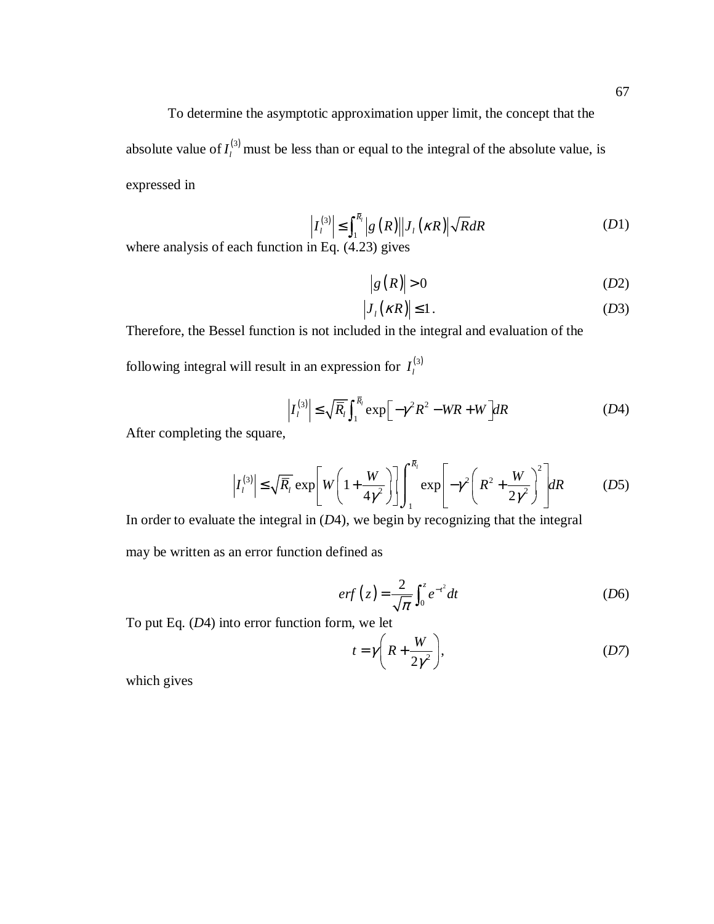To determine the asymptotic approximation upper limit, the concept that the absolute value of  $I_l^{(3)}$  must be less than or equal to the integral of the absolute value, is expressed in

$$
\left|I_l^{(3)}\right| \le \int_1^{\overline{R}_l} |g(R)||J_l(\kappa R)| \sqrt{R} dR \tag{D1}
$$

where analysis of each function in Eq. (4.23) gives

$$
\left|g\left(R\right)\right| > 0\tag{D2}
$$

$$
\left|J_{i}\left(\kappa R\right)\right|\leq1.\tag{D3}
$$

Therefore, the Bessel function is not included in the integral and evaluation of the

following integral will result in an expression for  $I_l^{(3)}$ 

$$
\left| I_l^{(3)} \right| \le \sqrt{\overline{R}_l} \int_1^{\overline{R}_l} \exp \left[ -\gamma^2 R^2 - WR + W \right] dR \tag{D4}
$$

After completing the square,

$$
\left| I_l^{(3)} \right| \le \sqrt{R_l} \exp \left[ W \left( 1 + \frac{W}{4\gamma^2} \right) \right] \int_1^{R_l} \exp \left[ -\gamma^2 \left( R^2 + \frac{W}{2\gamma^2} \right)^2 \right] dR \tag{D5}
$$

In order to evaluate the integral in  $(D4)$ , we begin by recognizing that the integral

may be written as an error function defined as

$$
erf(z) = \frac{2}{\sqrt{\pi}} \int_0^z e^{-t^2} dt
$$
 (D6)

To put Eq. (*D*4) into error function form, we let

$$
t = \gamma \left( R + \frac{W}{2\gamma^2} \right),\tag{D7}
$$

which gives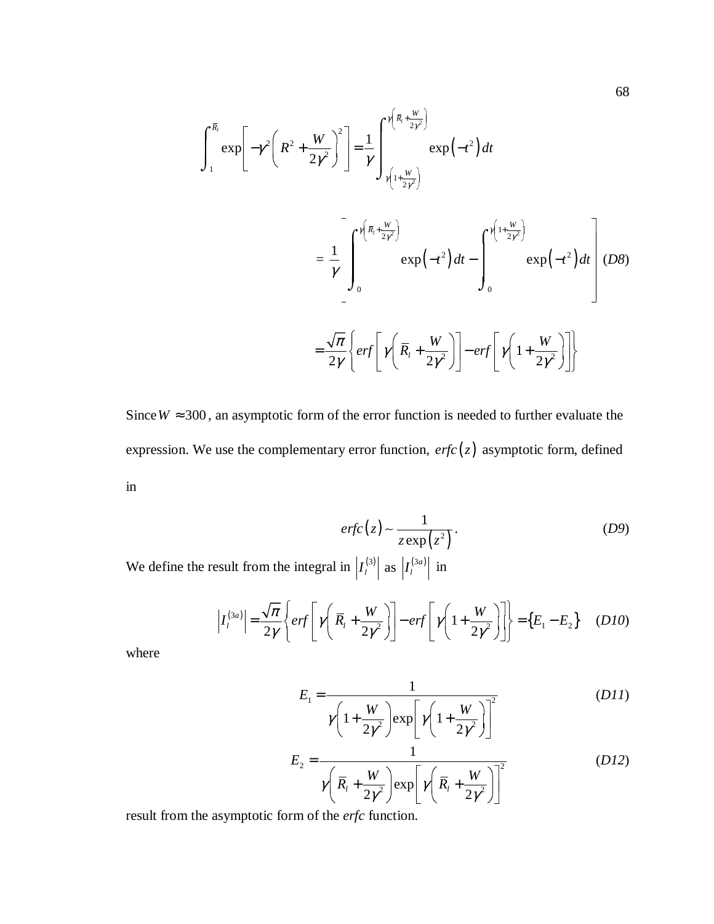$$
\int_{1}^{\overline{R}_{l}} \exp\left[-\gamma^{2}\left(R^{2} + \frac{W}{2\gamma^{2}}\right)^{2}\right] = \frac{1}{\gamma} \int_{\gamma\left(1 + \frac{W}{2\gamma^{2}}\right)}^{\gamma\left(\overline{R}_{l} + \frac{W}{2\gamma^{2}}\right)} \exp\left(-t^{2}\right) dt
$$
\n
$$
= \frac{1}{\gamma} \left[ \int_{0}^{\gamma\left(\overline{R}_{l} + \frac{W}{2\gamma^{2}}\right)} \exp\left(-t^{2}\right) dt - \int_{0}^{\gamma\left(1 + \frac{W}{2\gamma^{2}}\right)} \exp\left(-t^{2}\right) dt \right] (D8)
$$
\n
$$
= \frac{\sqrt{\pi}}{2\gamma} \left\{ erf\left[\gamma\left(\overline{R}_{l} + \frac{W}{2\gamma^{2}}\right)\right] - erf\left[\gamma\left(1 + \frac{W}{2\gamma^{2}}\right)\right] \right\}
$$

Since  $W \approx 300$ , an asymptotic form of the error function is needed to further evaluate the expression. We use the complementary error function,  $erfc(z)$  asymptotic form, defined in

$$
erfc(z) \sim \frac{1}{z \exp(z^2)}.
$$
 (D9)

We define the result from the integral in  $\left| I_l^{(3)} \right|$  as  $\left| I_l^{(3a)} \right|$  in

$$
\left| I_l^{(3a)} \right| = \frac{\sqrt{\pi}}{2\gamma} \left\{ erf \left[ \gamma \left( \overline{R}_l + \frac{W}{2\gamma^2} \right) \right] - erf \left[ \gamma \left( 1 + \frac{W}{2\gamma^2} \right) \right] \right\} = \left\{ E_1 - E_2 \right\} \quad (D10)
$$

where

$$
E_1 = \frac{1}{\gamma \left(1 + \frac{W}{2\gamma^2}\right) \exp\left[\gamma \left(1 + \frac{W}{2\gamma^2}\right)\right]^2}
$$
 (DII)

$$
E_2 = \frac{1}{\gamma \left(\overline{R}_1 + \frac{W}{2\gamma^2}\right) \exp\left[\gamma \left(\overline{R}_1 + \frac{W}{2\gamma^2}\right)\right]^2}
$$
 (D12)

result from the asymptotic form of the *erfc* function.

68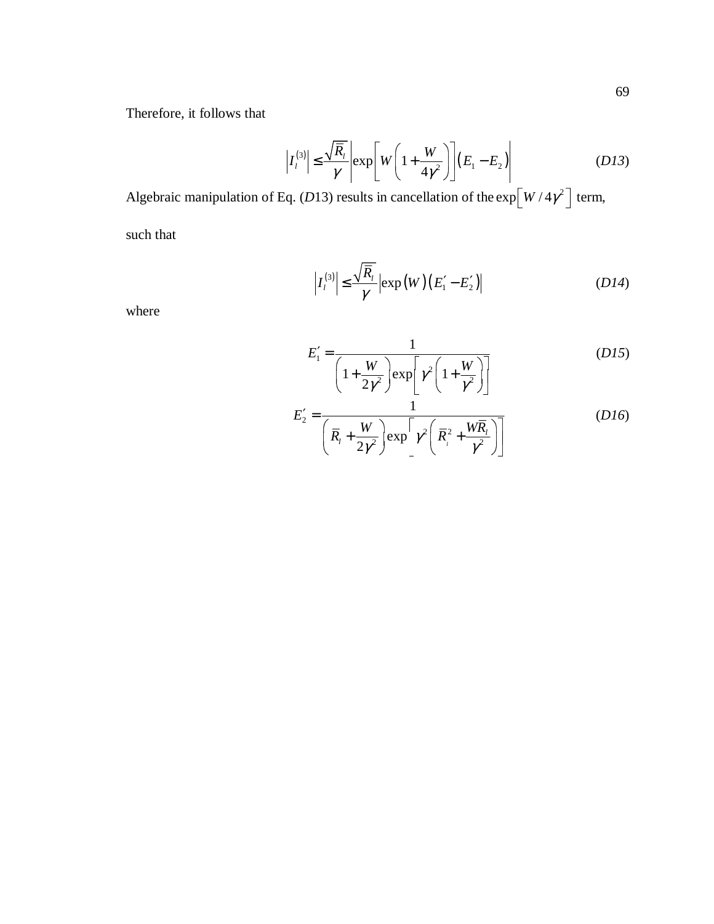Therefore, it follows that

$$
\left| I_l^{(3)} \right| \leq \frac{\sqrt{\overline{R}_l}}{\gamma} \left| \exp \left[ W \left( 1 + \frac{W}{4\gamma^2} \right) \right] \left( E_1 - E_2 \right) \right| \tag{D13}
$$

Algebraic manipulation of Eq. (*D*13) results in cancellation of the  $\exp\left[W/4\gamma^2\right]$  term,

such that

$$
\left| I_l^{(3)} \right| \leq \frac{\sqrt{\overline{R}_l}}{\gamma} \left| \exp(W) \left( E_1' - E_2' \right) \right| \tag{D14}
$$

where

$$
E'_{1} = \frac{1}{\left(1 + \frac{W}{2\gamma^{2}}\right) \exp\left[\gamma^{2}\left(1 + \frac{W}{\gamma^{2}}\right)\right]}
$$
 (D15)

$$
E'_{2} = \frac{1}{\left(\overline{R}_{i} + \frac{W}{2\gamma^{2}}\right) \exp\left[\gamma^{2}\left(\overline{R}_{i}^{2} + \frac{W\overline{R}_{i}}{\gamma^{2}}\right)\right]}
$$
(D16)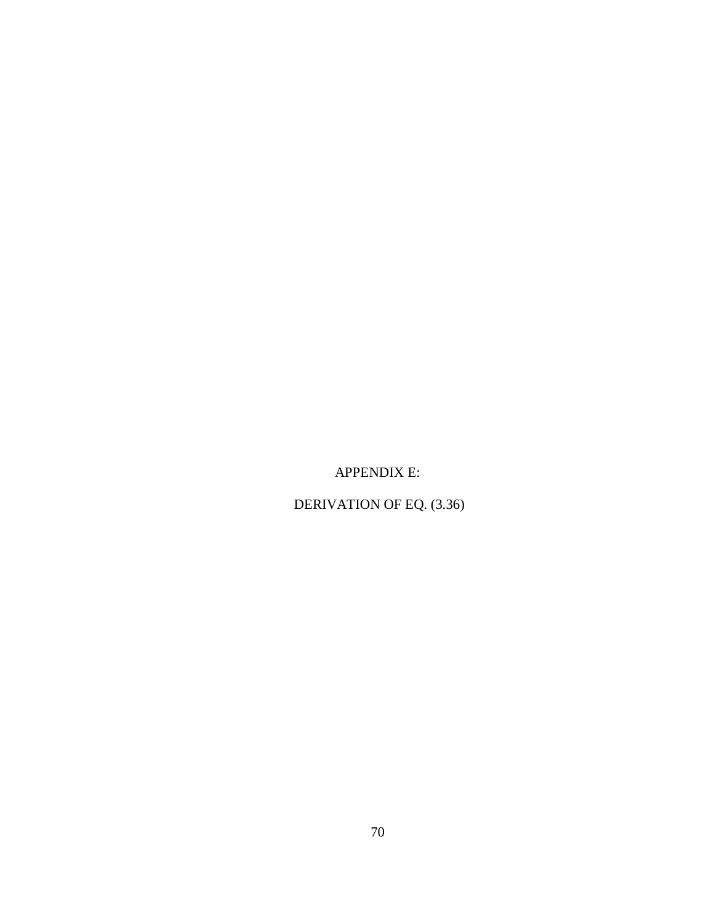APPENDIX E:

DERIVATION OF EQ. (3.36)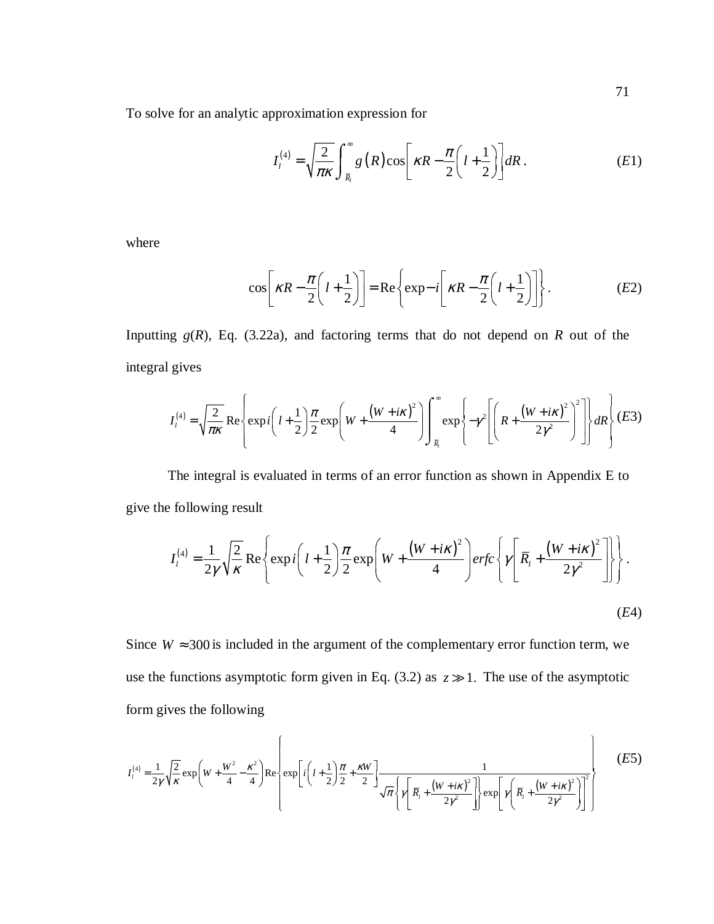To solve for an analytic approximation expression for

$$
I_l^{(4)} = \sqrt{\frac{2}{\pi \kappa}} \int_{\bar{R}_l}^{\infty} g\left(R\right) \cos\left[\kappa R - \frac{\pi}{2} \left(l + \frac{1}{2}\right)\right] dR \,. \tag{E1}
$$

where

$$
\cos\left[\kappa R - \frac{\pi}{2}\left(l + \frac{1}{2}\right)\right] = \text{Re}\left\{\exp - i\left[\kappa R - \frac{\pi}{2}\left(l + \frac{1}{2}\right)\right]\right\}.
$$
 (E2)

Inputting  $g(R)$ , Eq. (3.22a), and factoring terms that do not depend on  $R$  out of the integral gives

$$
I_l^{(4)} = \sqrt{\frac{2}{\pi\kappa}} \operatorname{Re}\left\{ \exp i\left(l + \frac{1}{2}\right) \frac{\pi}{2} \exp\left(W + \frac{\left(W + i\kappa\right)^2}{4}\right) \int_{\bar{R}_l}^{\infty} \exp\left\{-\gamma^2 \left[\left(R + \frac{\left(W + i\kappa\right)^2}{2\gamma^2}\right)^2\right]\right\} dR \right\} (E3)
$$

The integral is evaluated in terms of an error function as shown in Appendix E to give the following result

$$
I_{l}^{(4)} = \frac{1}{2\gamma} \sqrt{\frac{2}{\kappa}} \operatorname{Re} \left\{ \exp i \left( l + \frac{1}{2} \right) \frac{\pi}{2} \exp \left( W + \frac{\left( W + i\kappa \right)^{2}}{4} \right) \operatorname{erfc} \left\{ \gamma \left[ \overline{R}_{l} + \frac{\left( W + i\kappa \right)^{2}}{2\gamma^{2}} \right] \right\} \right\}.
$$
\n(E4)

Since  $W \approx 300$  is included in the argument of the complementary error function term, we use the functions asymptotic form given in Eq. (3.2) as  $z \gg 1$ . The use of the asymptotic form gives the following

$$
I_{l}^{(4)} = \frac{1}{2\gamma} \sqrt{\frac{2}{\kappa}} \exp\left(W + \frac{W^{2}}{4} - \frac{\kappa^{2}}{4}\right) \text{Re}\left\{\exp\left[i\left(l + \frac{1}{2}\right)\frac{\pi}{2} + \frac{\kappa W}{2}\right] \frac{1}{\sqrt{\pi}\left\{\gamma\left[\bar{R}_{l} + \frac{\left(W + i\kappa\right)^{2}}{2\gamma^{2}}\right]\right\} \exp\left[\gamma\left(\bar{R}_{l} + \frac{\left(W + i\kappa\right)^{2}}{2\gamma^{2}}\right)\right]^{2}}\right\}
$$
(E5)

. The contract of the contract of the contract of the contract of the contract of the contract of the contract of the contract of the contract of the contract of the contract of the contract of the contract of the contrac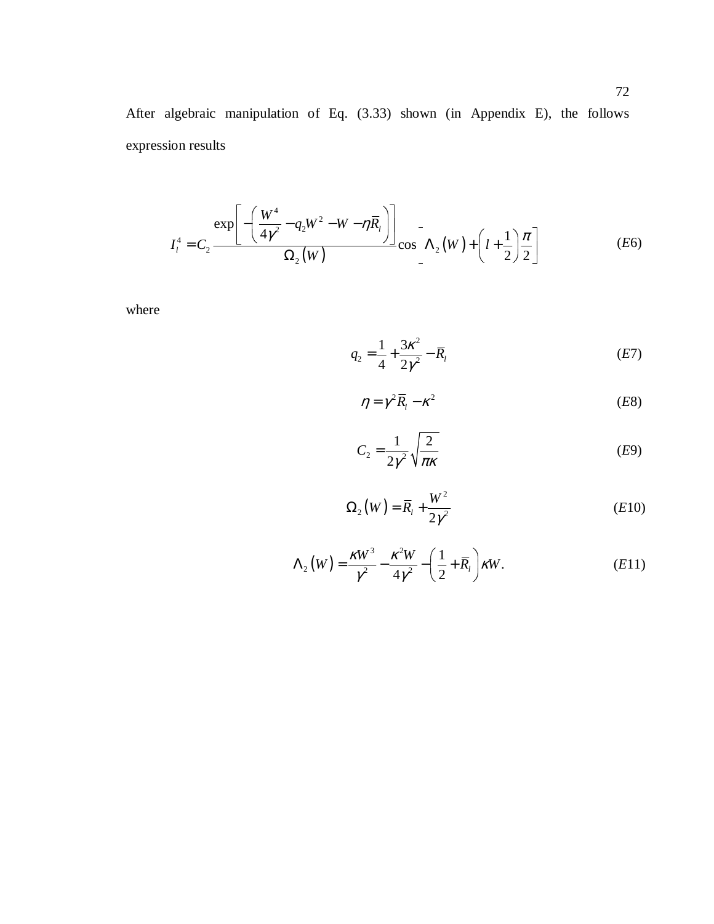After algebraic manipulation of Eq. (3.33) shown (in Appendix E), the follows expression results

$$
I_{l}^{4} = C_{2} \frac{\exp \left[-\left(\frac{W^{4}}{4\gamma^{2}} - q_{2}W^{2} - W - \eta \overline{R}_{l}\right)\right]}{\Omega_{2}(W)} \cos \left[\Lambda_{2}(W) + \left(l + \frac{1}{2}\right)\frac{\pi}{2}\right]
$$
(E6)

where

$$
q_2 = \frac{1}{4} + \frac{3\kappa^2}{2\gamma^2} - \overline{R}_l
$$
 (E7)

$$
\eta = \gamma^2 \overline{R}_l - \kappa^2 \tag{E8}
$$

$$
C_2 = \frac{1}{2\gamma^2} \sqrt{\frac{2}{\pi \kappa}}
$$
 (E9)

$$
\Omega_2(W) = \overline{R}_1 + \frac{W^2}{2\gamma^2} \tag{E10}
$$

$$
\Lambda_2(W) = \frac{\kappa W^3}{\gamma^2} - \frac{\kappa^2 W}{4\gamma^2} - \left(\frac{1}{2} + \overline{R}_1\right) \kappa W.
$$
 (E11)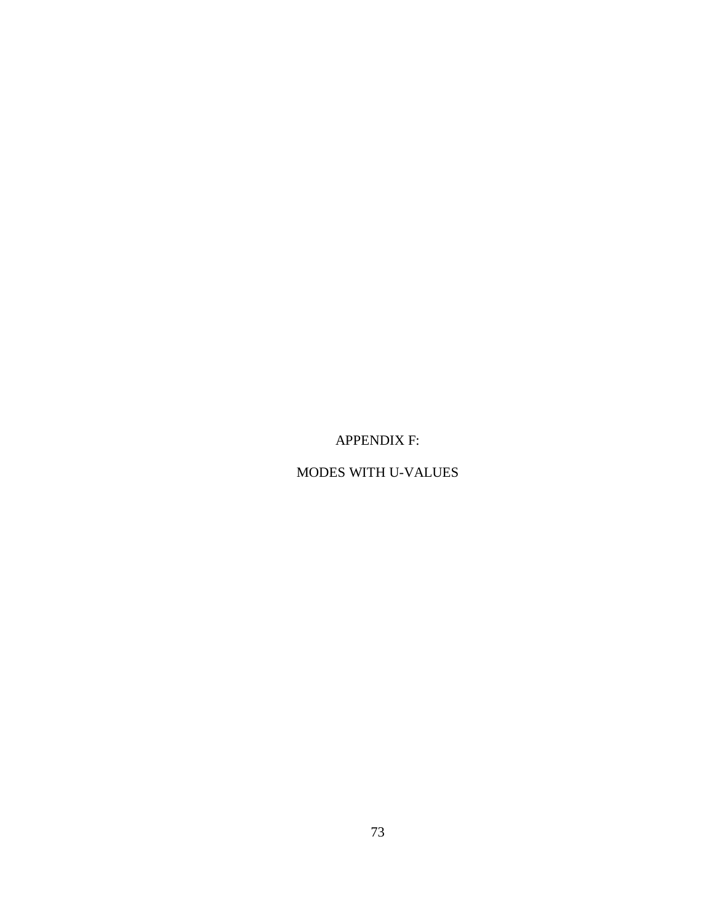APPENDIX F:

MODES WITH U-VALUES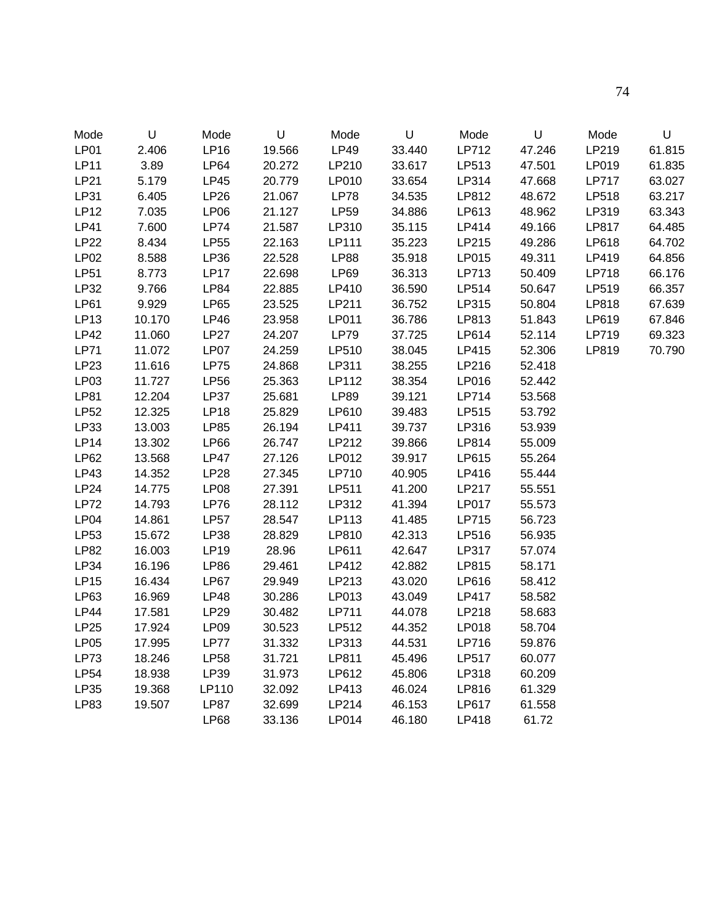| Mode        | U      | Mode        | U      | Mode        | U      | Mode         | U      | Mode         | $\sf U$ |
|-------------|--------|-------------|--------|-------------|--------|--------------|--------|--------------|---------|
| <b>LP01</b> | 2.406  | <b>LP16</b> | 19.566 | <b>LP49</b> | 33.440 | LP712        | 47.246 | LP219        | 61.815  |
| <b>LP11</b> | 3.89   | <b>LP64</b> | 20.272 | LP210       | 33.617 | LP513        | 47.501 | LP019        | 61.835  |
| <b>LP21</b> | 5.179  | <b>LP45</b> | 20.779 | LP010       | 33.654 | LP314        | 47.668 | <b>LP717</b> | 63.027  |
| <b>LP31</b> | 6.405  | LP26        | 21.067 | <b>LP78</b> | 34.535 | LP812        | 48.672 | LP518        | 63.217  |
| <b>LP12</b> | 7.035  | <b>LP06</b> | 21.127 | <b>LP59</b> | 34.886 | LP613        | 48.962 | LP319        | 63.343  |
| <b>LP41</b> | 7.600  | <b>LP74</b> | 21.587 | LP310       | 35.115 | LP414        | 49.166 | LP817        | 64.485  |
| <b>LP22</b> | 8.434  | <b>LP55</b> | 22.163 | LP111       | 35.223 | LP215        | 49.286 | LP618        | 64.702  |
| LP02        | 8.588  | LP36        | 22.528 | <b>LP88</b> | 35.918 | LP015        | 49.311 | LP419        | 64.856  |
| <b>LP51</b> | 8.773  | <b>LP17</b> | 22.698 | <b>LP69</b> | 36.313 | LP713        | 50.409 | LP718        | 66.176  |
| LP32        | 9.766  | <b>LP84</b> | 22.885 | LP410       | 36.590 | LP514        | 50.647 | LP519        | 66.357  |
| <b>LP61</b> | 9.929  | <b>LP65</b> | 23.525 | LP211       | 36.752 | LP315        | 50.804 | LP818        | 67.639  |
| <b>LP13</b> | 10.170 | LP46        | 23.958 | LP011       | 36.786 | LP813        | 51.843 | LP619        | 67.846  |
| <b>LP42</b> | 11.060 | LP27        | 24.207 | <b>LP79</b> | 37.725 | LP614        | 52.114 | LP719        | 69.323  |
| <b>LP71</b> | 11.072 | LP07        | 24.259 | LP510       | 38.045 | LP415        | 52.306 | LP819        | 70.790  |
| <b>LP23</b> | 11.616 | <b>LP75</b> | 24.868 | LP311       | 38.255 | LP216        | 52.418 |              |         |
| LP03        | 11.727 | <b>LP56</b> | 25.363 | LP112       | 38.354 | LP016        | 52.442 |              |         |
| <b>LP81</b> | 12.204 | <b>LP37</b> | 25.681 | <b>LP89</b> | 39.121 | LP714        | 53.568 |              |         |
| <b>LP52</b> | 12.325 | <b>LP18</b> | 25.829 | LP610       | 39.483 | LP515        | 53.792 |              |         |
| LP33        | 13.003 | <b>LP85</b> | 26.194 | LP411       | 39.737 | LP316        | 53.939 |              |         |
| LP14        | 13.302 | <b>LP66</b> | 26.747 | LP212       | 39.866 | LP814        | 55.009 |              |         |
| <b>LP62</b> | 13.568 | LP47        | 27.126 | LP012       | 39.917 | LP615        | 55.264 |              |         |
| LP43        | 14.352 | <b>LP28</b> | 27.345 | LP710       | 40.905 | LP416        | 55.444 |              |         |
| LP24        | 14.775 | LPO8        | 27.391 | LP511       | 41.200 | LP217        | 55.551 |              |         |
| <b>LP72</b> | 14.793 | <b>LP76</b> | 28.112 | LP312       | 41.394 | <b>LP017</b> | 55.573 |              |         |
| LPO4        | 14.861 | <b>LP57</b> | 28.547 | LP113       | 41.485 | LP715        | 56.723 |              |         |
| <b>LP53</b> | 15.672 | LP38        | 28.829 | LP810       | 42.313 | LP516        | 56.935 |              |         |
| <b>LP82</b> | 16.003 | LP19        | 28.96  | LP611       | 42.647 | LP317        | 57.074 |              |         |
| LP34        | 16.196 | <b>LP86</b> | 29.461 | LP412       | 42.882 | LP815        | 58.171 |              |         |
| <b>LP15</b> | 16.434 | <b>LP67</b> | 29.949 | LP213       | 43.020 | LP616        | 58.412 |              |         |
| LP63        | 16.969 | <b>LP48</b> | 30.286 | LP013       | 43.049 | <b>LP417</b> | 58.582 |              |         |
| <b>LP44</b> | 17.581 | LP29        | 30.482 | LP711       | 44.078 | LP218        | 58.683 |              |         |
| <b>LP25</b> | 17.924 | LP09        | 30.523 | LP512       | 44.352 | LP018        | 58.704 |              |         |
| LP05        | 17.995 | LP77        | 31.332 | LP313       | 44.531 | LP716        | 59.876 |              |         |
| <b>LP73</b> | 18.246 | <b>LP58</b> | 31.721 | LP811       | 45.496 | <b>LP517</b> | 60.077 |              |         |
| <b>LP54</b> | 18.938 | LP39        | 31.973 | LP612       | 45.806 | LP318        | 60.209 |              |         |
| LP35        | 19.368 | LP110       | 32.092 | LP413       | 46.024 | LP816        | 61.329 |              |         |
| <b>LP83</b> | 19.507 | <b>LP87</b> | 32.699 | LP214       | 46.153 | LP617        | 61.558 |              |         |
|             |        | <b>LP68</b> | 33.136 | LP014       | 46.180 | LP418        | 61.72  |              |         |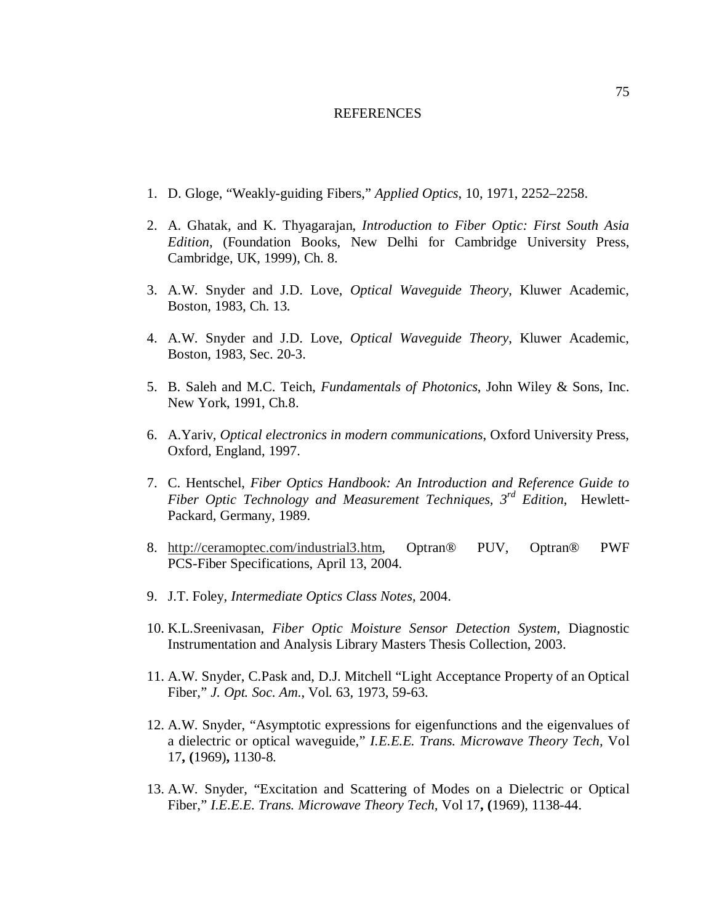## REFERENCES

- 1. D. Gloge, "Weakly-guiding Fibers," *Applied Optics*, 10, 1971, 2252–2258.
- 2. A. Ghatak, and K. Thyagarajan, *Introduction to Fiber Optic: First South Asia Edition*, (Foundation Books, New Delhi for Cambridge University Press, Cambridge, UK, 1999), Ch. 8.
- 3. A.W. Snyder and J.D. Love, *Optical Waveguide Theory*, Kluwer Academic, Boston, 1983, Ch. 13.
- 4. A.W. Snyder and J.D. Love, *Optical Waveguide Theory*, Kluwer Academic, Boston, 1983, Sec. 20-3.
- 5. B. Saleh and M.C. Teich, *Fundamentals of Photonics*, John Wiley & Sons, Inc. New York, 1991, Ch.8.
- 6. A.Yariv, *Optical electronics in modern communications*, Oxford University Press, Oxford, England, 1997.
- 7. C. Hentschel, *Fiber Optics Handbook: An Introduction and Reference Guide to Fiber Optic Technology and Measurement Techniques, 3rd Edition*, Hewlett-Packard, Germany, 1989.
- 8. http://ceramoptec.com/industrial3.htm, Optran® PUV, Optran® PWF PCS-Fiber Specifications, April 13, 2004.
- 9. J.T. Foley, *Intermediate Optics Class Notes*, 2004.
- 10. K.L.Sreenivasan, *Fiber Optic Moisture Sensor Detection System*, Diagnostic Instrumentation and Analysis Library Masters Thesis Collection, 2003.
- 11. A.W. Snyder, C.Pask and, D.J. Mitchell "Light Acceptance Property of an Optical Fiber," *J. Opt. Soc. Am*., Vol. 63, 1973, 59-63.
- 12. A.W. Snyder, "Asymptotic expressions for eigenfunctions and the eigenvalues of a dielectric or optical waveguide," *I.E.E.E. Trans. Microwave Theory Tech,* Vol 17**, (**1969)**,** 1130-8.
- 13. A.W. Snyder, "Excitation and Scattering of Modes on a Dielectric or Optical Fiber," *I.E.E.E. Trans. Microwave Theory Tech,* Vol 17**, (**1969), 1138-44.